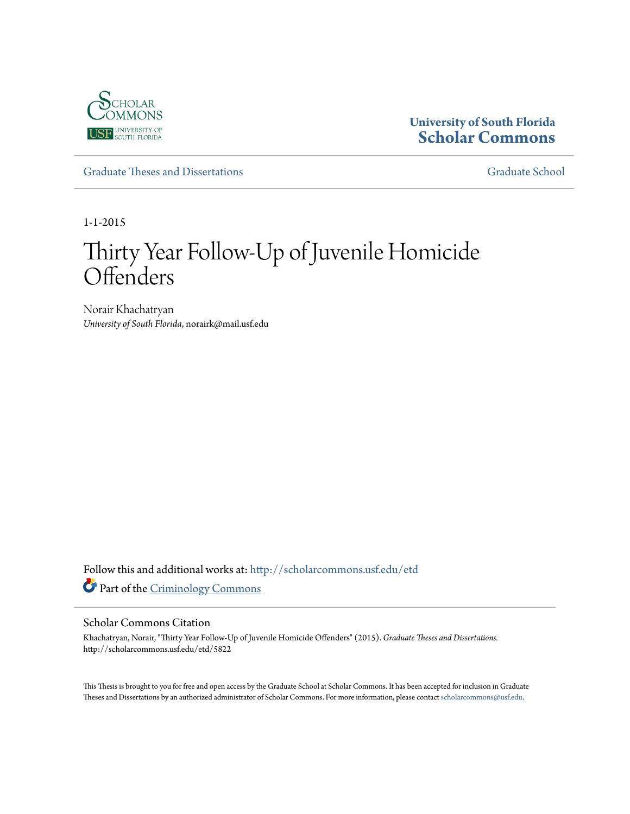

# **University of South Florida [Scholar Commons](http://scholarcommons.usf.edu?utm_source=scholarcommons.usf.edu%2Fetd%2F5822&utm_medium=PDF&utm_campaign=PDFCoverPages)**

[Graduate Theses and Dissertations](http://scholarcommons.usf.edu/etd?utm_source=scholarcommons.usf.edu%2Fetd%2F5822&utm_medium=PDF&utm_campaign=PDFCoverPages) [Graduate School](http://scholarcommons.usf.edu/grad?utm_source=scholarcommons.usf.edu%2Fetd%2F5822&utm_medium=PDF&utm_campaign=PDFCoverPages) Craduate School

1-1-2015

# Thirty Year Follow-Up of Juvenile Homicide **Offenders**

Norair Khachatryan *University of South Florida*, norairk@mail.usf.edu

Follow this and additional works at: [http://scholarcommons.usf.edu/etd](http://scholarcommons.usf.edu/etd?utm_source=scholarcommons.usf.edu%2Fetd%2F5822&utm_medium=PDF&utm_campaign=PDFCoverPages) Part of the [Criminology Commons](http://network.bepress.com/hgg/discipline/417?utm_source=scholarcommons.usf.edu%2Fetd%2F5822&utm_medium=PDF&utm_campaign=PDFCoverPages)

#### Scholar Commons Citation

Khachatryan, Norair, "Thirty Year Follow-Up of Juvenile Homicide Offenders" (2015). *Graduate Theses and Dissertations.* http://scholarcommons.usf.edu/etd/5822

This Thesis is brought to you for free and open access by the Graduate School at Scholar Commons. It has been accepted for inclusion in Graduate Theses and Dissertations by an authorized administrator of Scholar Commons. For more information, please contact [scholarcommons@usf.edu.](mailto:scholarcommons@usf.edu)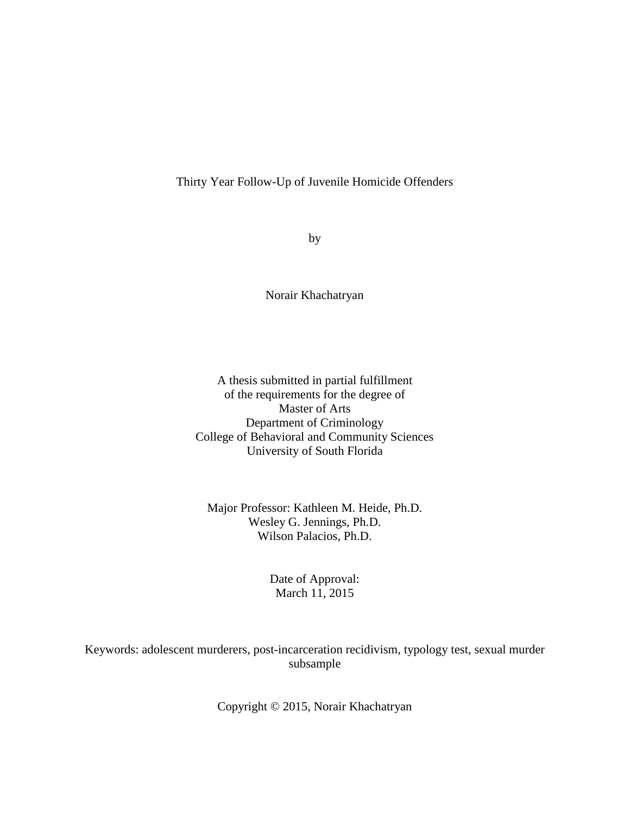## Thirty Year Follow-Up of Juvenile Homicide Offenders

by

Norair Khachatryan

A thesis submitted in partial fulfillment of the requirements for the degree of Master of Arts Department of Criminology College of Behavioral and Community Sciences University of South Florida

Major Professor: Kathleen M. Heide, Ph.D. Wesley G. Jennings, Ph.D. Wilson Palacios, Ph.D.

## Date of Approval: March 11, 2015

Keywords: adolescent murderers, post-incarceration recidivism, typology test, sexual murder subsample

Copyright © 2015, Norair Khachatryan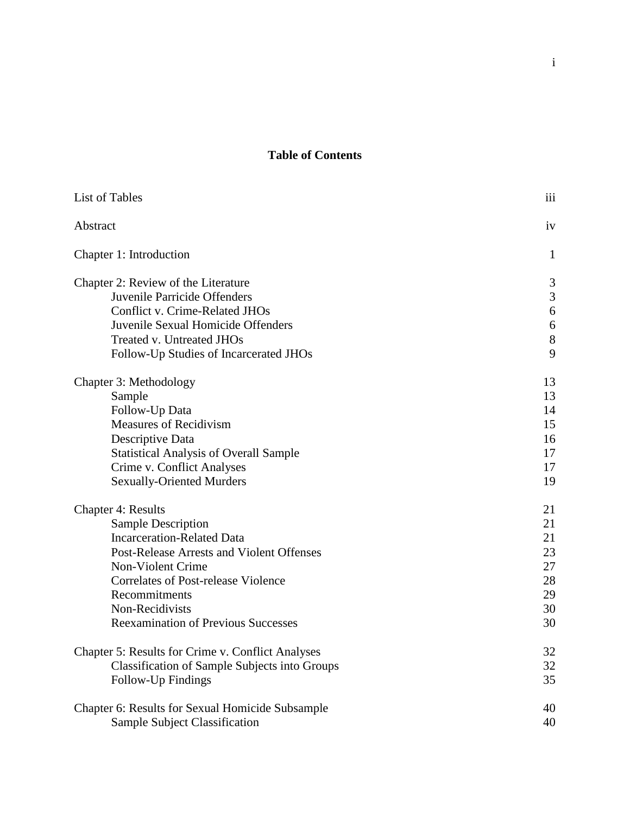# **Table of Contents**

| List of Tables                                       | iii              |
|------------------------------------------------------|------------------|
| Abstract                                             | iv               |
| Chapter 1: Introduction                              | $\mathbf{1}$     |
| Chapter 2: Review of the Literature                  | 3                |
| Juvenile Parricide Offenders                         | $\mathfrak{Z}$   |
| <b>Conflict v. Crime-Related JHOs</b>                | $6\,$            |
| Juvenile Sexual Homicide Offenders                   | $\boldsymbol{6}$ |
| Treated v. Untreated JHOs                            | $8\,$            |
| Follow-Up Studies of Incarcerated JHOs               | 9                |
| Chapter 3: Methodology                               | 13               |
| Sample                                               | 13               |
| Follow-Up Data                                       | 14               |
| <b>Measures of Recidivism</b>                        | 15               |
| Descriptive Data                                     | 16               |
| <b>Statistical Analysis of Overall Sample</b>        | 17               |
| Crime v. Conflict Analyses                           | 17               |
| <b>Sexually-Oriented Murders</b>                     | 19               |
| <b>Chapter 4: Results</b>                            | 21               |
| <b>Sample Description</b>                            | 21               |
| <b>Incarceration-Related Data</b>                    | 21               |
| Post-Release Arrests and Violent Offenses            | 23               |
| Non-Violent Crime                                    | 27               |
| <b>Correlates of Post-release Violence</b>           | 28               |
| Recommitments                                        | 29               |
| Non-Recidivists                                      | 30               |
| <b>Reexamination of Previous Successes</b>           | 30               |
| Chapter 5: Results for Crime v. Conflict Analyses    | 32               |
| <b>Classification of Sample Subjects into Groups</b> | 32               |
| Follow-Up Findings                                   | 35               |
| Chapter 6: Results for Sexual Homicide Subsample     | 40               |
| Sample Subject Classification                        | 40               |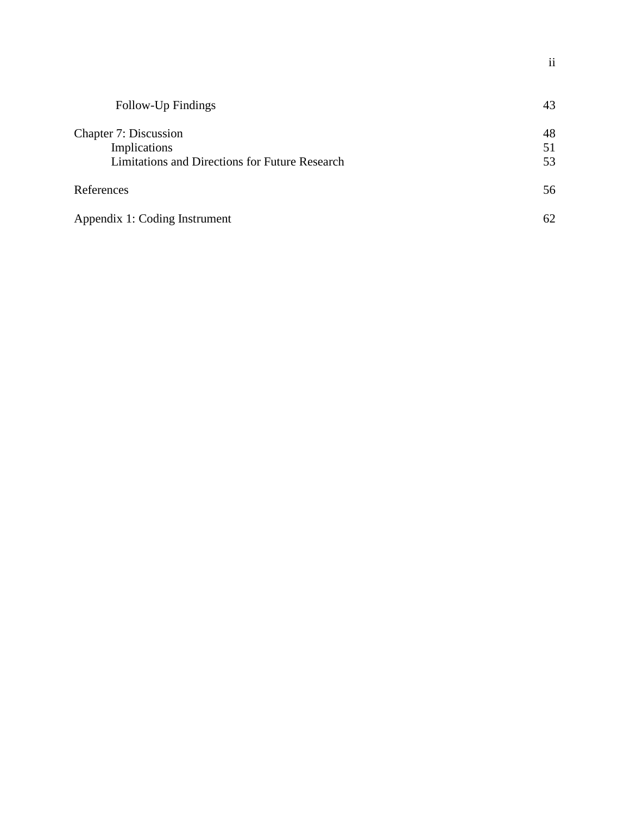| Follow-Up Findings                             | 43 |
|------------------------------------------------|----|
| Chapter 7: Discussion                          | 48 |
| Implications                                   | 51 |
| Limitations and Directions for Future Research | 53 |
| References                                     | 56 |
| Appendix 1: Coding Instrument                  | 62 |

ii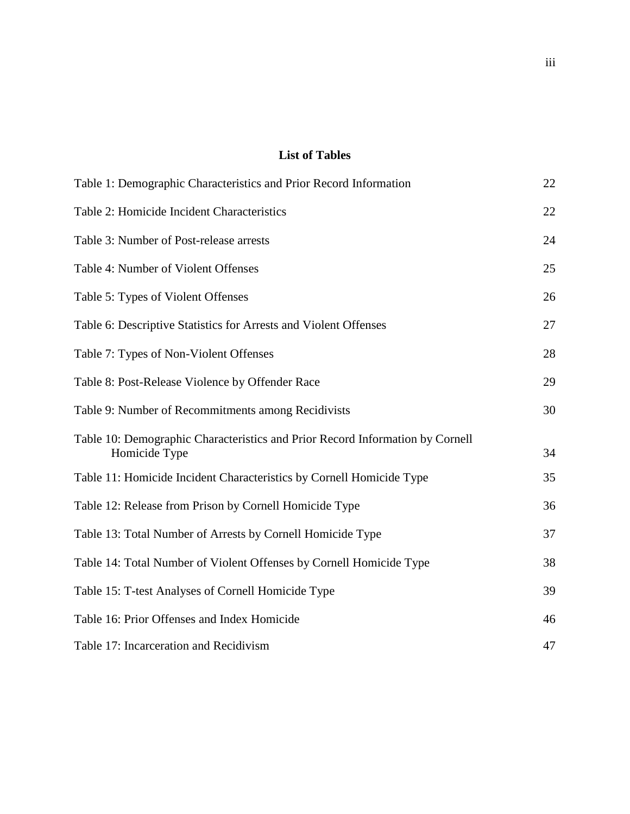## **List of Tables**

| Table 1: Demographic Characteristics and Prior Record Information                              | 22 |
|------------------------------------------------------------------------------------------------|----|
| Table 2: Homicide Incident Characteristics                                                     | 22 |
| Table 3: Number of Post-release arrests                                                        | 24 |
| Table 4: Number of Violent Offenses                                                            | 25 |
| Table 5: Types of Violent Offenses                                                             | 26 |
| Table 6: Descriptive Statistics for Arrests and Violent Offenses                               | 27 |
| Table 7: Types of Non-Violent Offenses                                                         | 28 |
| Table 8: Post-Release Violence by Offender Race                                                | 29 |
| Table 9: Number of Recommitments among Recidivists                                             | 30 |
| Table 10: Demographic Characteristics and Prior Record Information by Cornell<br>Homicide Type | 34 |
| Table 11: Homicide Incident Characteristics by Cornell Homicide Type                           | 35 |
| Table 12: Release from Prison by Cornell Homicide Type                                         | 36 |
| Table 13: Total Number of Arrests by Cornell Homicide Type                                     | 37 |
| Table 14: Total Number of Violent Offenses by Cornell Homicide Type                            | 38 |
| Table 15: T-test Analyses of Cornell Homicide Type                                             | 39 |
| Table 16: Prior Offenses and Index Homicide                                                    | 46 |
| Table 17: Incarceration and Recidivism                                                         | 47 |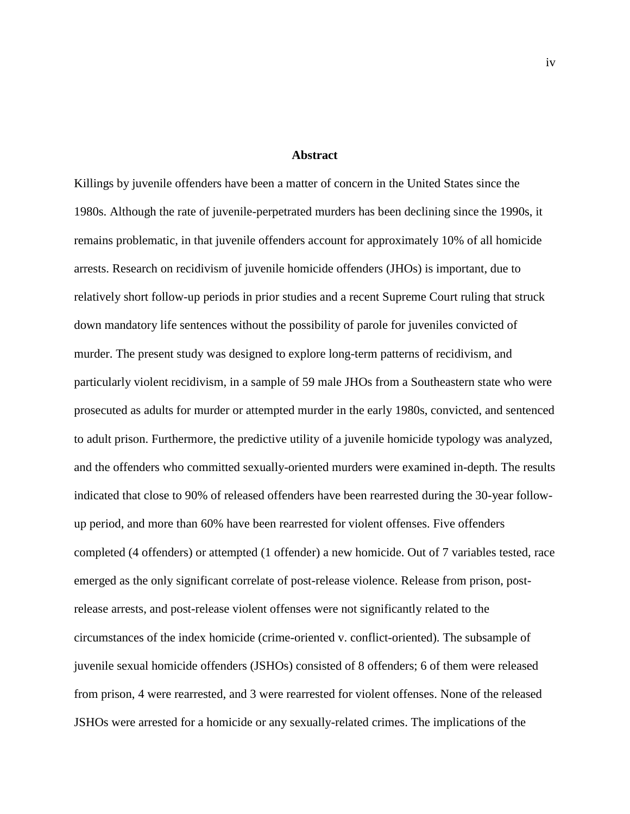#### **Abstract**

Killings by juvenile offenders have been a matter of concern in the United States since the 1980s. Although the rate of juvenile-perpetrated murders has been declining since the 1990s, it remains problematic, in that juvenile offenders account for approximately 10% of all homicide arrests. Research on recidivism of juvenile homicide offenders (JHOs) is important, due to relatively short follow-up periods in prior studies and a recent Supreme Court ruling that struck down mandatory life sentences without the possibility of parole for juveniles convicted of murder. The present study was designed to explore long-term patterns of recidivism, and particularly violent recidivism, in a sample of 59 male JHOs from a Southeastern state who were prosecuted as adults for murder or attempted murder in the early 1980s, convicted, and sentenced to adult prison. Furthermore, the predictive utility of a juvenile homicide typology was analyzed, and the offenders who committed sexually-oriented murders were examined in-depth. The results indicated that close to 90% of released offenders have been rearrested during the 30-year followup period, and more than 60% have been rearrested for violent offenses. Five offenders completed (4 offenders) or attempted (1 offender) a new homicide. Out of 7 variables tested, race emerged as the only significant correlate of post-release violence. Release from prison, postrelease arrests, and post-release violent offenses were not significantly related to the circumstances of the index homicide (crime-oriented v. conflict-oriented). The subsample of juvenile sexual homicide offenders (JSHOs) consisted of 8 offenders; 6 of them were released from prison, 4 were rearrested, and 3 were rearrested for violent offenses. None of the released JSHOs were arrested for a homicide or any sexually-related crimes. The implications of the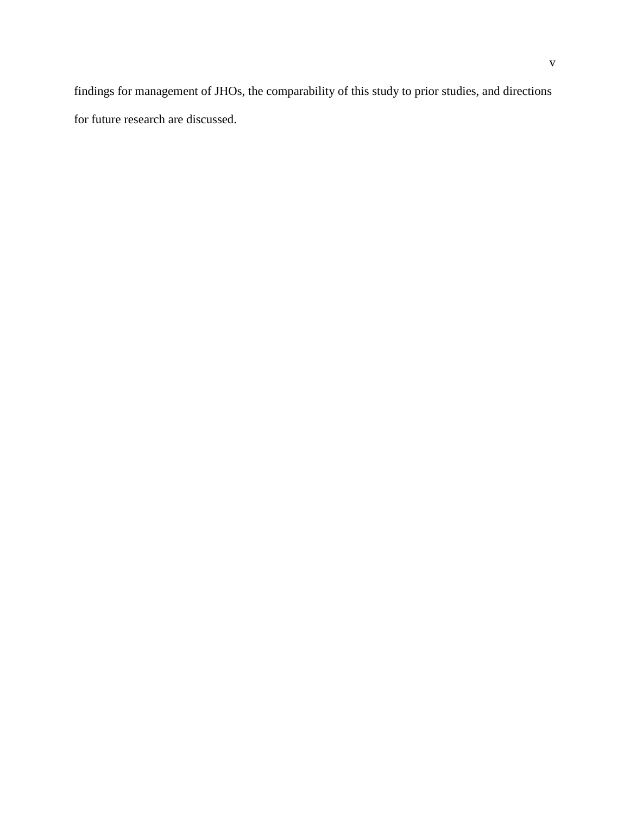findings for management of JHOs, the comparability of this study to prior studies, and directions for future research are discussed.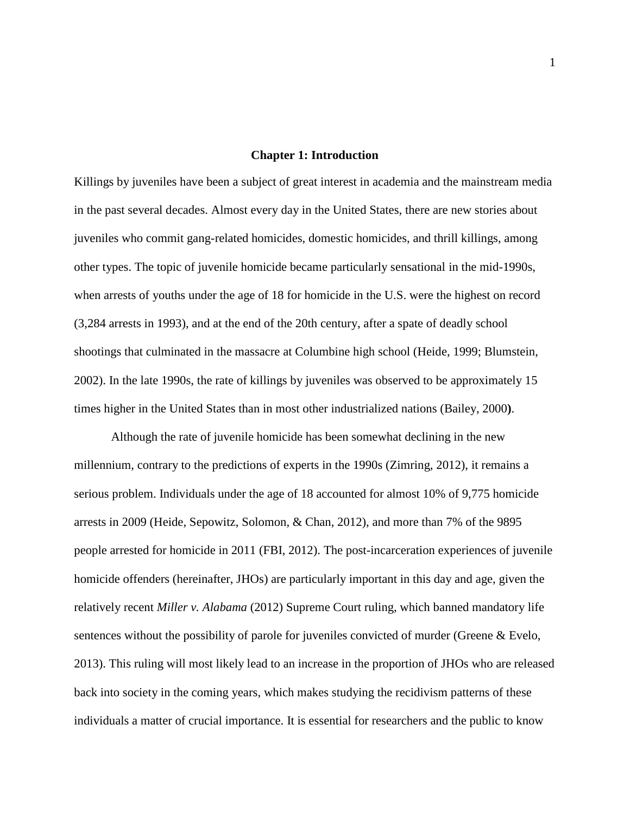#### **Chapter 1: Introduction**

Killings by juveniles have been a subject of great interest in academia and the mainstream media in the past several decades. Almost every day in the United States, there are new stories about juveniles who commit gang-related homicides, domestic homicides, and thrill killings, among other types. The topic of juvenile homicide became particularly sensational in the mid-1990s, when arrests of youths under the age of 18 for homicide in the U.S. were the highest on record (3,284 arrests in 1993), and at the end of the 20th century, after a spate of deadly school shootings that culminated in the massacre at Columbine high school (Heide, 1999; Blumstein, 2002). In the late 1990s, the rate of killings by juveniles was observed to be approximately 15 times higher in the United States than in most other industrialized nations (Bailey, 2000**)**.

Although the rate of juvenile homicide has been somewhat declining in the new millennium, contrary to the predictions of experts in the 1990s (Zimring, 2012), it remains a serious problem. Individuals under the age of 18 accounted for almost 10% of 9,775 homicide arrests in 2009 (Heide, Sepowitz, Solomon, & Chan, 2012), and more than 7% of the 9895 people arrested for homicide in 2011 (FBI, 2012). The post-incarceration experiences of juvenile homicide offenders (hereinafter, JHOs) are particularly important in this day and age, given the relatively recent *Miller v. Alabama* (2012) Supreme Court ruling, which banned mandatory life sentences without the possibility of parole for juveniles convicted of murder (Greene & Evelo, 2013). This ruling will most likely lead to an increase in the proportion of JHOs who are released back into society in the coming years, which makes studying the recidivism patterns of these individuals a matter of crucial importance. It is essential for researchers and the public to know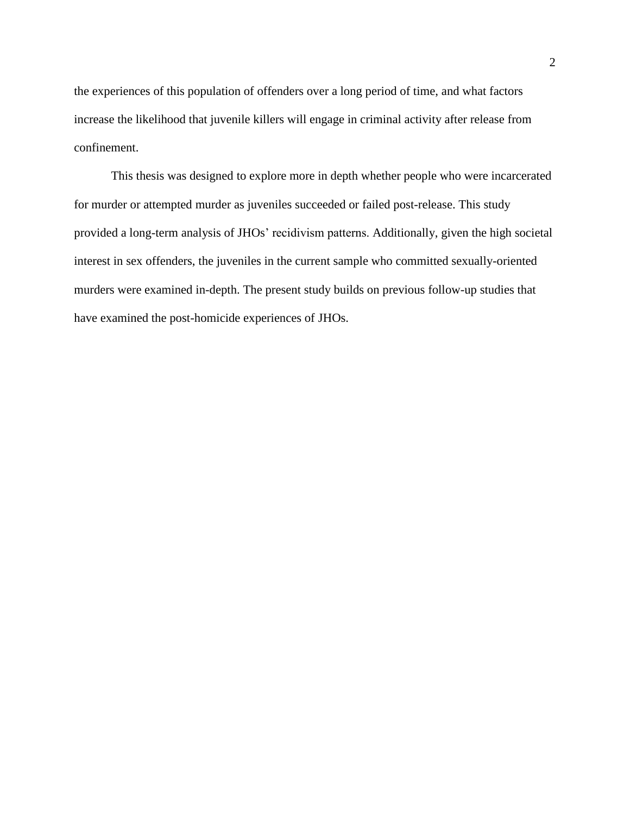the experiences of this population of offenders over a long period of time, and what factors increase the likelihood that juvenile killers will engage in criminal activity after release from confinement.

This thesis was designed to explore more in depth whether people who were incarcerated for murder or attempted murder as juveniles succeeded or failed post-release. This study provided a long-term analysis of JHOs' recidivism patterns. Additionally, given the high societal interest in sex offenders, the juveniles in the current sample who committed sexually-oriented murders were examined in-depth. The present study builds on previous follow-up studies that have examined the post-homicide experiences of JHOs.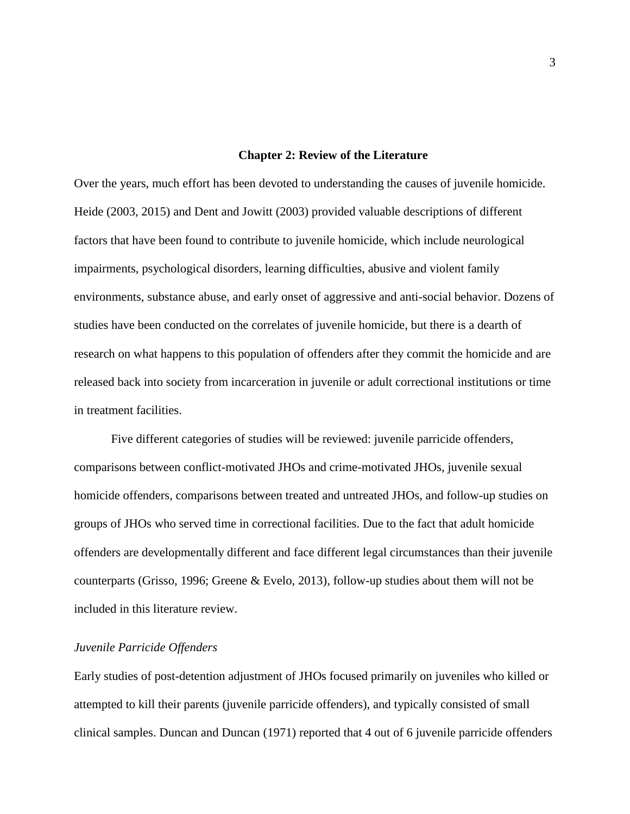#### **Chapter 2: Review of the Literature**

Over the years, much effort has been devoted to understanding the causes of juvenile homicide. Heide (2003, 2015) and Dent and Jowitt (2003) provided valuable descriptions of different factors that have been found to contribute to juvenile homicide, which include neurological impairments, psychological disorders, learning difficulties, abusive and violent family environments, substance abuse, and early onset of aggressive and anti-social behavior. Dozens of studies have been conducted on the correlates of juvenile homicide, but there is a dearth of research on what happens to this population of offenders after they commit the homicide and are released back into society from incarceration in juvenile or adult correctional institutions or time in treatment facilities.

Five different categories of studies will be reviewed: juvenile parricide offenders, comparisons between conflict-motivated JHOs and crime-motivated JHOs, juvenile sexual homicide offenders, comparisons between treated and untreated JHOs, and follow-up studies on groups of JHOs who served time in correctional facilities. Due to the fact that adult homicide offenders are developmentally different and face different legal circumstances than their juvenile counterparts (Grisso, 1996; Greene & Evelo, 2013), follow-up studies about them will not be included in this literature review.

#### *Juvenile Parricide Offenders*

Early studies of post-detention adjustment of JHOs focused primarily on juveniles who killed or attempted to kill their parents (juvenile parricide offenders), and typically consisted of small clinical samples. Duncan and Duncan (1971) reported that 4 out of 6 juvenile parricide offenders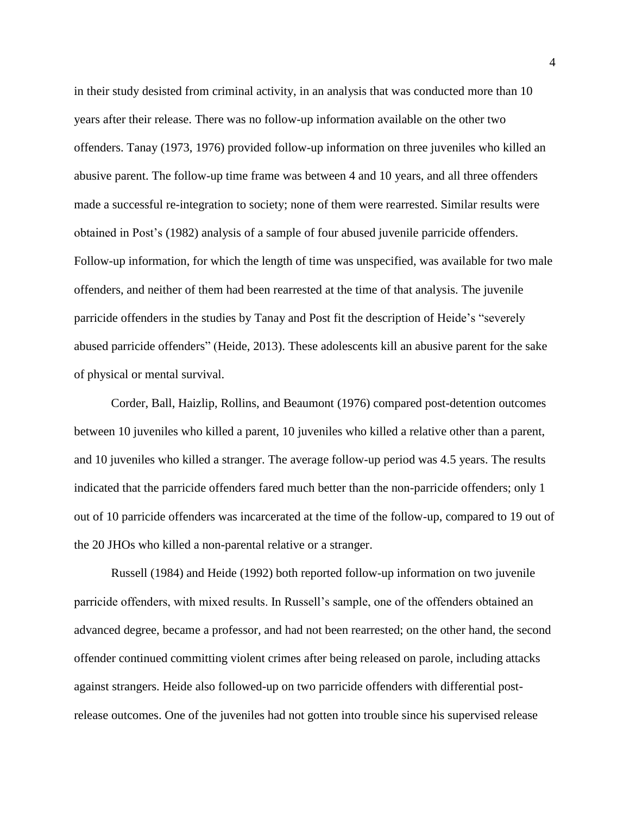in their study desisted from criminal activity, in an analysis that was conducted more than 10 years after their release. There was no follow-up information available on the other two offenders. Tanay (1973, 1976) provided follow-up information on three juveniles who killed an abusive parent. The follow-up time frame was between 4 and 10 years, and all three offenders made a successful re-integration to society; none of them were rearrested. Similar results were obtained in Post's (1982) analysis of a sample of four abused juvenile parricide offenders. Follow-up information, for which the length of time was unspecified, was available for two male offenders, and neither of them had been rearrested at the time of that analysis. The juvenile parricide offenders in the studies by Tanay and Post fit the description of Heide's "severely abused parricide offenders" (Heide, 2013). These adolescents kill an abusive parent for the sake of physical or mental survival.

Corder, Ball, Haizlip, Rollins, and Beaumont (1976) compared post-detention outcomes between 10 juveniles who killed a parent, 10 juveniles who killed a relative other than a parent, and 10 juveniles who killed a stranger. The average follow-up period was 4.5 years. The results indicated that the parricide offenders fared much better than the non-parricide offenders; only 1 out of 10 parricide offenders was incarcerated at the time of the follow-up, compared to 19 out of the 20 JHOs who killed a non-parental relative or a stranger.

Russell (1984) and Heide (1992) both reported follow-up information on two juvenile parricide offenders, with mixed results. In Russell's sample, one of the offenders obtained an advanced degree, became a professor, and had not been rearrested; on the other hand, the second offender continued committing violent crimes after being released on parole, including attacks against strangers. Heide also followed-up on two parricide offenders with differential postrelease outcomes. One of the juveniles had not gotten into trouble since his supervised release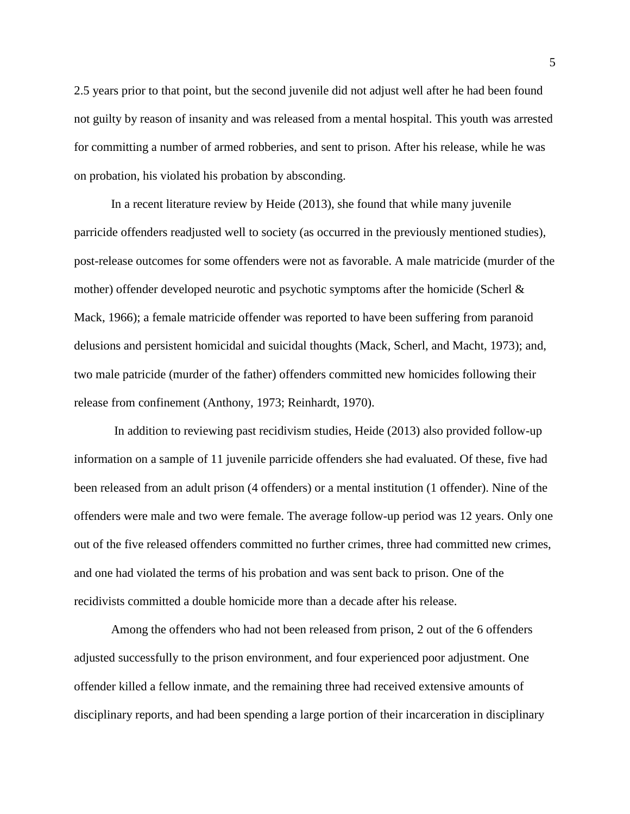2.5 years prior to that point, but the second juvenile did not adjust well after he had been found not guilty by reason of insanity and was released from a mental hospital. This youth was arrested for committing a number of armed robberies, and sent to prison. After his release, while he was on probation, his violated his probation by absconding.

In a recent literature review by Heide (2013), she found that while many juvenile parricide offenders readjusted well to society (as occurred in the previously mentioned studies), post-release outcomes for some offenders were not as favorable. A male matricide (murder of the mother) offender developed neurotic and psychotic symptoms after the homicide (Scherl & Mack, 1966); a female matricide offender was reported to have been suffering from paranoid delusions and persistent homicidal and suicidal thoughts (Mack, Scherl, and Macht, 1973); and, two male patricide (murder of the father) offenders committed new homicides following their release from confinement (Anthony, 1973; Reinhardt, 1970).

In addition to reviewing past recidivism studies, Heide (2013) also provided follow-up information on a sample of 11 juvenile parricide offenders she had evaluated. Of these, five had been released from an adult prison (4 offenders) or a mental institution (1 offender). Nine of the offenders were male and two were female. The average follow-up period was 12 years. Only one out of the five released offenders committed no further crimes, three had committed new crimes, and one had violated the terms of his probation and was sent back to prison. One of the recidivists committed a double homicide more than a decade after his release.

Among the offenders who had not been released from prison, 2 out of the 6 offenders adjusted successfully to the prison environment, and four experienced poor adjustment. One offender killed a fellow inmate, and the remaining three had received extensive amounts of disciplinary reports, and had been spending a large portion of their incarceration in disciplinary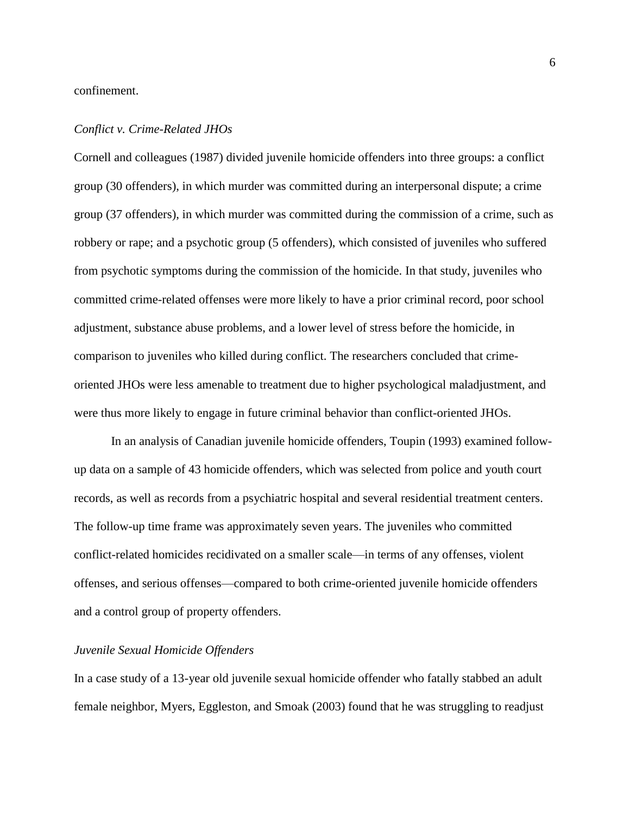confinement.

#### *Conflict v. Crime-Related JHOs*

Cornell and colleagues (1987) divided juvenile homicide offenders into three groups: a conflict group (30 offenders), in which murder was committed during an interpersonal dispute; a crime group (37 offenders), in which murder was committed during the commission of a crime, such as robbery or rape; and a psychotic group (5 offenders), which consisted of juveniles who suffered from psychotic symptoms during the commission of the homicide. In that study, juveniles who committed crime-related offenses were more likely to have a prior criminal record, poor school adjustment, substance abuse problems, and a lower level of stress before the homicide, in comparison to juveniles who killed during conflict. The researchers concluded that crimeoriented JHOs were less amenable to treatment due to higher psychological maladjustment, and were thus more likely to engage in future criminal behavior than conflict-oriented JHOs.

In an analysis of Canadian juvenile homicide offenders, Toupin (1993) examined followup data on a sample of 43 homicide offenders, which was selected from police and youth court records, as well as records from a psychiatric hospital and several residential treatment centers. The follow-up time frame was approximately seven years. The juveniles who committed conflict-related homicides recidivated on a smaller scale—in terms of any offenses, violent offenses, and serious offenses—compared to both crime-oriented juvenile homicide offenders and a control group of property offenders.

#### *Juvenile Sexual Homicide Offenders*

In a case study of a 13-year old juvenile sexual homicide offender who fatally stabbed an adult female neighbor, Myers, Eggleston, and Smoak (2003) found that he was struggling to readjust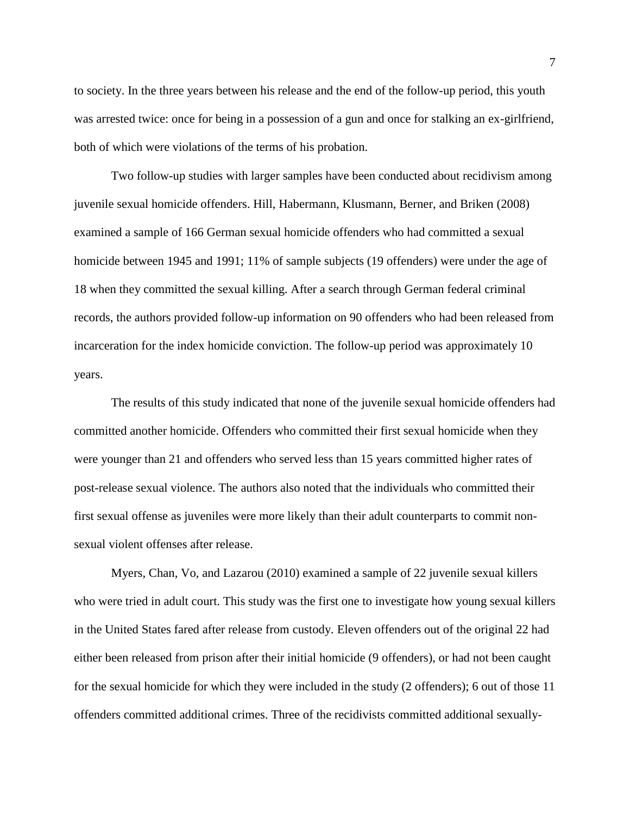to society. In the three years between his release and the end of the follow-up period, this youth was arrested twice: once for being in a possession of a gun and once for stalking an ex-girlfriend, both of which were violations of the terms of his probation.

Two follow-up studies with larger samples have been conducted about recidivism among juvenile sexual homicide offenders. Hill, Habermann, Klusmann, Berner, and Briken (2008) examined a sample of 166 German sexual homicide offenders who had committed a sexual homicide between 1945 and 1991; 11% of sample subjects (19 offenders) were under the age of 18 when they committed the sexual killing. After a search through German federal criminal records, the authors provided follow-up information on 90 offenders who had been released from incarceration for the index homicide conviction. The follow-up period was approximately 10 years.

The results of this study indicated that none of the juvenile sexual homicide offenders had committed another homicide. Offenders who committed their first sexual homicide when they were younger than 21 and offenders who served less than 15 years committed higher rates of post-release sexual violence. The authors also noted that the individuals who committed their first sexual offense as juveniles were more likely than their adult counterparts to commit nonsexual violent offenses after release.

Myers, Chan, Vo, and Lazarou (2010) examined a sample of 22 juvenile sexual killers who were tried in adult court. This study was the first one to investigate how young sexual killers in the United States fared after release from custody. Eleven offenders out of the original 22 had either been released from prison after their initial homicide (9 offenders), or had not been caught for the sexual homicide for which they were included in the study (2 offenders); 6 out of those 11 offenders committed additional crimes. Three of the recidivists committed additional sexually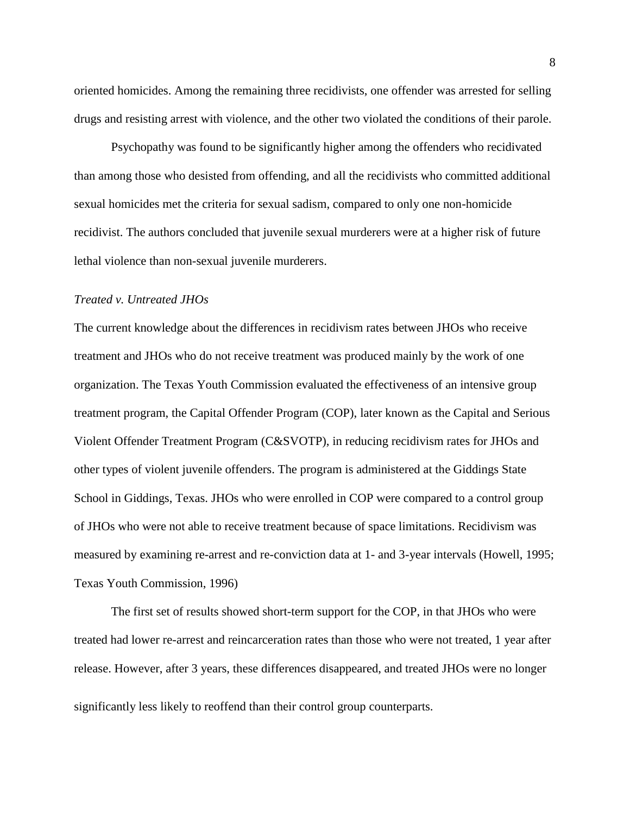oriented homicides. Among the remaining three recidivists, one offender was arrested for selling drugs and resisting arrest with violence, and the other two violated the conditions of their parole.

Psychopathy was found to be significantly higher among the offenders who recidivated than among those who desisted from offending, and all the recidivists who committed additional sexual homicides met the criteria for sexual sadism, compared to only one non-homicide recidivist. The authors concluded that juvenile sexual murderers were at a higher risk of future lethal violence than non-sexual juvenile murderers.

#### *Treated v. Untreated JHOs*

The current knowledge about the differences in recidivism rates between JHOs who receive treatment and JHOs who do not receive treatment was produced mainly by the work of one organization. The Texas Youth Commission evaluated the effectiveness of an intensive group treatment program, the Capital Offender Program (COP), later known as the Capital and Serious Violent Offender Treatment Program (C&SVOTP), in reducing recidivism rates for JHOs and other types of violent juvenile offenders. The program is administered at the Giddings State School in Giddings, Texas. JHOs who were enrolled in COP were compared to a control group of JHOs who were not able to receive treatment because of space limitations. Recidivism was measured by examining re-arrest and re-conviction data at 1- and 3-year intervals (Howell, 1995; Texas Youth Commission, 1996)

The first set of results showed short-term support for the COP, in that JHOs who were treated had lower re-arrest and reincarceration rates than those who were not treated, 1 year after release. However, after 3 years, these differences disappeared, and treated JHOs were no longer significantly less likely to reoffend than their control group counterparts.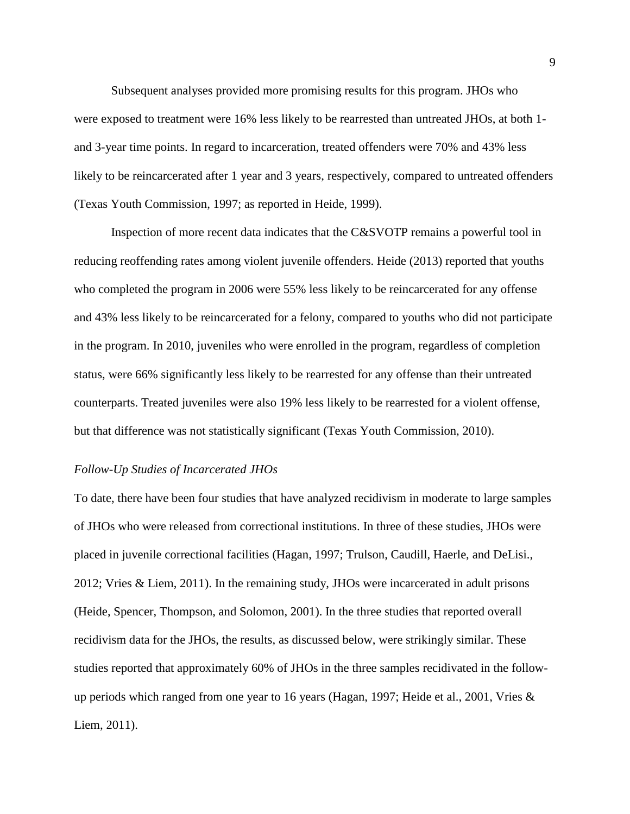Subsequent analyses provided more promising results for this program. JHOs who were exposed to treatment were 16% less likely to be rearrested than untreated JHOs, at both 1 and 3-year time points. In regard to incarceration, treated offenders were 70% and 43% less likely to be reincarcerated after 1 year and 3 years, respectively, compared to untreated offenders (Texas Youth Commission, 1997; as reported in Heide, 1999).

Inspection of more recent data indicates that the C&SVOTP remains a powerful tool in reducing reoffending rates among violent juvenile offenders. Heide (2013) reported that youths who completed the program in 2006 were 55% less likely to be reincarcerated for any offense and 43% less likely to be reincarcerated for a felony, compared to youths who did not participate in the program. In 2010, juveniles who were enrolled in the program, regardless of completion status, were 66% significantly less likely to be rearrested for any offense than their untreated counterparts. Treated juveniles were also 19% less likely to be rearrested for a violent offense, but that difference was not statistically significant (Texas Youth Commission, 2010).

#### *Follow-Up Studies of Incarcerated JHOs*

To date, there have been four studies that have analyzed recidivism in moderate to large samples of JHOs who were released from correctional institutions. In three of these studies, JHOs were placed in juvenile correctional facilities (Hagan, 1997; Trulson, Caudill, Haerle, and DeLisi., 2012; Vries & Liem, 2011). In the remaining study, JHOs were incarcerated in adult prisons (Heide, Spencer, Thompson, and Solomon, 2001). In the three studies that reported overall recidivism data for the JHOs, the results, as discussed below, were strikingly similar. These studies reported that approximately 60% of JHOs in the three samples recidivated in the followup periods which ranged from one year to 16 years (Hagan, 1997; Heide et al., 2001, Vries & Liem, 2011).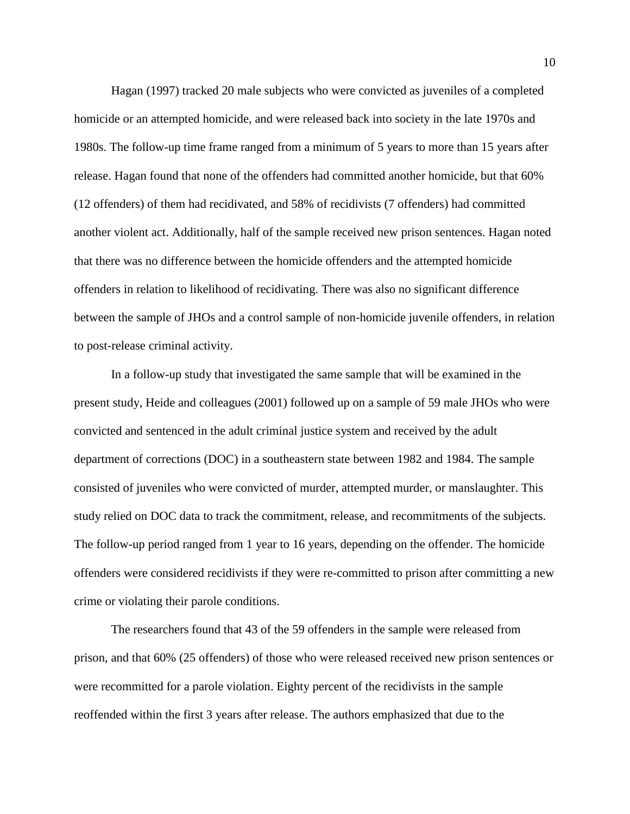Hagan (1997) tracked 20 male subjects who were convicted as juveniles of a completed homicide or an attempted homicide, and were released back into society in the late 1970s and 1980s. The follow-up time frame ranged from a minimum of 5 years to more than 15 years after release. Hagan found that none of the offenders had committed another homicide, but that 60% (12 offenders) of them had recidivated, and 58% of recidivists (7 offenders) had committed another violent act. Additionally, half of the sample received new prison sentences. Hagan noted that there was no difference between the homicide offenders and the attempted homicide offenders in relation to likelihood of recidivating. There was also no significant difference between the sample of JHOs and a control sample of non-homicide juvenile offenders, in relation to post-release criminal activity.

In a follow-up study that investigated the same sample that will be examined in the present study, Heide and colleagues (2001) followed up on a sample of 59 male JHOs who were convicted and sentenced in the adult criminal justice system and received by the adult department of corrections (DOC) in a southeastern state between 1982 and 1984. The sample consisted of juveniles who were convicted of murder, attempted murder, or manslaughter. This study relied on DOC data to track the commitment, release, and recommitments of the subjects. The follow-up period ranged from 1 year to 16 years, depending on the offender. The homicide offenders were considered recidivists if they were re-committed to prison after committing a new crime or violating their parole conditions.

The researchers found that 43 of the 59 offenders in the sample were released from prison, and that 60% (25 offenders) of those who were released received new prison sentences or were recommitted for a parole violation. Eighty percent of the recidivists in the sample reoffended within the first 3 years after release. The authors emphasized that due to the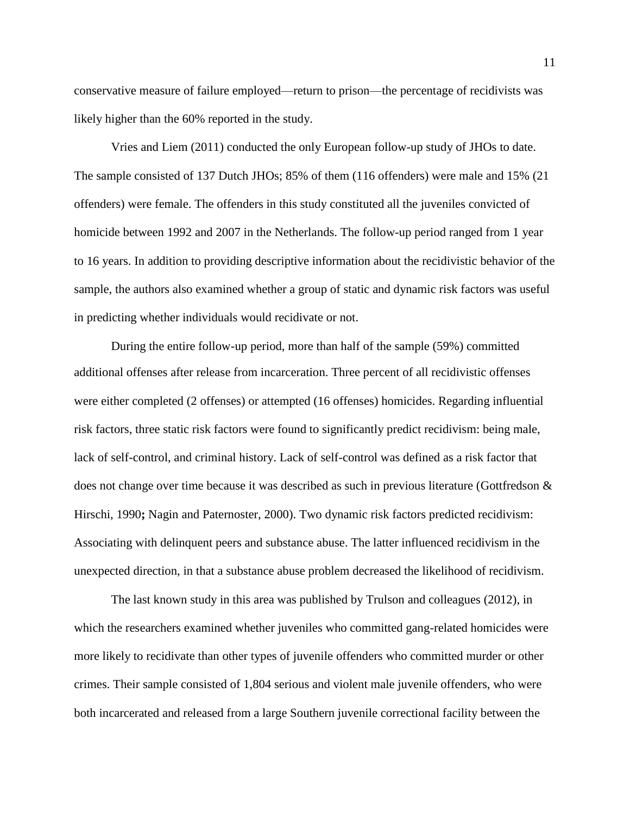conservative measure of failure employed—return to prison—the percentage of recidivists was likely higher than the 60% reported in the study.

Vries and Liem (2011) conducted the only European follow-up study of JHOs to date. The sample consisted of 137 Dutch JHOs; 85% of them (116 offenders) were male and 15% (21 offenders) were female. The offenders in this study constituted all the juveniles convicted of homicide between 1992 and 2007 in the Netherlands. The follow-up period ranged from 1 year to 16 years. In addition to providing descriptive information about the recidivistic behavior of the sample, the authors also examined whether a group of static and dynamic risk factors was useful in predicting whether individuals would recidivate or not.

During the entire follow-up period, more than half of the sample (59%) committed additional offenses after release from incarceration. Three percent of all recidivistic offenses were either completed (2 offenses) or attempted (16 offenses) homicides. Regarding influential risk factors, three static risk factors were found to significantly predict recidivism: being male, lack of self-control, and criminal history. Lack of self-control was defined as a risk factor that does not change over time because it was described as such in previous literature (Gottfredson & Hirschi, 1990**;** Nagin and Paternoster, 2000). Two dynamic risk factors predicted recidivism: Associating with delinquent peers and substance abuse. The latter influenced recidivism in the unexpected direction, in that a substance abuse problem decreased the likelihood of recidivism.

The last known study in this area was published by Trulson and colleagues (2012), in which the researchers examined whether juveniles who committed gang-related homicides were more likely to recidivate than other types of juvenile offenders who committed murder or other crimes. Their sample consisted of 1,804 serious and violent male juvenile offenders, who were both incarcerated and released from a large Southern juvenile correctional facility between the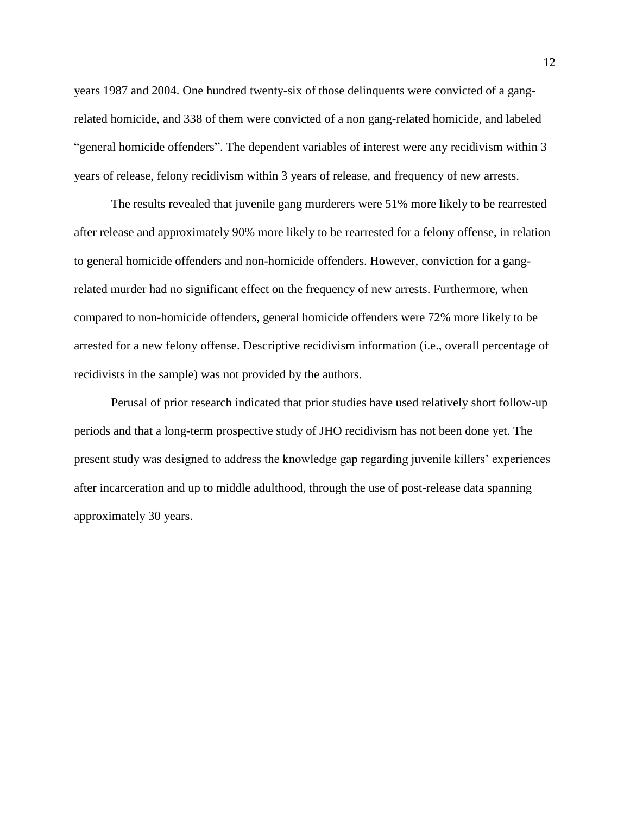years 1987 and 2004. One hundred twenty-six of those delinquents were convicted of a gangrelated homicide, and 338 of them were convicted of a non gang-related homicide, and labeled "general homicide offenders". The dependent variables of interest were any recidivism within 3 years of release, felony recidivism within 3 years of release, and frequency of new arrests.

The results revealed that juvenile gang murderers were 51% more likely to be rearrested after release and approximately 90% more likely to be rearrested for a felony offense, in relation to general homicide offenders and non-homicide offenders. However, conviction for a gangrelated murder had no significant effect on the frequency of new arrests. Furthermore, when compared to non-homicide offenders, general homicide offenders were 72% more likely to be arrested for a new felony offense. Descriptive recidivism information (i.e., overall percentage of recidivists in the sample) was not provided by the authors.

Perusal of prior research indicated that prior studies have used relatively short follow-up periods and that a long-term prospective study of JHO recidivism has not been done yet. The present study was designed to address the knowledge gap regarding juvenile killers' experiences after incarceration and up to middle adulthood, through the use of post-release data spanning approximately 30 years.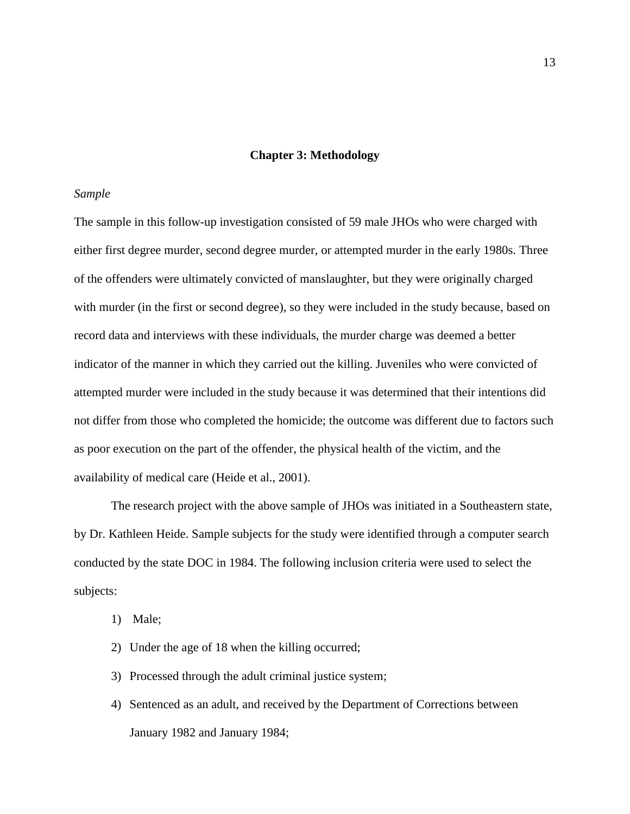#### **Chapter 3: Methodology**

#### *Sample*

The sample in this follow-up investigation consisted of 59 male JHOs who were charged with either first degree murder, second degree murder, or attempted murder in the early 1980s. Three of the offenders were ultimately convicted of manslaughter, but they were originally charged with murder (in the first or second degree), so they were included in the study because, based on record data and interviews with these individuals, the murder charge was deemed a better indicator of the manner in which they carried out the killing. Juveniles who were convicted of attempted murder were included in the study because it was determined that their intentions did not differ from those who completed the homicide; the outcome was different due to factors such as poor execution on the part of the offender, the physical health of the victim, and the availability of medical care (Heide et al., 2001).

The research project with the above sample of JHOs was initiated in a Southeastern state, by Dr. Kathleen Heide. Sample subjects for the study were identified through a computer search conducted by the state DOC in 1984. The following inclusion criteria were used to select the subjects:

- 1) Male;
- 2) Under the age of 18 when the killing occurred;
- 3) Processed through the adult criminal justice system;
- 4) Sentenced as an adult, and received by the Department of Corrections between January 1982 and January 1984;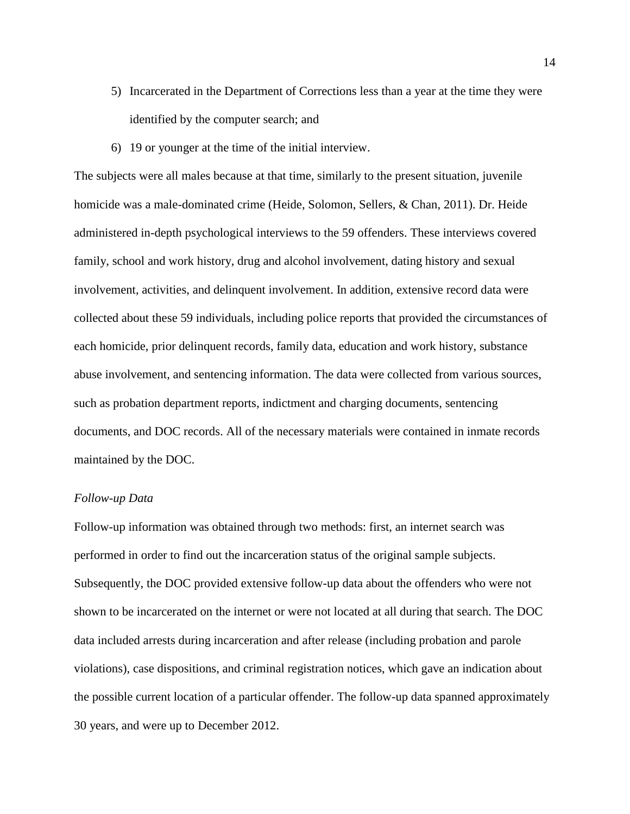- 5) Incarcerated in the Department of Corrections less than a year at the time they were identified by the computer search; and
- 6) 19 or younger at the time of the initial interview.

The subjects were all males because at that time, similarly to the present situation, juvenile homicide was a male-dominated crime (Heide, Solomon, Sellers, & Chan, 2011). Dr. Heide administered in-depth psychological interviews to the 59 offenders. These interviews covered family, school and work history, drug and alcohol involvement, dating history and sexual involvement, activities, and delinquent involvement. In addition, extensive record data were collected about these 59 individuals, including police reports that provided the circumstances of each homicide, prior delinquent records, family data, education and work history, substance abuse involvement, and sentencing information. The data were collected from various sources, such as probation department reports, indictment and charging documents, sentencing documents, and DOC records. All of the necessary materials were contained in inmate records maintained by the DOC.

#### *Follow-up Data*

Follow-up information was obtained through two methods: first, an internet search was performed in order to find out the incarceration status of the original sample subjects. Subsequently, the DOC provided extensive follow-up data about the offenders who were not shown to be incarcerated on the internet or were not located at all during that search. The DOC data included arrests during incarceration and after release (including probation and parole violations), case dispositions, and criminal registration notices, which gave an indication about the possible current location of a particular offender. The follow-up data spanned approximately 30 years, and were up to December 2012.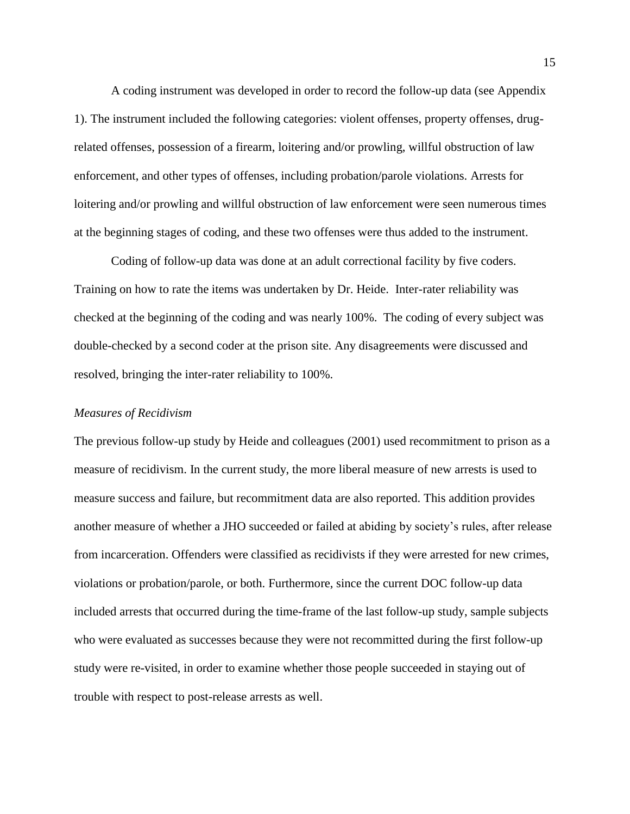A coding instrument was developed in order to record the follow-up data (see Appendix 1). The instrument included the following categories: violent offenses, property offenses, drugrelated offenses, possession of a firearm, loitering and/or prowling, willful obstruction of law enforcement, and other types of offenses, including probation/parole violations. Arrests for loitering and/or prowling and willful obstruction of law enforcement were seen numerous times at the beginning stages of coding, and these two offenses were thus added to the instrument.

Coding of follow-up data was done at an adult correctional facility by five coders. Training on how to rate the items was undertaken by Dr. Heide. Inter-rater reliability was checked at the beginning of the coding and was nearly 100%. The coding of every subject was double-checked by a second coder at the prison site. Any disagreements were discussed and resolved, bringing the inter-rater reliability to 100%.

#### *Measures of Recidivism*

The previous follow-up study by Heide and colleagues (2001) used recommitment to prison as a measure of recidivism. In the current study, the more liberal measure of new arrests is used to measure success and failure, but recommitment data are also reported. This addition provides another measure of whether a JHO succeeded or failed at abiding by society's rules, after release from incarceration. Offenders were classified as recidivists if they were arrested for new crimes, violations or probation/parole, or both. Furthermore, since the current DOC follow-up data included arrests that occurred during the time-frame of the last follow-up study, sample subjects who were evaluated as successes because they were not recommitted during the first follow-up study were re-visited, in order to examine whether those people succeeded in staying out of trouble with respect to post-release arrests as well.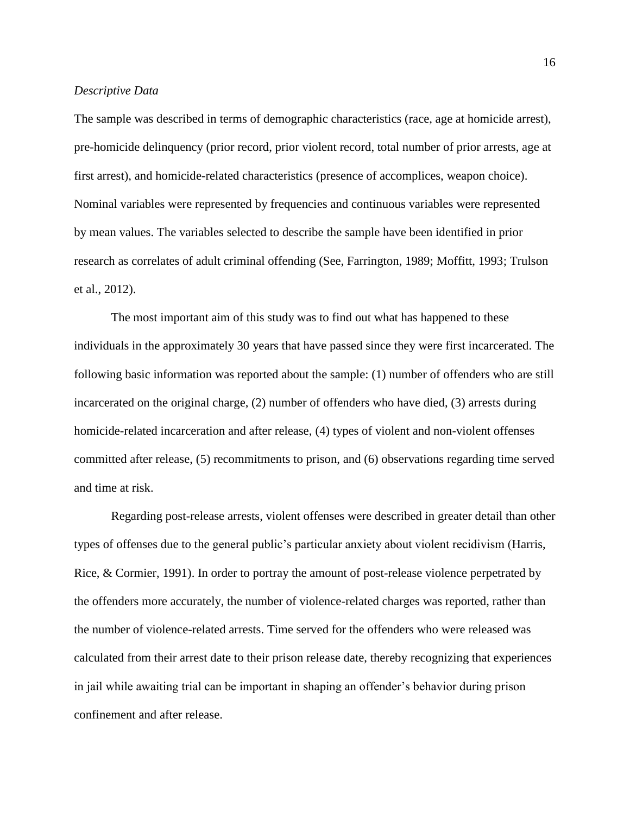#### *Descriptive Data*

The sample was described in terms of demographic characteristics (race, age at homicide arrest), pre-homicide delinquency (prior record, prior violent record, total number of prior arrests, age at first arrest), and homicide-related characteristics (presence of accomplices, weapon choice). Nominal variables were represented by frequencies and continuous variables were represented by mean values. The variables selected to describe the sample have been identified in prior research as correlates of adult criminal offending (See, Farrington, 1989; Moffitt, 1993; Trulson et al., 2012).

The most important aim of this study was to find out what has happened to these individuals in the approximately 30 years that have passed since they were first incarcerated. The following basic information was reported about the sample: (1) number of offenders who are still incarcerated on the original charge, (2) number of offenders who have died, (3) arrests during homicide-related incarceration and after release, (4) types of violent and non-violent offenses committed after release, (5) recommitments to prison, and (6) observations regarding time served and time at risk.

Regarding post-release arrests, violent offenses were described in greater detail than other types of offenses due to the general public's particular anxiety about violent recidivism (Harris, Rice, & Cormier, 1991). In order to portray the amount of post-release violence perpetrated by the offenders more accurately, the number of violence-related charges was reported, rather than the number of violence-related arrests. Time served for the offenders who were released was calculated from their arrest date to their prison release date, thereby recognizing that experiences in jail while awaiting trial can be important in shaping an offender's behavior during prison confinement and after release.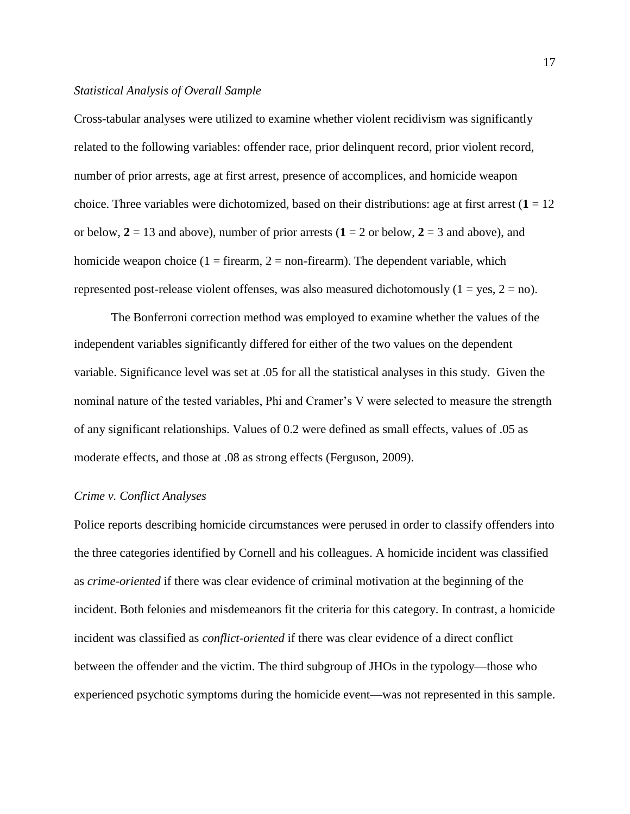#### *Statistical Analysis of Overall Sample*

Cross-tabular analyses were utilized to examine whether violent recidivism was significantly related to the following variables: offender race, prior delinquent record, prior violent record, number of prior arrests, age at first arrest, presence of accomplices, and homicide weapon choice. Three variables were dichotomized, based on their distributions: age at first arrest  $(1 = 12$ or below,  $2 = 13$  and above), number of prior arrests ( $1 = 2$  or below,  $2 = 3$  and above), and homicide weapon choice  $(1 = \text{firearm}, 2 = \text{non firearm})$ . The dependent variable, which represented post-release violent offenses, was also measured dichotomously  $(1 = \text{ves}, 2 = \text{no})$ .

The Bonferroni correction method was employed to examine whether the values of the independent variables significantly differed for either of the two values on the dependent variable. Significance level was set at .05 for all the statistical analyses in this study. Given the nominal nature of the tested variables, Phi and Cramer's V were selected to measure the strength of any significant relationships. Values of 0.2 were defined as small effects, values of .05 as moderate effects, and those at .08 as strong effects (Ferguson, 2009).

#### *Crime v. Conflict Analyses*

Police reports describing homicide circumstances were perused in order to classify offenders into the three categories identified by Cornell and his colleagues. A homicide incident was classified as *crime-oriented* if there was clear evidence of criminal motivation at the beginning of the incident. Both felonies and misdemeanors fit the criteria for this category. In contrast, a homicide incident was classified as *conflict-oriented* if there was clear evidence of a direct conflict between the offender and the victim. The third subgroup of JHOs in the typology—those who experienced psychotic symptoms during the homicide event—was not represented in this sample.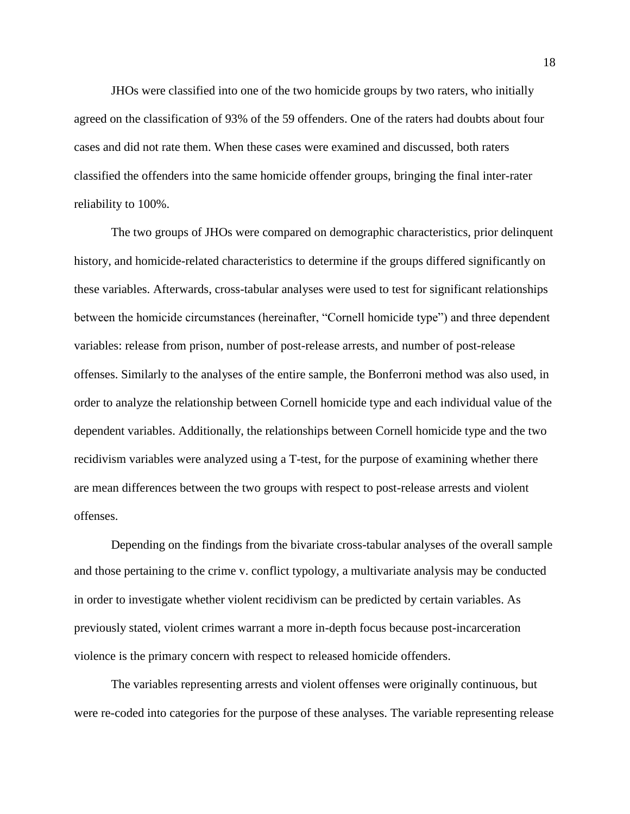JHOs were classified into one of the two homicide groups by two raters, who initially agreed on the classification of 93% of the 59 offenders. One of the raters had doubts about four cases and did not rate them. When these cases were examined and discussed, both raters classified the offenders into the same homicide offender groups, bringing the final inter-rater reliability to 100%.

The two groups of JHOs were compared on demographic characteristics, prior delinquent history, and homicide-related characteristics to determine if the groups differed significantly on these variables. Afterwards, cross-tabular analyses were used to test for significant relationships between the homicide circumstances (hereinafter, "Cornell homicide type") and three dependent variables: release from prison, number of post-release arrests, and number of post-release offenses. Similarly to the analyses of the entire sample, the Bonferroni method was also used, in order to analyze the relationship between Cornell homicide type and each individual value of the dependent variables. Additionally, the relationships between Cornell homicide type and the two recidivism variables were analyzed using a T-test, for the purpose of examining whether there are mean differences between the two groups with respect to post-release arrests and violent offenses.

Depending on the findings from the bivariate cross-tabular analyses of the overall sample and those pertaining to the crime v. conflict typology, a multivariate analysis may be conducted in order to investigate whether violent recidivism can be predicted by certain variables. As previously stated, violent crimes warrant a more in-depth focus because post-incarceration violence is the primary concern with respect to released homicide offenders.

The variables representing arrests and violent offenses were originally continuous, but were re-coded into categories for the purpose of these analyses. The variable representing release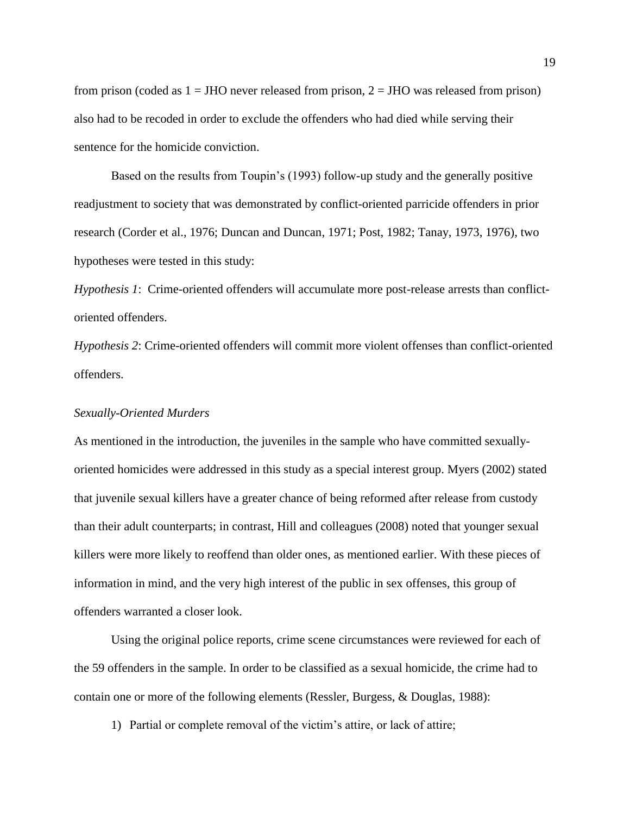from prison (coded as  $1 =$  JHO never released from prison,  $2 =$  JHO was released from prison) also had to be recoded in order to exclude the offenders who had died while serving their sentence for the homicide conviction.

Based on the results from Toupin's (1993) follow-up study and the generally positive readjustment to society that was demonstrated by conflict-oriented parricide offenders in prior research (Corder et al., 1976; Duncan and Duncan, 1971; Post, 1982; Tanay, 1973, 1976), two hypotheses were tested in this study:

*Hypothesis 1*: Crime-oriented offenders will accumulate more post-release arrests than conflictoriented offenders.

*Hypothesis 2*: Crime-oriented offenders will commit more violent offenses than conflict-oriented offenders.

#### *Sexually-Oriented Murders*

As mentioned in the introduction, the juveniles in the sample who have committed sexuallyoriented homicides were addressed in this study as a special interest group. Myers (2002) stated that juvenile sexual killers have a greater chance of being reformed after release from custody than their adult counterparts; in contrast, Hill and colleagues (2008) noted that younger sexual killers were more likely to reoffend than older ones, as mentioned earlier. With these pieces of information in mind, and the very high interest of the public in sex offenses, this group of offenders warranted a closer look.

Using the original police reports, crime scene circumstances were reviewed for each of the 59 offenders in the sample. In order to be classified as a sexual homicide, the crime had to contain one or more of the following elements (Ressler, Burgess, & Douglas, 1988):

1) Partial or complete removal of the victim's attire, or lack of attire;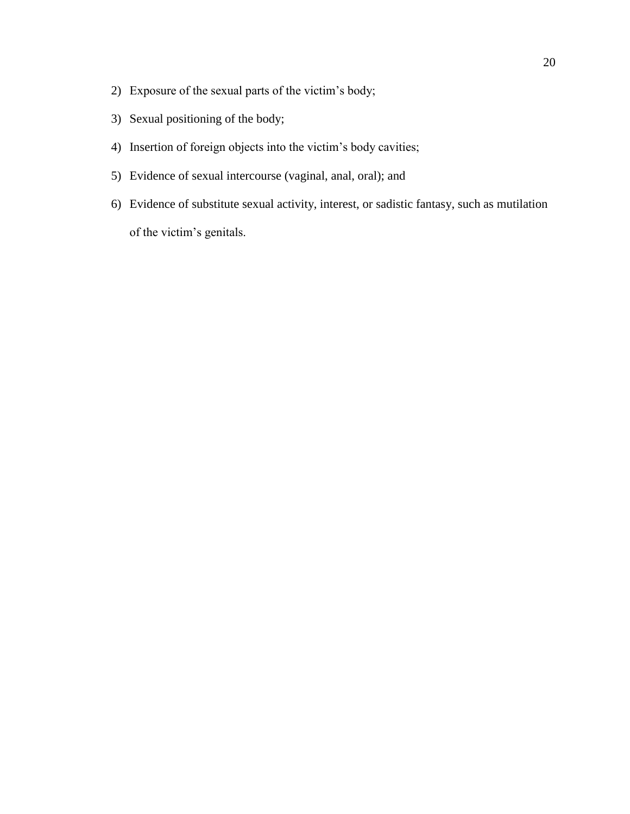- 2) Exposure of the sexual parts of the victim's body;
- 3) Sexual positioning of the body;
- 4) Insertion of foreign objects into the victim's body cavities;
- 5) Evidence of sexual intercourse (vaginal, anal, oral); and
- 6) Evidence of substitute sexual activity, interest, or sadistic fantasy, such as mutilation of the victim's genitals.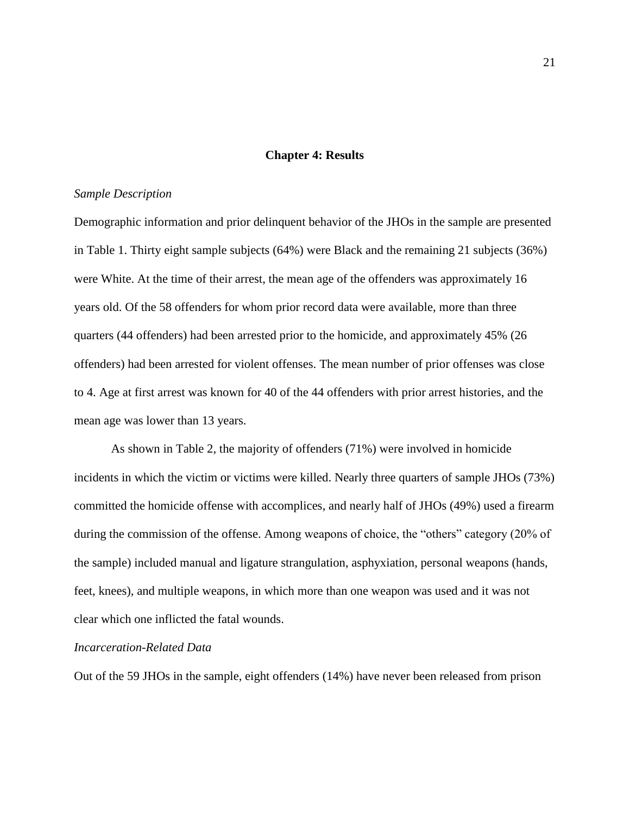#### **Chapter 4: Results**

#### *Sample Description*

Demographic information and prior delinquent behavior of the JHOs in the sample are presented in Table 1. Thirty eight sample subjects (64%) were Black and the remaining 21 subjects (36%) were White. At the time of their arrest, the mean age of the offenders was approximately 16 years old. Of the 58 offenders for whom prior record data were available, more than three quarters (44 offenders) had been arrested prior to the homicide, and approximately 45% (26 offenders) had been arrested for violent offenses. The mean number of prior offenses was close to 4. Age at first arrest was known for 40 of the 44 offenders with prior arrest histories, and the mean age was lower than 13 years.

As shown in Table 2, the majority of offenders (71%) were involved in homicide incidents in which the victim or victims were killed. Nearly three quarters of sample JHOs (73%) committed the homicide offense with accomplices, and nearly half of JHOs (49%) used a firearm during the commission of the offense. Among weapons of choice, the "others" category (20% of the sample) included manual and ligature strangulation, asphyxiation, personal weapons (hands, feet, knees), and multiple weapons, in which more than one weapon was used and it was not clear which one inflicted the fatal wounds.

#### *Incarceration-Related Data*

Out of the 59 JHOs in the sample, eight offenders (14%) have never been released from prison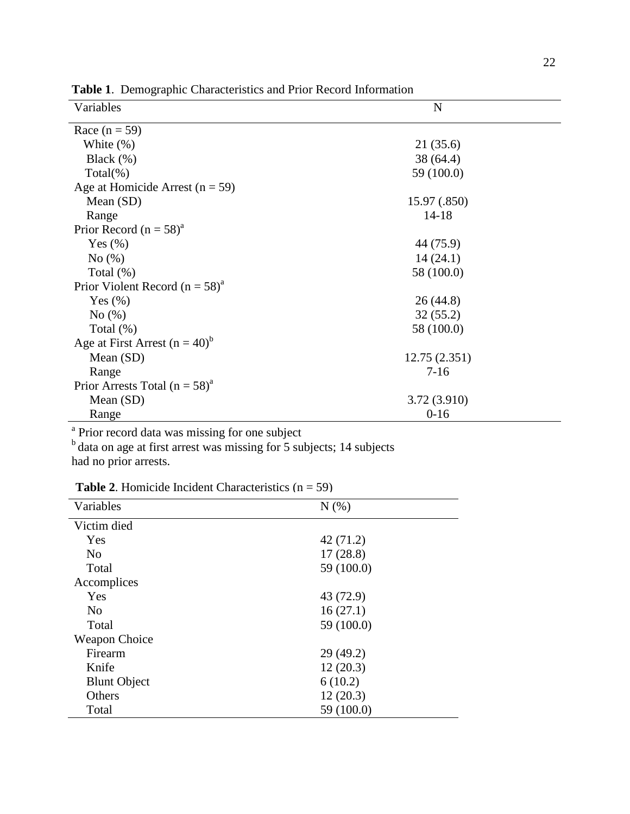|                                                |               | Tuble 1: Demographic Characteristics and I flor recent implimation |  |  |  |
|------------------------------------------------|---------------|--------------------------------------------------------------------|--|--|--|
| Variables                                      | N             |                                                                    |  |  |  |
| Race $(n = 59)$                                |               |                                                                    |  |  |  |
| White $(\%)$                                   | 21(35.6)      |                                                                    |  |  |  |
| Black $(\%)$                                   | 38 (64.4)     |                                                                    |  |  |  |
| $Total(\% )$                                   | 59 (100.0)    |                                                                    |  |  |  |
| Age at Homicide Arrest ( $n = 59$ )            |               |                                                                    |  |  |  |
| Mean $(SD)$                                    | 15.97 (.850)  |                                                                    |  |  |  |
| Range                                          | $14 - 18$     |                                                                    |  |  |  |
| Prior Record $(n = 58)^a$                      |               |                                                                    |  |  |  |
| Yes $(\%)$                                     | 44 (75.9)     |                                                                    |  |  |  |
| No(%)                                          | 14(24.1)      |                                                                    |  |  |  |
| Total $(\%)$                                   | 58 (100.0)    |                                                                    |  |  |  |
| Prior Violent Record ( $n = 58$ ) <sup>a</sup> |               |                                                                    |  |  |  |
| Yes $(\%)$                                     | 26(44.8)      |                                                                    |  |  |  |
| No(%)                                          | 32(55.2)      |                                                                    |  |  |  |
| Total $(\%)$                                   | 58 (100.0)    |                                                                    |  |  |  |
| Age at First Arrest $(n = 40)^b$               |               |                                                                    |  |  |  |
| Mean $(SD)$                                    | 12.75 (2.351) |                                                                    |  |  |  |
| Range                                          | $7 - 16$      |                                                                    |  |  |  |
| Prior Arrests Total $(n = 58)^{a}$             |               |                                                                    |  |  |  |
| Mean (SD)                                      | 3.72 (3.910)  |                                                                    |  |  |  |
| Range                                          | $0-16$        |                                                                    |  |  |  |

**Table 1**. Demographic Characteristics and Prior Record Information

<sup>a</sup> Prior record data was missing for one subject

 $b$  data on age at first arrest was missing for 5 subjects; 14 subjects had no prior arrests.

**Table 2.** Homicide Incident Characteristics  $(n = 59)$ 

| Variables            | N(% )      |
|----------------------|------------|
| Victim died          |            |
| Yes                  | 42(71.2)   |
| N <sub>0</sub>       | 17(28.8)   |
| Total                | 59 (100.0) |
| Accomplices          |            |
| Yes                  | 43 (72.9)  |
| N <sub>0</sub>       | 16(27.1)   |
| Total                | 59 (100.0) |
| <b>Weapon Choice</b> |            |
| Firearm              | 29(49.2)   |
| Knife                | 12(20.3)   |
| <b>Blunt Object</b>  | 6(10.2)    |
| Others               | 12(20.3)   |
| Total                | 59 (100.0) |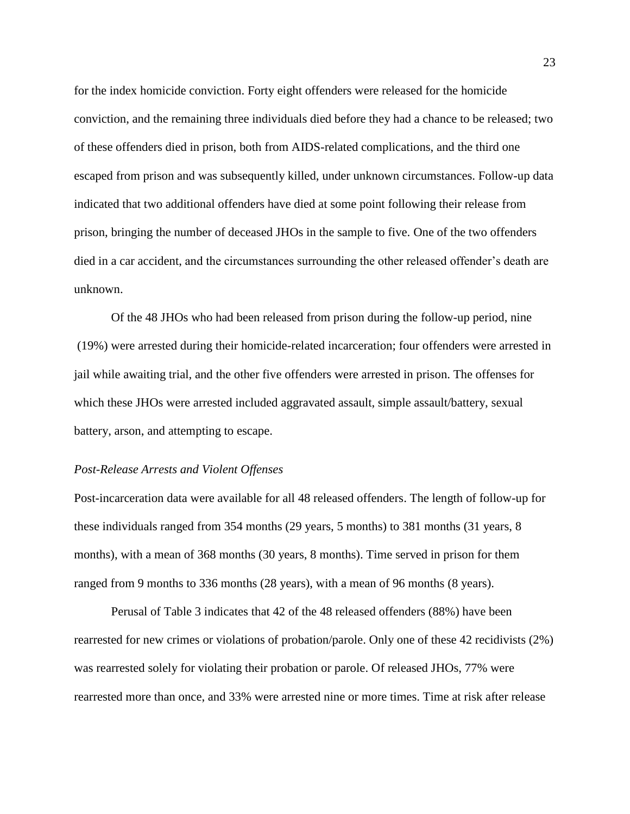for the index homicide conviction. Forty eight offenders were released for the homicide conviction, and the remaining three individuals died before they had a chance to be released; two of these offenders died in prison, both from AIDS-related complications, and the third one escaped from prison and was subsequently killed, under unknown circumstances. Follow-up data indicated that two additional offenders have died at some point following their release from prison, bringing the number of deceased JHOs in the sample to five. One of the two offenders died in a car accident, and the circumstances surrounding the other released offender's death are unknown.

Of the 48 JHOs who had been released from prison during the follow-up period, nine (19%) were arrested during their homicide-related incarceration; four offenders were arrested in jail while awaiting trial, and the other five offenders were arrested in prison. The offenses for which these JHOs were arrested included aggravated assault, simple assault/battery, sexual battery, arson, and attempting to escape.

#### *Post-Release Arrests and Violent Offenses*

Post-incarceration data were available for all 48 released offenders. The length of follow-up for these individuals ranged from 354 months (29 years, 5 months) to 381 months (31 years, 8 months), with a mean of 368 months (30 years, 8 months). Time served in prison for them ranged from 9 months to 336 months (28 years), with a mean of 96 months (8 years).

Perusal of Table 3 indicates that 42 of the 48 released offenders (88%) have been rearrested for new crimes or violations of probation/parole. Only one of these 42 recidivists (2%) was rearrested solely for violating their probation or parole. Of released JHOs, 77% were rearrested more than once, and 33% were arrested nine or more times. Time at risk after release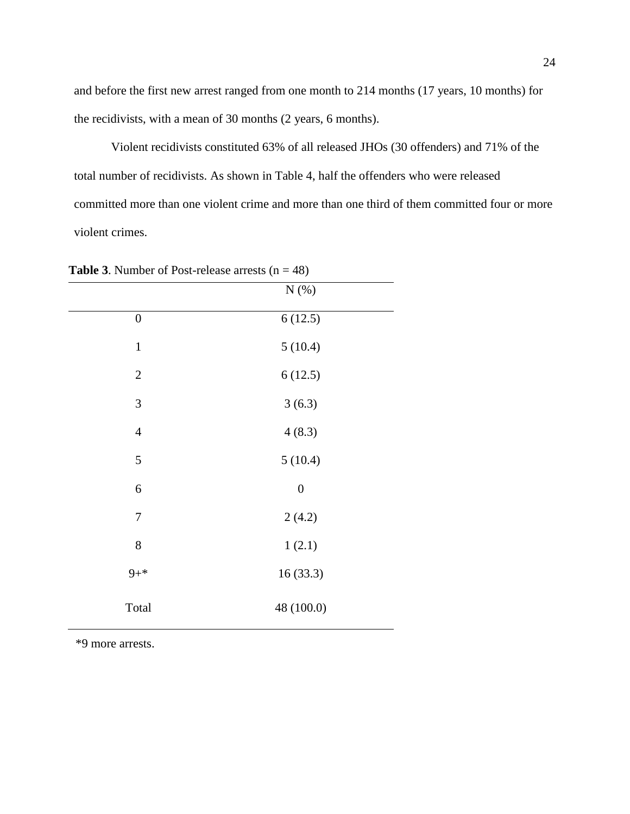and before the first new arrest ranged from one month to 214 months (17 years, 10 months) for the recidivists, with a mean of 30 months (2 years, 6 months).

Violent recidivists constituted 63% of all released JHOs (30 offenders) and 71% of the total number of recidivists. As shown in Table 4, half the offenders who were released committed more than one violent crime and more than one third of them committed four or more violent crimes.

|                  | $N$ $(\%)$       |
|------------------|------------------|
| $\boldsymbol{0}$ | 6(12.5)          |
| $\mathbf{1}$     | 5(10.4)          |
| $\sqrt{2}$       | 6(12.5)          |
| 3                | 3(6.3)           |
| $\overline{4}$   | 4(8.3)           |
| 5                | 5(10.4)          |
| $\sqrt{6}$       | $\boldsymbol{0}$ |
| $\overline{7}$   | 2(4.2)           |
| $8\,$            | 1(2.1)           |
| $9 + *$          | 16(33.3)         |
| Total            | 48 (100.0)       |

**Table 3**. Number of Post-release arrests  $(n = 48)$ 

\*9 more arrests.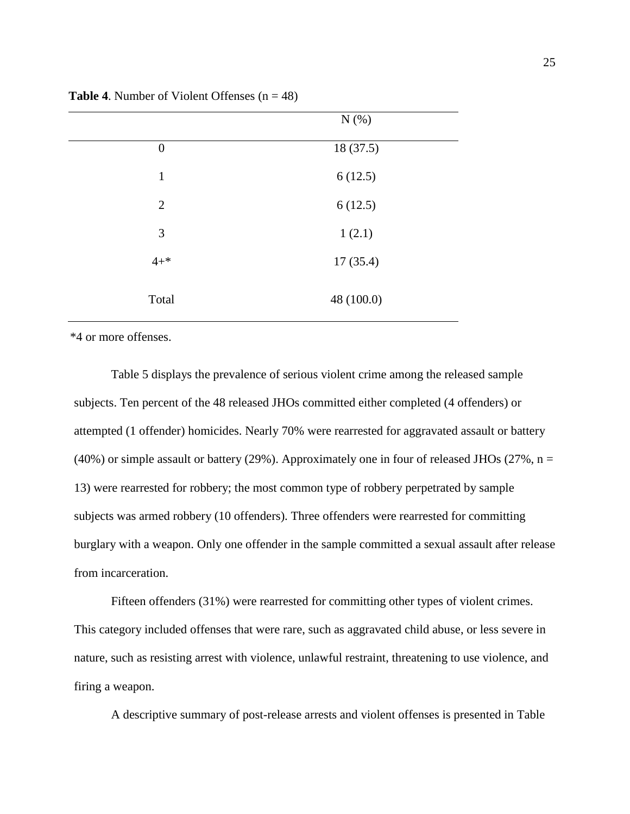|                  | $N(\%)$    |  |
|------------------|------------|--|
| $\boldsymbol{0}$ | 18(37.5)   |  |
| $\mathbf{1}$     | 6(12.5)    |  |
| $\overline{2}$   | 6(12.5)    |  |
| 3                | 1(2.1)     |  |
| $4 + *$          | 17(35.4)   |  |
| Total            | 48 (100.0) |  |

**Table 4.** Number of Violent Offenses  $(n = 48)$ 

\*4 or more offenses.

Table 5 displays the prevalence of serious violent crime among the released sample subjects. Ten percent of the 48 released JHOs committed either completed (4 offenders) or attempted (1 offender) homicides. Nearly 70% were rearrested for aggravated assault or battery (40%) or simple assault or battery (29%). Approximately one in four of released JHOs (27%,  $n =$ 13) were rearrested for robbery; the most common type of robbery perpetrated by sample subjects was armed robbery (10 offenders). Three offenders were rearrested for committing burglary with a weapon. Only one offender in the sample committed a sexual assault after release from incarceration.

Fifteen offenders (31%) were rearrested for committing other types of violent crimes. This category included offenses that were rare, such as aggravated child abuse, or less severe in nature, such as resisting arrest with violence, unlawful restraint, threatening to use violence, and firing a weapon.

A descriptive summary of post-release arrests and violent offenses is presented in Table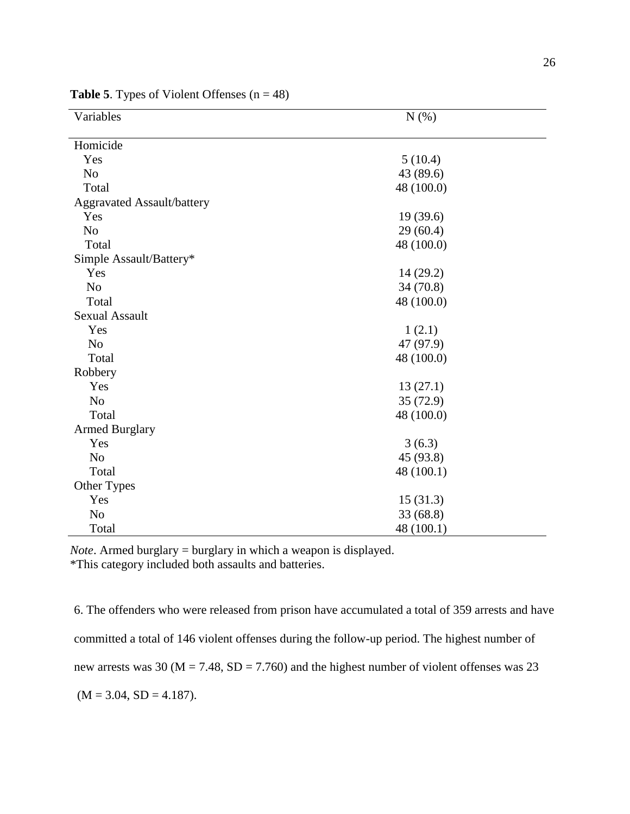| Variables                         | N(%)       |  |  |
|-----------------------------------|------------|--|--|
| Homicide                          |            |  |  |
| Yes                               | 5(10.4)    |  |  |
| N <sub>o</sub>                    | 43 (89.6)  |  |  |
| Total                             | 48 (100.0) |  |  |
| <b>Aggravated Assault/battery</b> |            |  |  |
| Yes                               | 19(39.6)   |  |  |
| N <sub>o</sub>                    | 29(60.4)   |  |  |
| Total                             | 48 (100.0) |  |  |
| Simple Assault/Battery*           |            |  |  |
| Yes                               | 14(29.2)   |  |  |
| N <sub>o</sub>                    | 34(70.8)   |  |  |
| Total                             | 48 (100.0) |  |  |
| <b>Sexual Assault</b>             |            |  |  |
| Yes                               | 1(2.1)     |  |  |
| N <sub>o</sub>                    | 47 (97.9)  |  |  |
| Total                             | 48 (100.0) |  |  |
| Robbery                           |            |  |  |
| Yes                               | 13(27.1)   |  |  |
| N <sub>o</sub>                    | 35(72.9)   |  |  |
| Total                             | 48 (100.0) |  |  |
| <b>Armed Burglary</b>             |            |  |  |
| Yes                               | 3(6.3)     |  |  |
| N <sub>o</sub>                    | 45 (93.8)  |  |  |
| Total                             | 48 (100.1) |  |  |
| Other Types                       |            |  |  |
| Yes                               | 15(31.3)   |  |  |
| N <sub>o</sub>                    | 33 (68.8)  |  |  |
| Total                             | 48 (100.1) |  |  |

**Table 5**. Types of Violent Offenses  $(n = 48)$ 

*Note*. Armed burglary = burglary in which a weapon is displayed. \*This category included both assaults and batteries.

6. The offenders who were released from prison have accumulated a total of 359 arrests and have committed a total of 146 violent offenses during the follow-up period. The highest number of new arrests was 30 ( $M = 7.48$ ,  $SD = 7.760$ ) and the highest number of violent offenses was 23  $(M = 3.04, SD = 4.187).$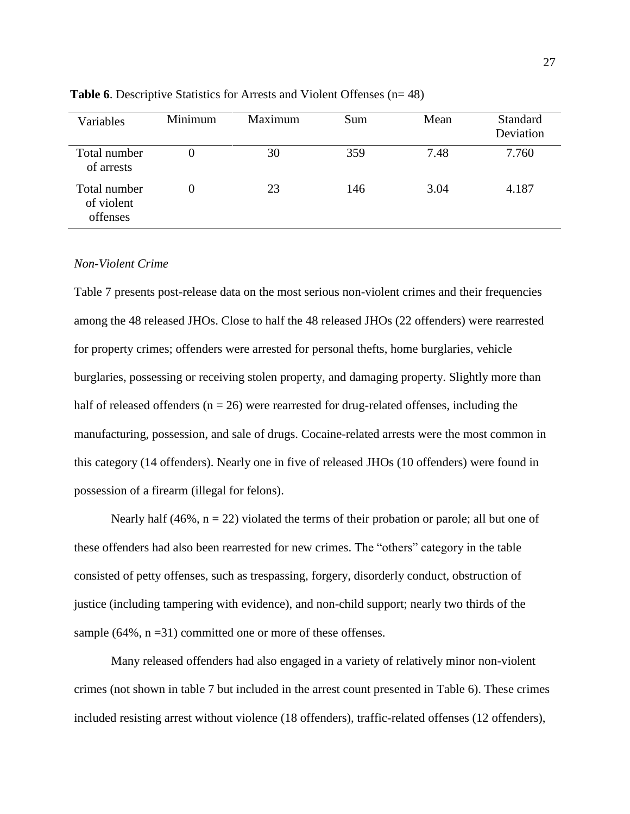| Variables                              | Minimum | Maximum | Sum | Mean | Standard<br>Deviation |
|----------------------------------------|---------|---------|-----|------|-----------------------|
| Total number<br>of arrests             |         | 30      | 359 | 7.48 | 7.760                 |
| Total number<br>of violent<br>offenses |         | 23      | 146 | 3.04 | 4.187                 |

**Table 6**. Descriptive Statistics for Arrests and Violent Offenses (n= 48)

#### *Non-Violent Crime*

Table 7 presents post-release data on the most serious non-violent crimes and their frequencies among the 48 released JHOs. Close to half the 48 released JHOs (22 offenders) were rearrested for property crimes; offenders were arrested for personal thefts, home burglaries, vehicle burglaries, possessing or receiving stolen property, and damaging property. Slightly more than half of released offenders  $(n = 26)$  were rearrested for drug-related offenses, including the manufacturing, possession, and sale of drugs. Cocaine-related arrests were the most common in this category (14 offenders). Nearly one in five of released JHOs (10 offenders) were found in possession of a firearm (illegal for felons).

Nearly half (46%,  $n = 22$ ) violated the terms of their probation or parole; all but one of these offenders had also been rearrested for new crimes. The "others" category in the table consisted of petty offenses, such as trespassing, forgery, disorderly conduct, obstruction of justice (including tampering with evidence), and non-child support; nearly two thirds of the sample  $(64\%, n=31)$  committed one or more of these offenses.

Many released offenders had also engaged in a variety of relatively minor non-violent crimes (not shown in table 7 but included in the arrest count presented in Table 6). These crimes included resisting arrest without violence (18 offenders), traffic-related offenses (12 offenders),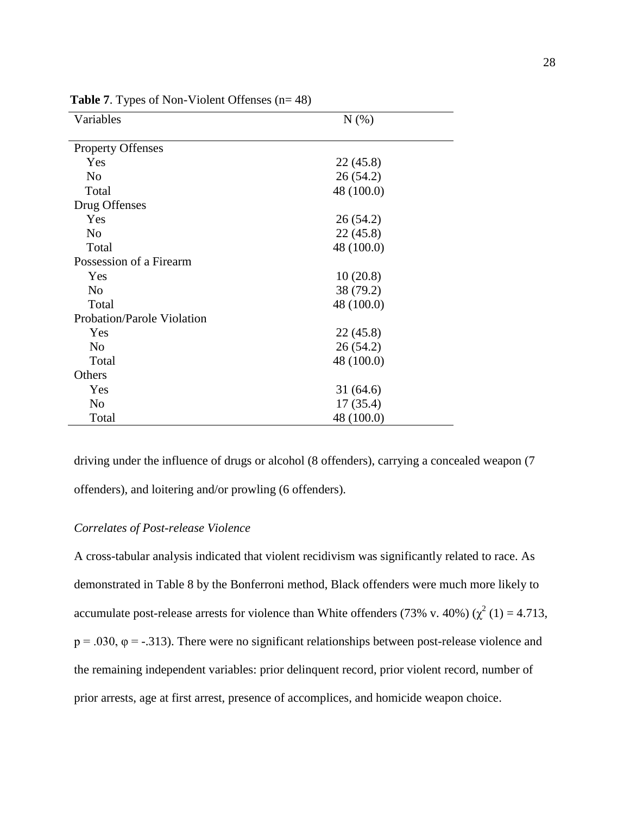| Variables                         | N(% )      |
|-----------------------------------|------------|
| <b>Property Offenses</b>          |            |
|                                   |            |
| Yes                               | 22(45.8)   |
| N <sub>0</sub>                    | 26(54.2)   |
| Total                             | 48 (100.0) |
| Drug Offenses                     |            |
| Yes                               | 26 (54.2)  |
| N <sub>o</sub>                    | 22(45.8)   |
| Total                             | 48 (100.0) |
| Possession of a Firearm           |            |
| Yes                               | 10(20.8)   |
| N <sub>o</sub>                    | 38 (79.2)  |
| Total                             | 48 (100.0) |
| <b>Probation/Parole Violation</b> |            |
| Yes                               | 22(45.8)   |
| N <sub>0</sub>                    | 26(54.2)   |
| Total                             | 48 (100.0) |
| Others                            |            |
| Yes                               | 31 (64.6)  |
| N <sub>o</sub>                    | 17(35.4)   |
| Total                             | 48 (100.0) |

**Table 7.** Types of Non-Violent Offenses (n= 48)

driving under the influence of drugs or alcohol (8 offenders), carrying a concealed weapon (7 offenders), and loitering and/or prowling (6 offenders).

### *Correlates of Post-release Violence*

A cross-tabular analysis indicated that violent recidivism was significantly related to race. As demonstrated in Table 8 by the Bonferroni method, Black offenders were much more likely to accumulate post-release arrests for violence than White offenders (73% v. 40%) ( $\chi^2$  (1) = 4.713,  $p = .030$ ,  $\varphi = -.313$ ). There were no significant relationships between post-release violence and the remaining independent variables: prior delinquent record, prior violent record, number of prior arrests, age at first arrest, presence of accomplices, and homicide weapon choice.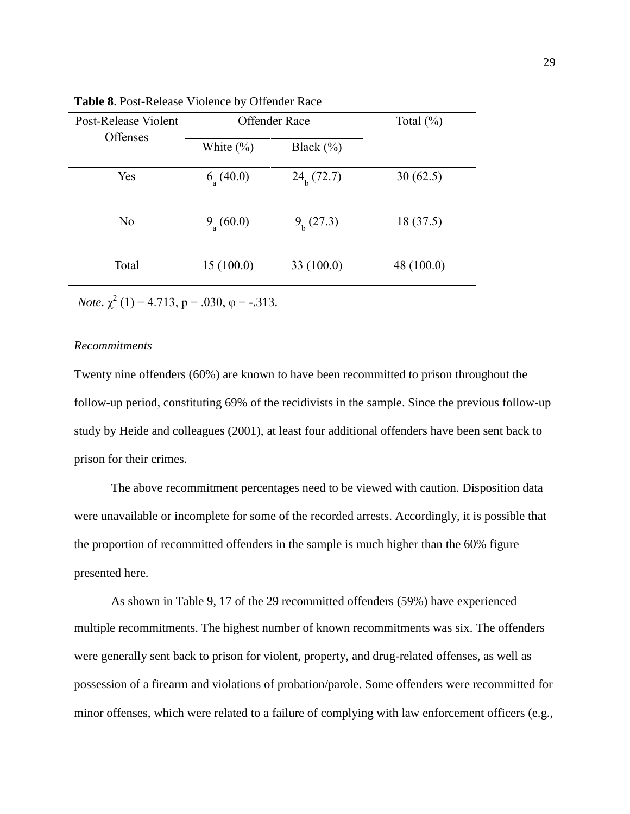| Post-Release Violent | Offender Race        |                 | Total $(\%)$ |
|----------------------|----------------------|-----------------|--------------|
| Offenses             | White $(\% )$        | Black $(\% )$   |              |
| Yes                  | $6_{\text{a}}(40.0)$ | $24_{h}$ (72.7) | 30(62.5)     |
| N <sub>0</sub>       | $9_{a}$ (60.0)       | $9h$ (27.3)     | 18(37.5)     |
| Total                | 15(100.0)            | 33(100.0)       | 48 (100.0)   |

**Table 8**. Post-Release Violence by Offender Race

*Note*.  $\chi^2$  (1) = 4.713, p = .030,  $\varphi$  = -.313.

#### *Recommitments*

Twenty nine offenders (60%) are known to have been recommitted to prison throughout the follow-up period, constituting 69% of the recidivists in the sample. Since the previous follow-up study by Heide and colleagues (2001), at least four additional offenders have been sent back to prison for their crimes.

The above recommitment percentages need to be viewed with caution. Disposition data were unavailable or incomplete for some of the recorded arrests. Accordingly, it is possible that the proportion of recommitted offenders in the sample is much higher than the 60% figure presented here.

As shown in Table 9, 17 of the 29 recommitted offenders (59%) have experienced multiple recommitments. The highest number of known recommitments was six. The offenders were generally sent back to prison for violent, property, and drug-related offenses, as well as possession of a firearm and violations of probation/parole. Some offenders were recommitted for minor offenses, which were related to a failure of complying with law enforcement officers (e.g.,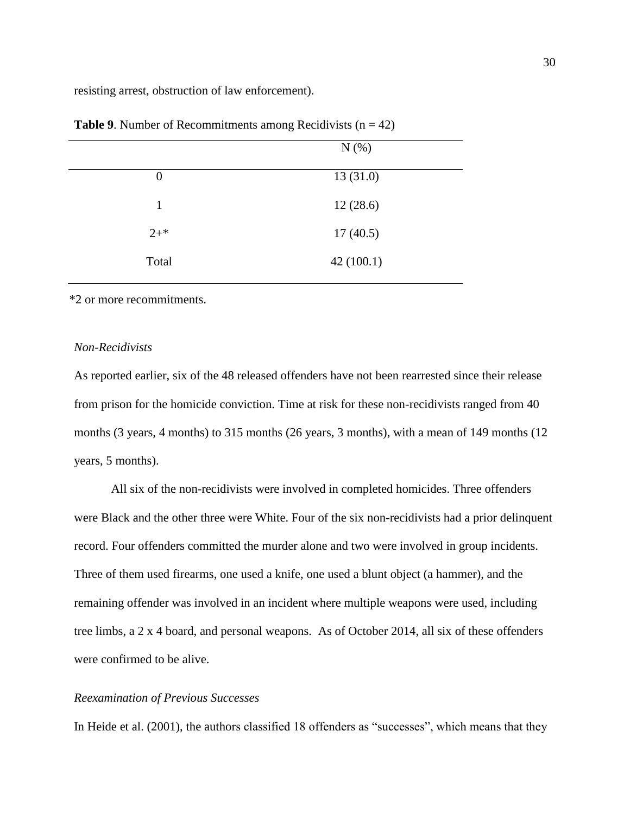resisting arrest, obstruction of law enforcement).

|                  | $N(\%)$   |
|------------------|-----------|
| $\boldsymbol{0}$ | 13(31.0)  |
| 1                | 12(28.6)  |
| $2^{+*}$         | 17(40.5)  |
| Total            | 42(100.1) |
|                  |           |

**Table 9.** Number of Recommitments among Recidivists  $(n = 42)$ 

\*2 or more recommitments.

## *Non-Recidivists*

As reported earlier, six of the 48 released offenders have not been rearrested since their release from prison for the homicide conviction. Time at risk for these non-recidivists ranged from 40 months (3 years, 4 months) to 315 months (26 years, 3 months), with a mean of 149 months (12 years, 5 months).

All six of the non-recidivists were involved in completed homicides. Three offenders were Black and the other three were White. Four of the six non-recidivists had a prior delinquent record. Four offenders committed the murder alone and two were involved in group incidents. Three of them used firearms, one used a knife, one used a blunt object (a hammer), and the remaining offender was involved in an incident where multiple weapons were used, including tree limbs, a 2 x 4 board, and personal weapons. As of October 2014, all six of these offenders were confirmed to be alive.

## *Reexamination of Previous Successes*

In Heide et al. (2001), the authors classified 18 offenders as "successes", which means that they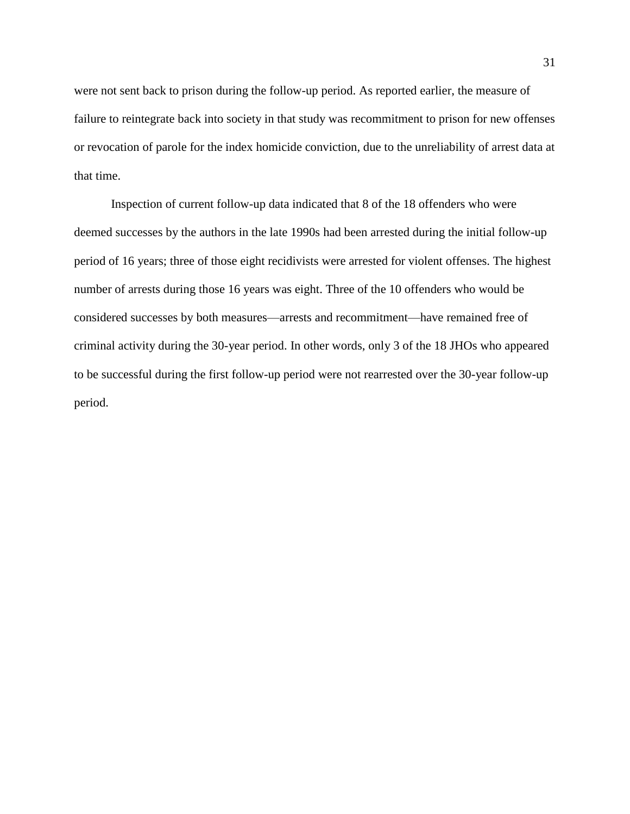were not sent back to prison during the follow-up period. As reported earlier, the measure of failure to reintegrate back into society in that study was recommitment to prison for new offenses or revocation of parole for the index homicide conviction, due to the unreliability of arrest data at that time.

Inspection of current follow-up data indicated that 8 of the 18 offenders who were deemed successes by the authors in the late 1990s had been arrested during the initial follow-up period of 16 years; three of those eight recidivists were arrested for violent offenses. The highest number of arrests during those 16 years was eight. Three of the 10 offenders who would be considered successes by both measures—arrests and recommitment—have remained free of criminal activity during the 30-year period. In other words, only 3 of the 18 JHOs who appeared to be successful during the first follow-up period were not rearrested over the 30-year follow-up period.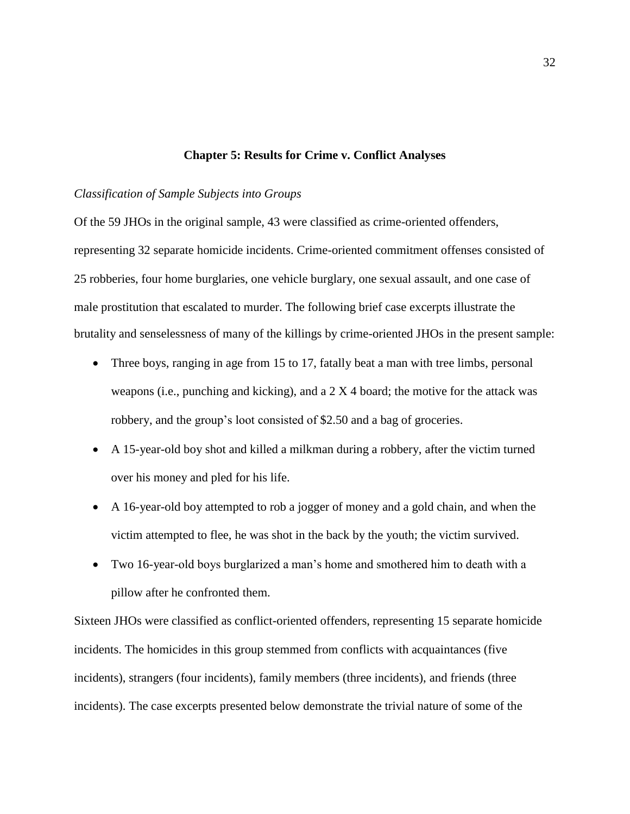## **Chapter 5: Results for Crime v. Conflict Analyses**

## *Classification of Sample Subjects into Groups*

Of the 59 JHOs in the original sample, 43 were classified as crime-oriented offenders, representing 32 separate homicide incidents. Crime-oriented commitment offenses consisted of 25 robberies, four home burglaries, one vehicle burglary, one sexual assault, and one case of male prostitution that escalated to murder. The following brief case excerpts illustrate the brutality and senselessness of many of the killings by crime-oriented JHOs in the present sample:

- Three boys, ranging in age from 15 to 17, fatally beat a man with tree limbs, personal weapons (i.e., punching and kicking), and a  $2 \times 4$  board; the motive for the attack was robbery, and the group's loot consisted of \$2.50 and a bag of groceries.
- A 15-year-old boy shot and killed a milkman during a robbery, after the victim turned over his money and pled for his life.
- A 16-year-old boy attempted to rob a jogger of money and a gold chain, and when the victim attempted to flee, he was shot in the back by the youth; the victim survived.
- Two 16-year-old boys burglarized a man's home and smothered him to death with a pillow after he confronted them.

Sixteen JHOs were classified as conflict-oriented offenders, representing 15 separate homicide incidents. The homicides in this group stemmed from conflicts with acquaintances (five incidents), strangers (four incidents), family members (three incidents), and friends (three incidents). The case excerpts presented below demonstrate the trivial nature of some of the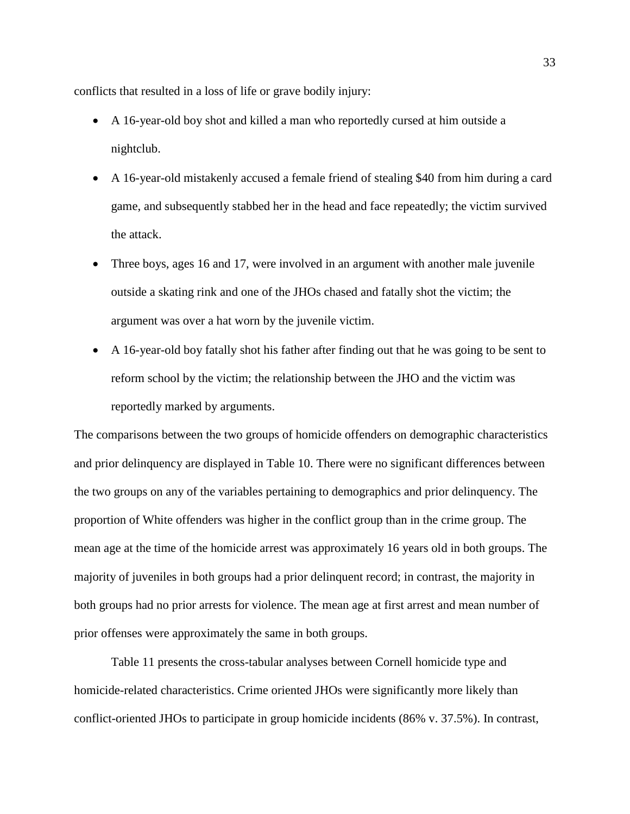conflicts that resulted in a loss of life or grave bodily injury:

- A 16-year-old boy shot and killed a man who reportedly cursed at him outside a nightclub.
- A 16-year-old mistakenly accused a female friend of stealing \$40 from him during a card game, and subsequently stabbed her in the head and face repeatedly; the victim survived the attack.
- Three boys, ages 16 and 17, were involved in an argument with another male juvenile outside a skating rink and one of the JHOs chased and fatally shot the victim; the argument was over a hat worn by the juvenile victim.
- A 16-year-old boy fatally shot his father after finding out that he was going to be sent to reform school by the victim; the relationship between the JHO and the victim was reportedly marked by arguments.

The comparisons between the two groups of homicide offenders on demographic characteristics and prior delinquency are displayed in Table 10. There were no significant differences between the two groups on any of the variables pertaining to demographics and prior delinquency. The proportion of White offenders was higher in the conflict group than in the crime group. The mean age at the time of the homicide arrest was approximately 16 years old in both groups. The majority of juveniles in both groups had a prior delinquent record; in contrast, the majority in both groups had no prior arrests for violence. The mean age at first arrest and mean number of prior offenses were approximately the same in both groups.

Table 11 presents the cross-tabular analyses between Cornell homicide type and homicide-related characteristics. Crime oriented JHOs were significantly more likely than conflict-oriented JHOs to participate in group homicide incidents (86% v. 37.5%). In contrast,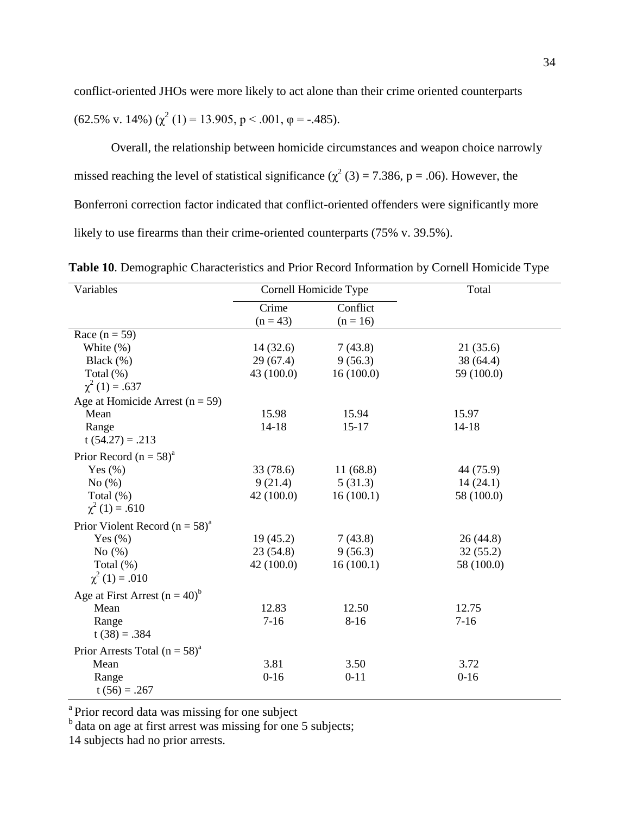conflict-oriented JHOs were more likely to act alone than their crime oriented counterparts (62.5% v. 14%) ( $\chi^2$  (1) = 13.905, p < .001,  $\varphi$  = -.485).

Overall, the relationship between homicide circumstances and weapon choice narrowly missed reaching the level of statistical significance ( $\chi^2$  (3) = 7.386, p = .06). However, the Bonferroni correction factor indicated that conflict-oriented offenders were significantly more likely to use firearms than their crime-oriented counterparts (75% v. 39.5%).

**Table 10**. Demographic Characteristics and Prior Record Information by Cornell Homicide Type

| Variables                                      |            | Cornell Homicide Type | Total      |
|------------------------------------------------|------------|-----------------------|------------|
|                                                | Crime      | Conflict              |            |
|                                                | $(n = 43)$ | $(n = 16)$            |            |
| Race $(n = 59)$                                |            |                       |            |
| White $(\%)$                                   | 14(32.6)   | 7(43.8)               | 21(35.6)   |
| Black $(\%)$                                   | 29(67.4)   | 9(56.3)               | 38 (64.4)  |
| Total $(\%)$                                   | 43 (100.0) | 16(100.0)             | 59 (100.0) |
| $\chi^2(1) = .637$                             |            |                       |            |
| Age at Homicide Arrest ( $n = 59$ )            |            |                       |            |
| Mean                                           | 15.98      | 15.94                 | 15.97      |
| Range                                          | $14 - 18$  | $15-17$               | $14 - 18$  |
| $t(54.27) = .213$                              |            |                       |            |
| Prior Record $(n = 58)^a$                      |            |                       |            |
| Yes $(\% )$                                    | 33 (78.6)  | 11(68.8)              | 44 (75.9)  |
| No $(\%)$                                      | 9(21.4)    | 5(31.3)               | 14(24.1)   |
| Total (%)                                      | 42(100.0)  | 16(100.1)             | 58 (100.0) |
| $\chi^2(1) = .610$                             |            |                       |            |
| Prior Violent Record ( $n = 58$ ) <sup>a</sup> |            |                       |            |
| Yes $(\% )$                                    | 19(45.2)   | 7(43.8)               | 26(44.8)   |
| No $(\%)$                                      | 23(54.8)   | 9(56.3)               | 32(55.2)   |
| Total (%)                                      | 42 (100.0) | 16(100.1)             | 58 (100.0) |
| $\chi^2(1) = .010$                             |            |                       |            |
| Age at First Arrest $(n = 40)^b$               |            |                       |            |
| Mean                                           | 12.83      | 12.50                 | 12.75      |
| Range                                          | $7-16$     | $8-16$                | $7-16$     |
| $t(38) = .384$                                 |            |                       |            |
| Prior Arrests Total $(n = 58)^a$               |            |                       |            |
| Mean                                           | 3.81       | 3.50                  | 3.72       |
| Range                                          | $0 - 16$   | $0 - 11$              | $0-16$     |
| $t(56) = .267$                                 |            |                       |            |

<sup>a</sup> Prior record data was missing for one subject

 $<sup>b</sup>$  data on age at first arrest was missing for one 5 subjects;</sup>

14 subjects had no prior arrests.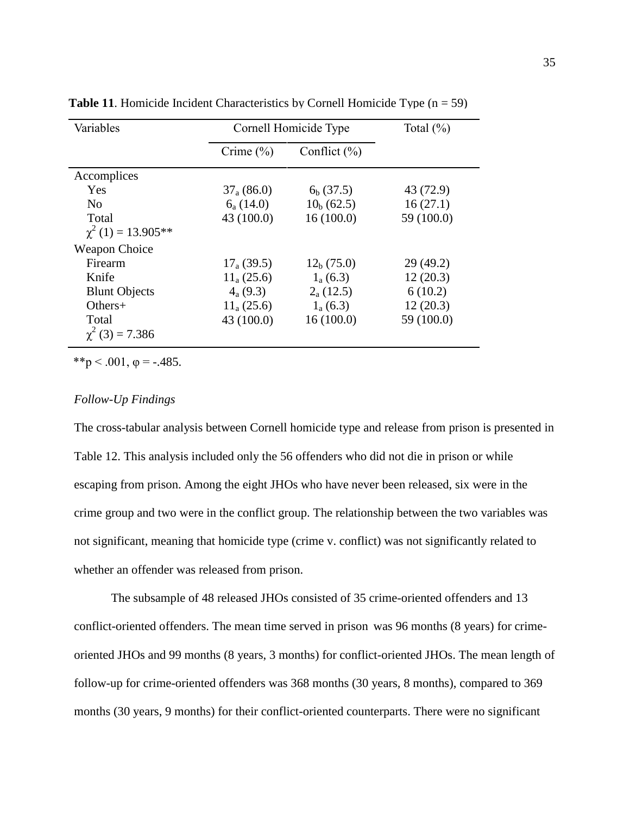| Variables              |                 | Cornell Homicide Type |            |
|------------------------|-----------------|-----------------------|------------|
|                        | Crime $(\% )$   | Conflict $(\% )$      |            |
| Accomplices            |                 |                       |            |
| Yes                    | $37_{a} (86.0)$ | $6b$ (37.5)           | 43 (72.9)  |
| N <sub>0</sub>         | $6_{a}$ (14.0)  | $10b$ (62.5)          | 16(27.1)   |
| Total                  | 43(100.0)       | 16(100.0)             | 59 (100.0) |
| $\chi^2(1) = 13.905**$ |                 |                       |            |
| <b>Weapon Choice</b>   |                 |                       |            |
| Firearm                | $17_{a}$ (39.5) | $12_h(75.0)$          | 29(49.2)   |
| Knife                  | $11_{a}$ (25.6) | $1_{a}$ (6.3)         | 12(20.3)   |
| <b>Blunt Objects</b>   | $4_{a}$ (9.3)   | $2_{a}$ (12.5)        | 6(10.2)    |
| $Others+$              | $11_{a} (25.6)$ | $1_{a}$ (6.3)         | 12(20.3)   |
| Total                  | 43(100.0)       | 16(100.0)             | 59 (100.0) |
| $\chi^2$ (3) = 7.386   |                 |                       |            |

**Table 11.** Homicide Incident Characteristics by Cornell Homicide Type  $(n = 59)$ 

\*\*p < .001,  $\varphi$  = -.485.

## *Follow-Up Findings*

The cross-tabular analysis between Cornell homicide type and release from prison is presented in Table 12. This analysis included only the 56 offenders who did not die in prison or while escaping from prison. Among the eight JHOs who have never been released, six were in the crime group and two were in the conflict group. The relationship between the two variables was not significant, meaning that homicide type (crime v. conflict) was not significantly related to whether an offender was released from prison.

The subsample of 48 released JHOs consisted of 35 crime-oriented offenders and 13 conflict-oriented offenders. The mean time served in prison was 96 months (8 years) for crimeoriented JHOs and 99 months (8 years, 3 months) for conflict-oriented JHOs. The mean length of follow-up for crime-oriented offenders was 368 months (30 years, 8 months), compared to 369 months (30 years, 9 months) for their conflict-oriented counterparts. There were no significant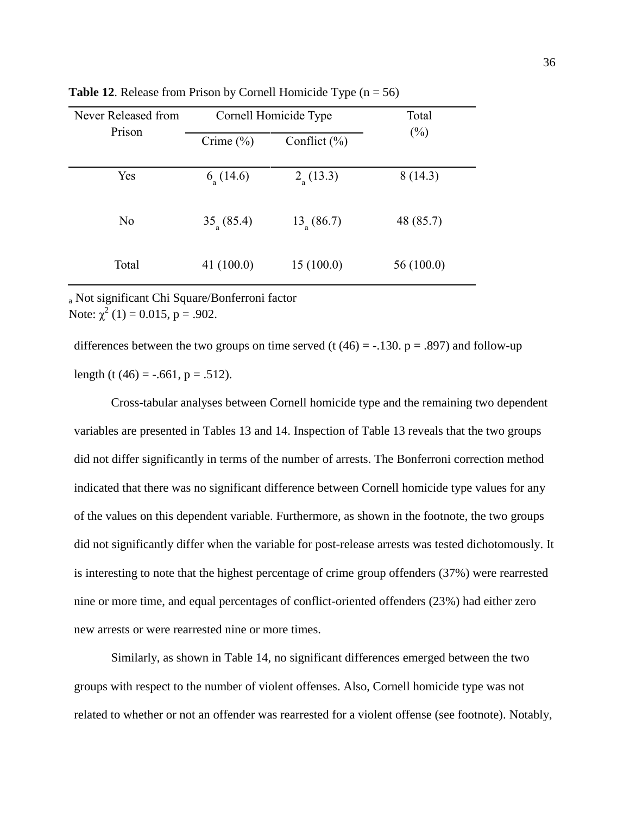| Never Released from | Cornell Homicide Type | Total                |           |
|---------------------|-----------------------|----------------------|-----------|
| Prison              | Crime $(\% )$         | Conflict $(\% )$     | $(\%)$    |
| Yes                 | $6_{\text{a}}(14.6)$  | $2_{\text{a}}(13.3)$ | 8(14.3)   |
| N <sub>0</sub>      | $35_a(85.4)$          | $13_{\circ} (86.7)$  | 48 (85.7) |
| Total               | 41(100.0)             | 15(100.0)            | 56(100.0) |

**Table 12.** Release from Prison by Cornell Homicide Type  $(n = 56)$ 

<sup>a</sup> Not significant Chi Square/Bonferroni factor Note:  $\chi^2$  (1) = 0.015, p = .902.

differences between the two groups on time served (t  $(46) = -0.130$ . p = .897) and follow-up length (t  $(46) = -.661$ , p = .512).

Cross-tabular analyses between Cornell homicide type and the remaining two dependent variables are presented in Tables 13 and 14. Inspection of Table 13 reveals that the two groups did not differ significantly in terms of the number of arrests. The Bonferroni correction method indicated that there was no significant difference between Cornell homicide type values for any of the values on this dependent variable. Furthermore, as shown in the footnote, the two groups did not significantly differ when the variable for post-release arrests was tested dichotomously. It is interesting to note that the highest percentage of crime group offenders (37%) were rearrested nine or more time, and equal percentages of conflict-oriented offenders (23%) had either zero new arrests or were rearrested nine or more times.

Similarly, as shown in Table 14, no significant differences emerged between the two groups with respect to the number of violent offenses. Also, Cornell homicide type was not related to whether or not an offender was rearrested for a violent offense (see footnote). Notably,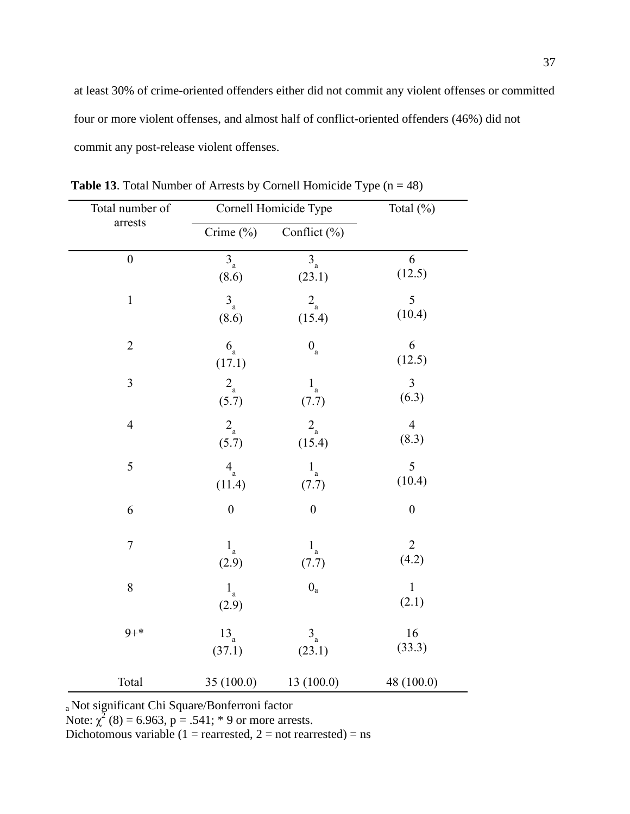at least 30% of crime-oriented offenders either did not commit any violent offenses or committed four or more violent offenses, and almost half of conflict-oriented offenders (46%) did not commit any post-release violent offenses.

| Total number of  |                      | Cornell Homicide Type   | Total (%)             |
|------------------|----------------------|-------------------------|-----------------------|
| arrests          | Crime (%)            | Conflict (%)            |                       |
| $\boldsymbol{0}$ | $3_a$                | $\overline{3}_{a}$      | 6                     |
|                  | (8.6)                | (23.1)                  | (12.5)                |
| $\mathbf{1}$     | $\mathbf{3}_{\rm a}$ | $2_{\rm a}$             | 5                     |
|                  | (8.6)                | (15.4)                  | (10.4)                |
| $\overline{2}$   | $6_a$<br>(17.1)      | $0_{\rm a}$             | 6<br>(12.5)           |
| 3                | $2_{\rm a}$          | $1_a$                   | $\overline{3}$        |
|                  | (5.7)                | (7.7)                   | (6.3)                 |
| $\overline{4}$   | $2_{\rm a}$          | $2_{\rm a}$             | $\overline{4}$        |
|                  | (5.7)                | (15.4)                  | (8.3)                 |
| 5                | $\mathbf{4}_{\rm a}$ | $1_a$                   | 5                     |
|                  | (11.4)               | (7.7)                   | (10.4)                |
| 6                | $\boldsymbol{0}$     | $\boldsymbol{0}$        | $\boldsymbol{0}$      |
| $\boldsymbol{7}$ | $1_{\rm a}$          | $1_a$                   | $\overline{2}$        |
|                  | (2.9)                | (7.7)                   | (4.2)                 |
| 8                | $1_{\rm a}$<br>(2.9) | $0_{\rm a}$             | $\mathbf{1}$<br>(2.1) |
| $9 + *$          | $13_a$               | $\mathbf{3}_{\text{a}}$ | 16                    |
|                  | (37.1)               | (23.1)                  | (33.3)                |
| Total            | 35 (100.0)           | 13 (100.0)              | 48 (100.0)            |

**Table 13**. Total Number of Arrests by Cornell Homicide Type  $(n = 48)$ 

a Not significant Chi Square/Bonferroni factor

Note:  $\chi^2$  (8) = 6.963, p = .541; \* 9 or more arrests.

Dichotomous variable (1 = rearrested, 2 = not rearrested) = ns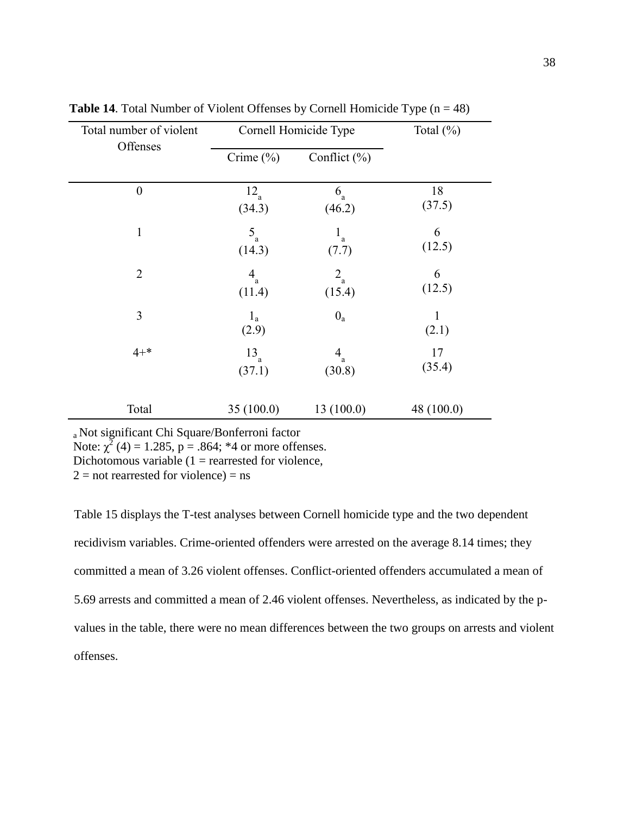| Total number of violent | Cornell Homicide Type | Total $(\%)$         |              |
|-------------------------|-----------------------|----------------------|--------------|
| Offenses                | Crime $(\% )$         | Conflict $(\% )$     |              |
| $\boldsymbol{0}$        | $12_a$                | $6_{\rm a}$          | 18           |
|                         | (34.3)                | (46.2)               | (37.5)       |
| $\mathbf{1}$            | $5_a$                 | $1_{\rm a}$          | 6            |
|                         | (14.3)                | (7.7)                | (12.5)       |
| $\overline{2}$          | $\mathbf{4}_{\rm a}$  | $2_{\rm a}$          | 6            |
|                         | (11.4)                | (15.4)               | (12.5)       |
| 3                       | $1_a$<br>(2.9)        | $0_a$                | 1<br>(2.1)   |
| $4 + *$                 | $13_a$                | $\mathbf{4}_{\rm a}$ | 17           |
|                         | (37.1)                | (30.8)               | (35.4)       |
| Total                   | 35(100.0)             | 13(100.0)            | 48 $(100.0)$ |

**Table 14.** Total Number of Violent Offenses by Cornell Homicide Type  $(n = 48)$ 

a Not significant Chi Square/Bonferroni factor

Note:  $\chi^2$  (4) = 1.285, p = .864; \*4 or more offenses.

Dichotomous variable  $(1 =$  rearrested for violence,

 $2 =$  not rearrested for violence) = ns

Table 15 displays the T-test analyses between Cornell homicide type and the two dependent recidivism variables. Crime-oriented offenders were arrested on the average 8.14 times; they committed a mean of 3.26 violent offenses. Conflict-oriented offenders accumulated a mean of 5.69 arrests and committed a mean of 2.46 violent offenses. Nevertheless, as indicated by the pvalues in the table, there were no mean differences between the two groups on arrests and violent offenses.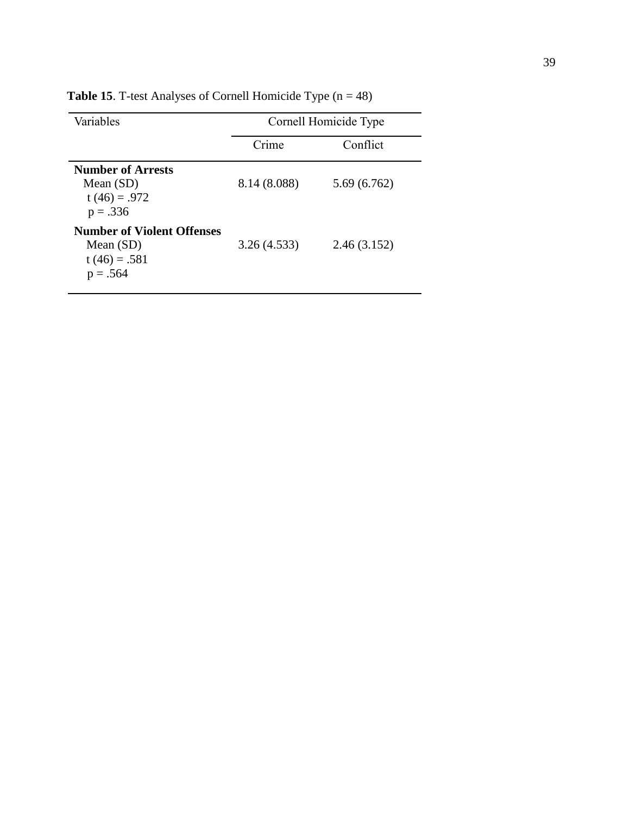| Variables                                                                        |              | Cornell Homicide Type |
|----------------------------------------------------------------------------------|--------------|-----------------------|
|                                                                                  | Crime        | Conflict              |
| <b>Number of Arrests</b><br>Mean $(SD)$<br>t $(46) = .972$<br>$p = .336$         | 8.14 (8.088) | 5.69(6.762)           |
| <b>Number of Violent Offenses</b><br>Mean $(SD)$<br>$t(46) = .581$<br>$p = .564$ | 3.26(4.533)  | 2.46(3.152)           |

**Table 15**. T-test Analyses of Cornell Homicide Type (n = 48)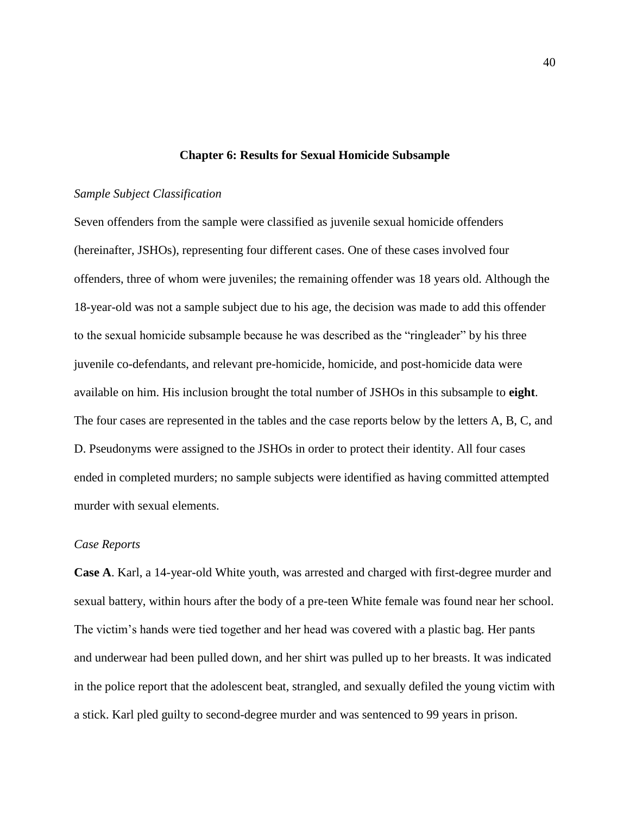## **Chapter 6: Results for Sexual Homicide Subsample**

## *Sample Subject Classification*

Seven offenders from the sample were classified as juvenile sexual homicide offenders (hereinafter, JSHOs), representing four different cases. One of these cases involved four offenders, three of whom were juveniles; the remaining offender was 18 years old. Although the 18-year-old was not a sample subject due to his age, the decision was made to add this offender to the sexual homicide subsample because he was described as the "ringleader" by his three juvenile co-defendants, and relevant pre-homicide, homicide, and post-homicide data were available on him. His inclusion brought the total number of JSHOs in this subsample to **eight**. The four cases are represented in the tables and the case reports below by the letters A, B, C, and D. Pseudonyms were assigned to the JSHOs in order to protect their identity. All four cases ended in completed murders; no sample subjects were identified as having committed attempted murder with sexual elements.

## *Case Reports*

**Case A**. Karl, a 14-year-old White youth, was arrested and charged with first-degree murder and sexual battery, within hours after the body of a pre-teen White female was found near her school. The victim's hands were tied together and her head was covered with a plastic bag. Her pants and underwear had been pulled down, and her shirt was pulled up to her breasts. It was indicated in the police report that the adolescent beat, strangled, and sexually defiled the young victim with a stick. Karl pled guilty to second-degree murder and was sentenced to 99 years in prison.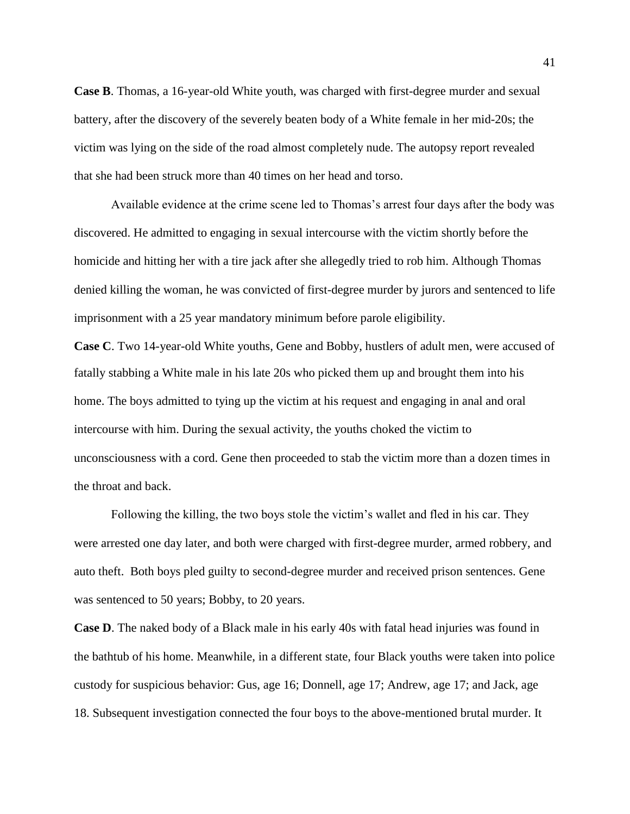**Case B**. Thomas, a 16-year-old White youth, was charged with first-degree murder and sexual battery, after the discovery of the severely beaten body of a White female in her mid-20s; the victim was lying on the side of the road almost completely nude. The autopsy report revealed that she had been struck more than 40 times on her head and torso.

Available evidence at the crime scene led to Thomas's arrest four days after the body was discovered. He admitted to engaging in sexual intercourse with the victim shortly before the homicide and hitting her with a tire jack after she allegedly tried to rob him. Although Thomas denied killing the woman, he was convicted of first-degree murder by jurors and sentenced to life imprisonment with a 25 year mandatory minimum before parole eligibility.

**Case C**. Two 14-year-old White youths, Gene and Bobby, hustlers of adult men, were accused of fatally stabbing a White male in his late 20s who picked them up and brought them into his home. The boys admitted to tying up the victim at his request and engaging in anal and oral intercourse with him. During the sexual activity, the youths choked the victim to unconsciousness with a cord. Gene then proceeded to stab the victim more than a dozen times in the throat and back.

Following the killing, the two boys stole the victim's wallet and fled in his car. They were arrested one day later, and both were charged with first-degree murder, armed robbery, and auto theft. Both boys pled guilty to second-degree murder and received prison sentences. Gene was sentenced to 50 years; Bobby, to 20 years.

**Case D**. The naked body of a Black male in his early 40s with fatal head injuries was found in the bathtub of his home. Meanwhile, in a different state, four Black youths were taken into police custody for suspicious behavior: Gus, age 16; Donnell, age 17; Andrew, age 17; and Jack, age 18. Subsequent investigation connected the four boys to the above-mentioned brutal murder. It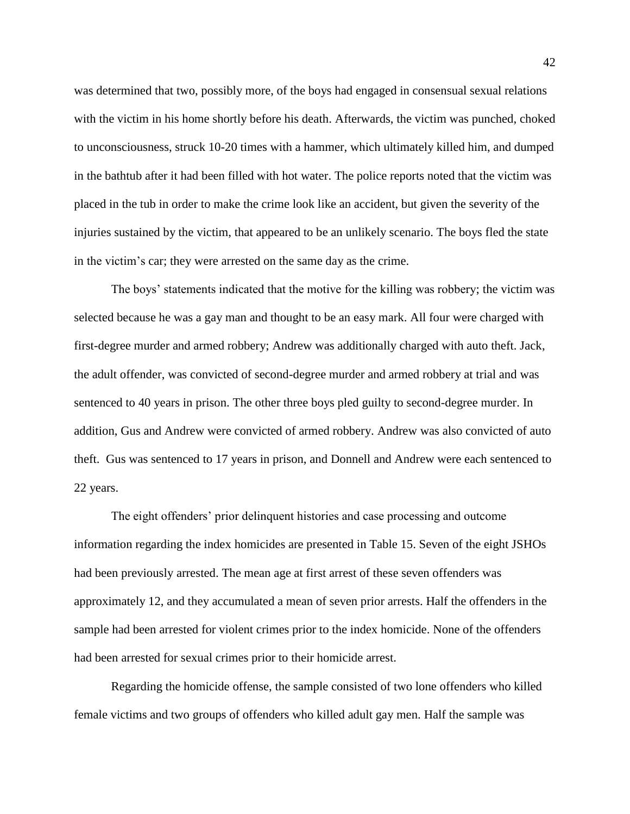was determined that two, possibly more, of the boys had engaged in consensual sexual relations with the victim in his home shortly before his death. Afterwards, the victim was punched, choked to unconsciousness, struck 10-20 times with a hammer, which ultimately killed him, and dumped in the bathtub after it had been filled with hot water. The police reports noted that the victim was placed in the tub in order to make the crime look like an accident, but given the severity of the injuries sustained by the victim, that appeared to be an unlikely scenario. The boys fled the state in the victim's car; they were arrested on the same day as the crime.

The boys' statements indicated that the motive for the killing was robbery; the victim was selected because he was a gay man and thought to be an easy mark. All four were charged with first-degree murder and armed robbery; Andrew was additionally charged with auto theft. Jack, the adult offender, was convicted of second-degree murder and armed robbery at trial and was sentenced to 40 years in prison. The other three boys pled guilty to second-degree murder. In addition, Gus and Andrew were convicted of armed robbery. Andrew was also convicted of auto theft. Gus was sentenced to 17 years in prison, and Donnell and Andrew were each sentenced to 22 years.

The eight offenders' prior delinquent histories and case processing and outcome information regarding the index homicides are presented in Table 15. Seven of the eight JSHOs had been previously arrested. The mean age at first arrest of these seven offenders was approximately 12, and they accumulated a mean of seven prior arrests. Half the offenders in the sample had been arrested for violent crimes prior to the index homicide. None of the offenders had been arrested for sexual crimes prior to their homicide arrest.

Regarding the homicide offense, the sample consisted of two lone offenders who killed female victims and two groups of offenders who killed adult gay men. Half the sample was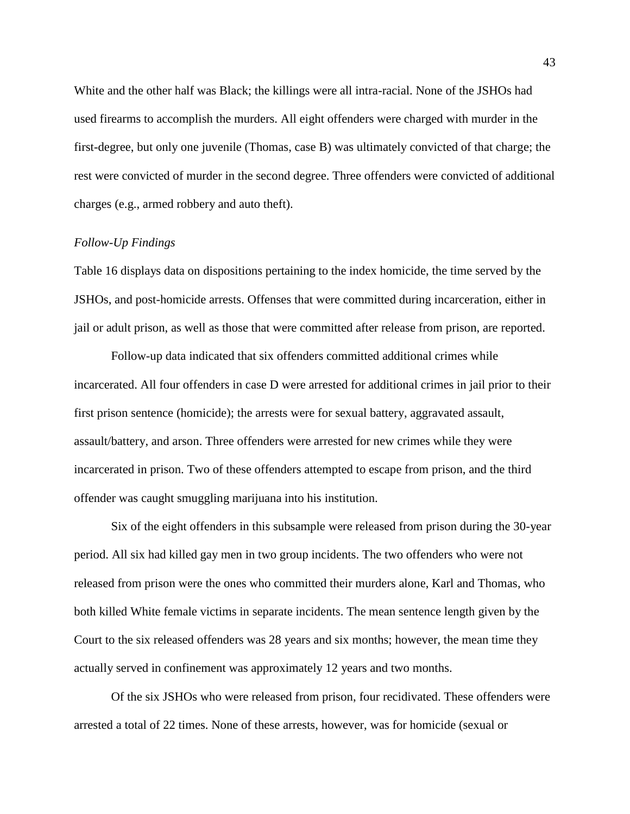White and the other half was Black; the killings were all intra-racial. None of the JSHOs had used firearms to accomplish the murders. All eight offenders were charged with murder in the first-degree, but only one juvenile (Thomas, case B) was ultimately convicted of that charge; the rest were convicted of murder in the second degree. Three offenders were convicted of additional charges (e.g., armed robbery and auto theft).

## *Follow-Up Findings*

Table 16 displays data on dispositions pertaining to the index homicide, the time served by the JSHOs, and post-homicide arrests. Offenses that were committed during incarceration, either in jail or adult prison, as well as those that were committed after release from prison, are reported.

Follow-up data indicated that six offenders committed additional crimes while incarcerated. All four offenders in case D were arrested for additional crimes in jail prior to their first prison sentence (homicide); the arrests were for sexual battery, aggravated assault, assault/battery, and arson. Three offenders were arrested for new crimes while they were incarcerated in prison. Two of these offenders attempted to escape from prison, and the third offender was caught smuggling marijuana into his institution.

Six of the eight offenders in this subsample were released from prison during the 30-year period. All six had killed gay men in two group incidents. The two offenders who were not released from prison were the ones who committed their murders alone, Karl and Thomas, who both killed White female victims in separate incidents. The mean sentence length given by the Court to the six released offenders was 28 years and six months; however, the mean time they actually served in confinement was approximately 12 years and two months.

Of the six JSHOs who were released from prison, four recidivated. These offenders were arrested a total of 22 times. None of these arrests, however, was for homicide (sexual or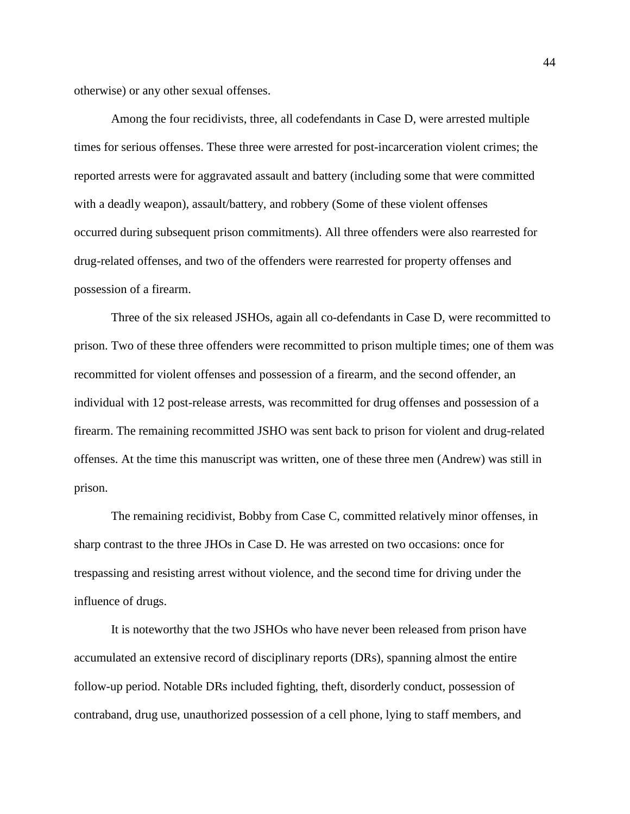otherwise) or any other sexual offenses.

Among the four recidivists, three, all codefendants in Case D, were arrested multiple times for serious offenses. These three were arrested for post-incarceration violent crimes; the reported arrests were for aggravated assault and battery (including some that were committed with a deadly weapon), assault/battery, and robbery (Some of these violent offenses occurred during subsequent prison commitments). All three offenders were also rearrested for drug-related offenses, and two of the offenders were rearrested for property offenses and possession of a firearm.

Three of the six released JSHOs, again all co-defendants in Case D, were recommitted to prison. Two of these three offenders were recommitted to prison multiple times; one of them was recommitted for violent offenses and possession of a firearm, and the second offender, an individual with 12 post-release arrests, was recommitted for drug offenses and possession of a firearm. The remaining recommitted JSHO was sent back to prison for violent and drug-related offenses. At the time this manuscript was written, one of these three men (Andrew) was still in prison.

The remaining recidivist, Bobby from Case C, committed relatively minor offenses, in sharp contrast to the three JHOs in Case D. He was arrested on two occasions: once for trespassing and resisting arrest without violence, and the second time for driving under the influence of drugs.

It is noteworthy that the two JSHOs who have never been released from prison have accumulated an extensive record of disciplinary reports (DRs), spanning almost the entire follow-up period. Notable DRs included fighting, theft, disorderly conduct, possession of contraband, drug use, unauthorized possession of a cell phone, lying to staff members, and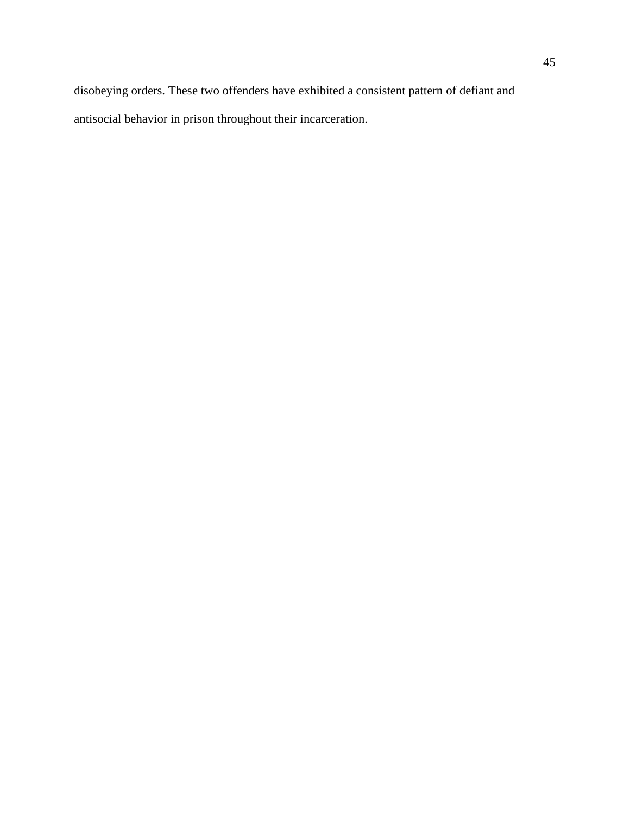disobeying orders. These two offenders have exhibited a consistent pattern of defiant and antisocial behavior in prison throughout their incarceration.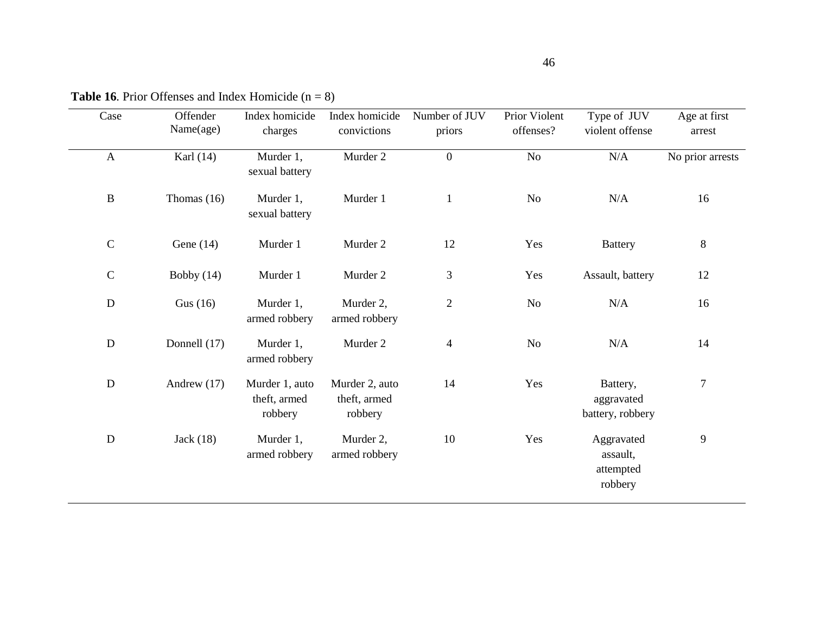| Case         | Offender<br>Name(age) | Index homicide<br>charges                 | Index homicide<br>convictions             | Number of JUV<br>priors | Prior Violent<br>offenses? | Type of JUV<br>violent offense                 | Age at first<br>arrest |
|--------------|-----------------------|-------------------------------------------|-------------------------------------------|-------------------------|----------------------------|------------------------------------------------|------------------------|
| $\mathbf{A}$ | Karl $(14)$           | Murder 1,<br>sexual battery               | Murder 2                                  | $\overline{0}$          | No                         | N/A                                            | No prior arrests       |
| $\, {\bf B}$ | Thomas $(16)$         | Murder 1,<br>sexual battery               | Murder 1                                  | $\mathbf{1}$            | No                         | N/A                                            | 16                     |
| $\mathsf C$  | Gene $(14)$           | Murder 1                                  | Murder 2                                  | 12                      | Yes                        | <b>Battery</b>                                 | $8\,$                  |
| $\mathsf{C}$ | Bobby $(14)$          | Murder 1                                  | Murder 2                                  | 3                       | Yes                        | Assault, battery                               | 12                     |
| ${\bf D}$    | Gus $(16)$            | Murder 1,<br>armed robbery                | Murder 2,<br>armed robbery                | $\overline{2}$          | <b>No</b>                  | N/A                                            | 16                     |
| ${\bf D}$    | Donnell (17)          | Murder 1,<br>armed robbery                | Murder 2                                  | $\overline{4}$          | <b>No</b>                  | N/A                                            | 14                     |
| $\mathbf D$  | Andrew $(17)$         | Murder 1, auto<br>theft, armed<br>robbery | Murder 2, auto<br>theft, armed<br>robbery | 14                      | Yes                        | Battery,<br>aggravated<br>battery, robbery     | $\overline{7}$         |
| ${\bf D}$    | Jack(18)              | Murder 1,<br>armed robbery                | Murder 2,<br>armed robbery                | 10                      | Yes                        | Aggravated<br>assault,<br>attempted<br>robbery | 9                      |

**Table 16***.* Prior Offenses and Index Homicide (n = 8)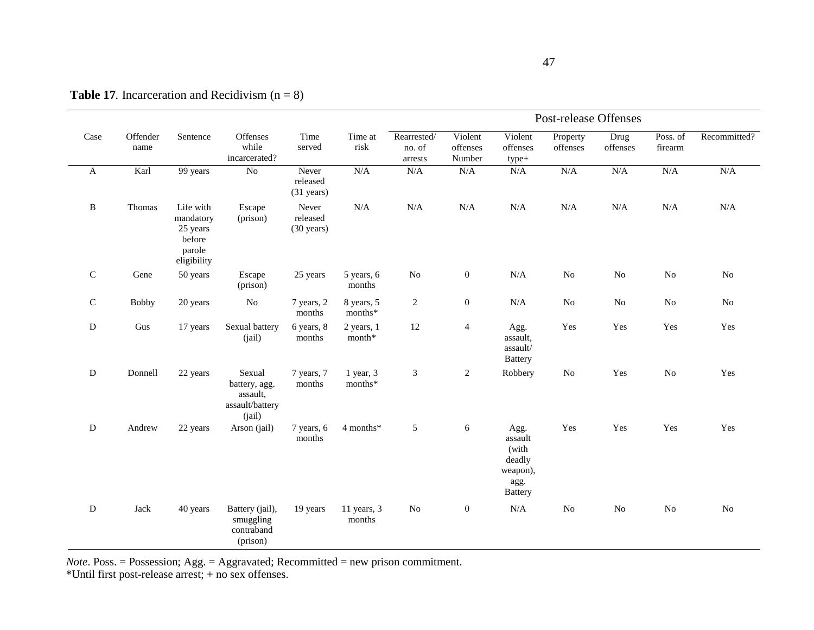|              |                  |                                                                       |                                                                  |                                           |                       |                                  |                               |                                                                          | Post-release Offenses |                  |                     |                |
|--------------|------------------|-----------------------------------------------------------------------|------------------------------------------------------------------|-------------------------------------------|-----------------------|----------------------------------|-------------------------------|--------------------------------------------------------------------------|-----------------------|------------------|---------------------|----------------|
| Case         | Offender<br>name | Sentence                                                              | Offenses<br>while<br>incarcerated?                               | Time<br>served                            | Time at<br>risk       | Rearrested/<br>no. of<br>arrests | Violent<br>offenses<br>Number | Violent<br>offenses<br>type+                                             | Property<br>offenses  | Drug<br>offenses | Poss. of<br>firearm | Recommitted?   |
| $\mathbf A$  | Karl             | 99 years                                                              | $\overline{No}$                                                  | Never<br>released<br>$(31 \text{ years})$ | N/A                   | N/A                              | N/A                           | N/A                                                                      | N/A                   | N/A              | N/A                 | N/A            |
| $\, {\bf B}$ | Thomas           | Life with<br>mandatory<br>25 years<br>before<br>parole<br>eligibility | Escape<br>(prison)                                               | Never<br>released<br>$(30 \text{ years})$ | N/A                   | N/A                              | N/A                           | N/A                                                                      | N/A                   | N/A              | $\rm N/A$           | N/A            |
| ${\bf C}$    | Gene             | 50 years                                                              | Escape<br>(prison)                                               | 25 years                                  | 5 years, 6<br>months  | $\rm No$                         | $\boldsymbol{0}$              | $\rm N/A$                                                                | $\rm No$              | $\rm No$         | No                  | No             |
| $\mathbf C$  | <b>Bobby</b>     | 20 years                                                              | $\rm No$                                                         | 7 years, 2<br>months                      | 8 years, 5<br>months* | $\overline{2}$                   | $\boldsymbol{0}$              | $\rm N/A$                                                                | No                    | $\rm No$         | $\rm No$            | No             |
| D            | Gus              | 17 years                                                              | Sexual battery<br>(iail)                                         | 6 years, 8<br>months                      | 2 years, 1<br>month*  | 12                               | $\overline{4}$                | Agg.<br>assault,<br>assault/<br><b>Battery</b>                           | Yes                   | Yes              | Yes                 | Yes            |
| D            | Donnell          | 22 years                                                              | Sexual<br>battery, agg.<br>assault.<br>assault/battery<br>(iail) | 7 years, 7<br>months                      | 1 year, 3<br>months*  | $\mathfrak{Z}$                   | 2                             | Robbery                                                                  | $\rm No$              | Yes              | No                  | Yes            |
| ${\rm D}$    | Andrew           | 22 years                                                              | Arson (jail)                                                     | 7 years, 6<br>months                      | 4 months*             | $\sqrt{5}$                       | 6                             | Agg.<br>assault<br>(with<br>deadly<br>weapon),<br>agg.<br><b>Battery</b> | Yes                   | Yes              | Yes                 | Yes            |
| D            | Jack             | 40 years                                                              | Battery (jail),<br>smuggling<br>contraband<br>(prison)           | 19 years                                  | 11 years, 3<br>months | No                               | $\boldsymbol{0}$              | N/A                                                                      | No                    | No               | No                  | N <sub>0</sub> |

**Table 17***.* Incarceration and Recidivism  $(n = 8)$ 

*Note*. Poss. = Possession; Agg. = Aggravated; Recommitted = new prison commitment.

\*Until first post-release arrest; + no sex offenses.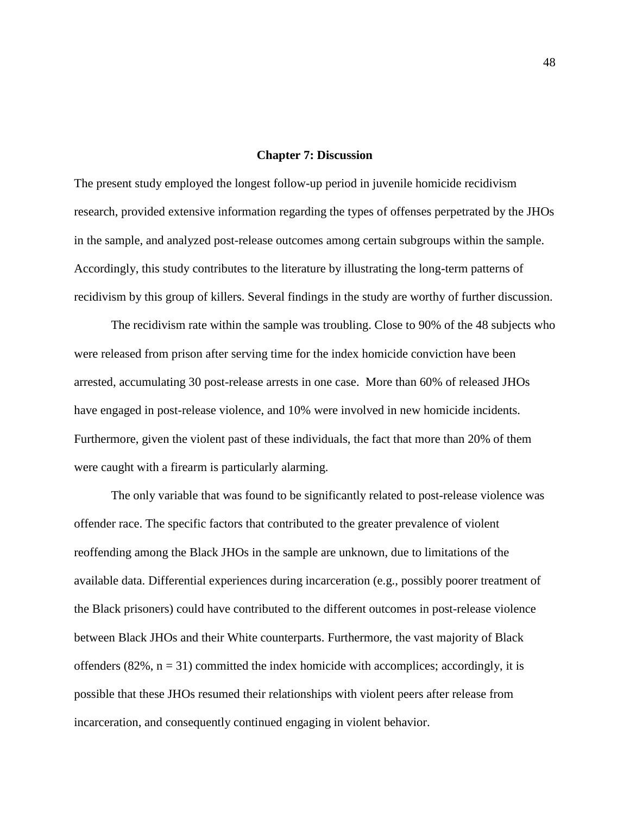## **Chapter 7: Discussion**

The present study employed the longest follow-up period in juvenile homicide recidivism research, provided extensive information regarding the types of offenses perpetrated by the JHOs in the sample, and analyzed post-release outcomes among certain subgroups within the sample. Accordingly, this study contributes to the literature by illustrating the long-term patterns of recidivism by this group of killers. Several findings in the study are worthy of further discussion.

The recidivism rate within the sample was troubling. Close to 90% of the 48 subjects who were released from prison after serving time for the index homicide conviction have been arrested, accumulating 30 post-release arrests in one case. More than 60% of released JHOs have engaged in post-release violence, and 10% were involved in new homicide incidents. Furthermore, given the violent past of these individuals, the fact that more than 20% of them were caught with a firearm is particularly alarming.

The only variable that was found to be significantly related to post-release violence was offender race. The specific factors that contributed to the greater prevalence of violent reoffending among the Black JHOs in the sample are unknown, due to limitations of the available data. Differential experiences during incarceration (e.g., possibly poorer treatment of the Black prisoners) could have contributed to the different outcomes in post-release violence between Black JHOs and their White counterparts. Furthermore, the vast majority of Black offenders  $(82\%, n = 31)$  committed the index homicide with accomplices; accordingly, it is possible that these JHOs resumed their relationships with violent peers after release from incarceration, and consequently continued engaging in violent behavior.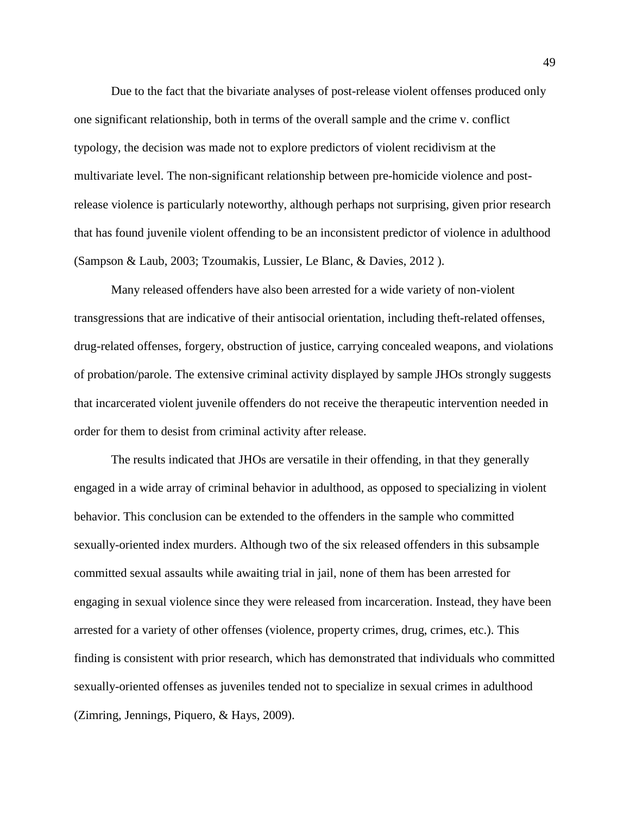Due to the fact that the bivariate analyses of post-release violent offenses produced only one significant relationship, both in terms of the overall sample and the crime v. conflict typology, the decision was made not to explore predictors of violent recidivism at the multivariate level. The non-significant relationship between pre-homicide violence and postrelease violence is particularly noteworthy, although perhaps not surprising, given prior research that has found juvenile violent offending to be an inconsistent predictor of violence in adulthood (Sampson & Laub, 2003; Tzoumakis, Lussier, Le Blanc, & Davies, 2012 ).

Many released offenders have also been arrested for a wide variety of non-violent transgressions that are indicative of their antisocial orientation, including theft-related offenses, drug-related offenses, forgery, obstruction of justice, carrying concealed weapons, and violations of probation/parole. The extensive criminal activity displayed by sample JHOs strongly suggests that incarcerated violent juvenile offenders do not receive the therapeutic intervention needed in order for them to desist from criminal activity after release.

The results indicated that JHOs are versatile in their offending, in that they generally engaged in a wide array of criminal behavior in adulthood, as opposed to specializing in violent behavior. This conclusion can be extended to the offenders in the sample who committed sexually-oriented index murders. Although two of the six released offenders in this subsample committed sexual assaults while awaiting trial in jail, none of them has been arrested for engaging in sexual violence since they were released from incarceration. Instead, they have been arrested for a variety of other offenses (violence, property crimes, drug, crimes, etc.). This finding is consistent with prior research, which has demonstrated that individuals who committed sexually-oriented offenses as juveniles tended not to specialize in sexual crimes in adulthood (Zimring, Jennings, Piquero, & Hays, 2009).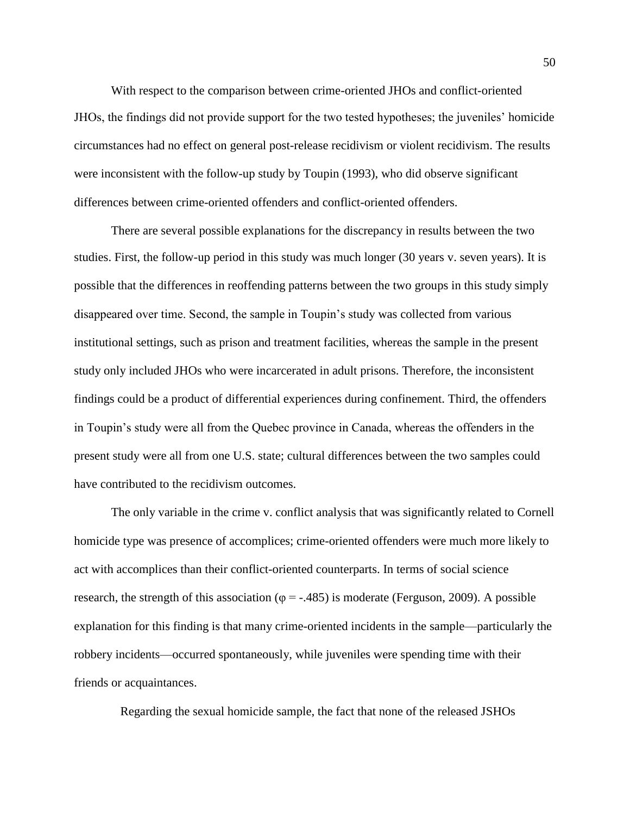With respect to the comparison between crime-oriented JHOs and conflict-oriented JHOs, the findings did not provide support for the two tested hypotheses; the juveniles' homicide circumstances had no effect on general post-release recidivism or violent recidivism. The results were inconsistent with the follow-up study by Toupin (1993), who did observe significant differences between crime-oriented offenders and conflict-oriented offenders.

There are several possible explanations for the discrepancy in results between the two studies. First, the follow-up period in this study was much longer (30 years v. seven years). It is possible that the differences in reoffending patterns between the two groups in this study simply disappeared over time. Second, the sample in Toupin's study was collected from various institutional settings, such as prison and treatment facilities, whereas the sample in the present study only included JHOs who were incarcerated in adult prisons. Therefore, the inconsistent findings could be a product of differential experiences during confinement. Third, the offenders in Toupin's study were all from the Quebec province in Canada, whereas the offenders in the present study were all from one U.S. state; cultural differences between the two samples could have contributed to the recidivism outcomes.

The only variable in the crime v. conflict analysis that was significantly related to Cornell homicide type was presence of accomplices; crime-oriented offenders were much more likely to act with accomplices than their conflict-oriented counterparts. In terms of social science research, the strength of this association ( $\varphi$  = -.485) is moderate (Ferguson, 2009). A possible explanation for this finding is that many crime-oriented incidents in the sample—particularly the robbery incidents—occurred spontaneously, while juveniles were spending time with their friends or acquaintances.

Regarding the sexual homicide sample, the fact that none of the released JSHOs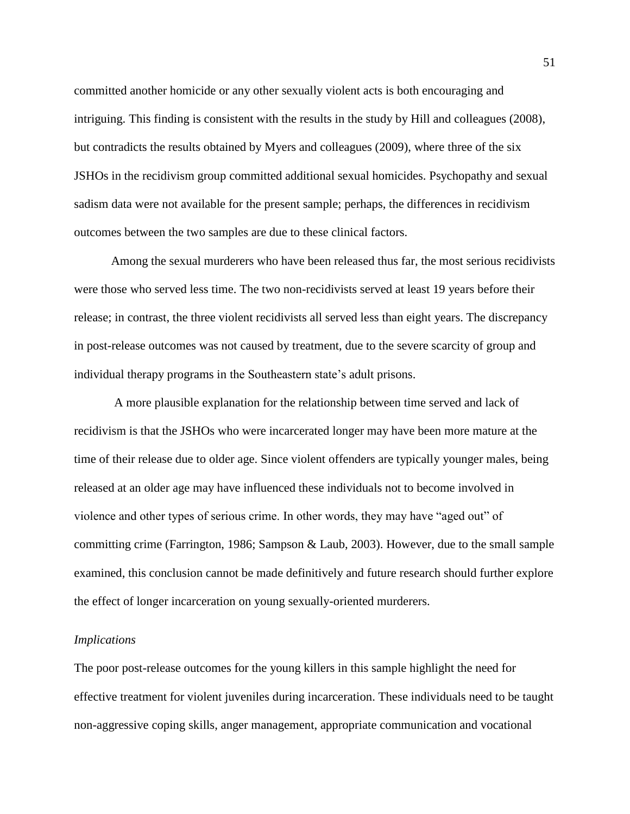committed another homicide or any other sexually violent acts is both encouraging and intriguing. This finding is consistent with the results in the study by Hill and colleagues (2008), but contradicts the results obtained by Myers and colleagues (2009), where three of the six JSHOs in the recidivism group committed additional sexual homicides. Psychopathy and sexual sadism data were not available for the present sample; perhaps, the differences in recidivism outcomes between the two samples are due to these clinical factors.

Among the sexual murderers who have been released thus far, the most serious recidivists were those who served less time. The two non-recidivists served at least 19 years before their release; in contrast, the three violent recidivists all served less than eight years. The discrepancy in post-release outcomes was not caused by treatment, due to the severe scarcity of group and individual therapy programs in the Southeastern state's adult prisons.

A more plausible explanation for the relationship between time served and lack of recidivism is that the JSHOs who were incarcerated longer may have been more mature at the time of their release due to older age. Since violent offenders are typically younger males, being released at an older age may have influenced these individuals not to become involved in violence and other types of serious crime. In other words, they may have "aged out" of committing crime (Farrington, 1986; Sampson & Laub, 2003). However, due to the small sample examined, this conclusion cannot be made definitively and future research should further explore the effect of longer incarceration on young sexually-oriented murderers.

## *Implications*

The poor post-release outcomes for the young killers in this sample highlight the need for effective treatment for violent juveniles during incarceration. These individuals need to be taught non-aggressive coping skills, anger management, appropriate communication and vocational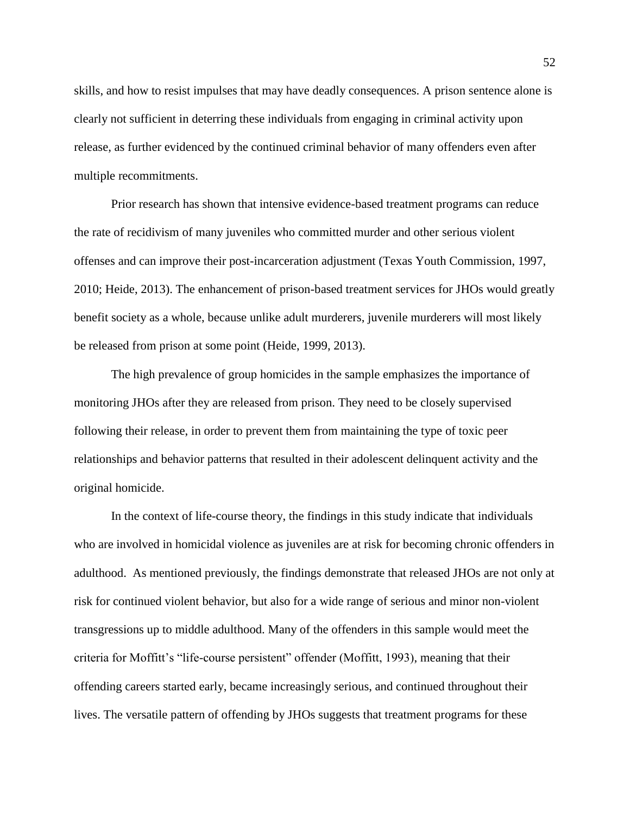skills, and how to resist impulses that may have deadly consequences. A prison sentence alone is clearly not sufficient in deterring these individuals from engaging in criminal activity upon release, as further evidenced by the continued criminal behavior of many offenders even after multiple recommitments.

Prior research has shown that intensive evidence-based treatment programs can reduce the rate of recidivism of many juveniles who committed murder and other serious violent offenses and can improve their post-incarceration adjustment (Texas Youth Commission, 1997, 2010; Heide, 2013). The enhancement of prison-based treatment services for JHOs would greatly benefit society as a whole, because unlike adult murderers, juvenile murderers will most likely be released from prison at some point (Heide, 1999, 2013).

The high prevalence of group homicides in the sample emphasizes the importance of monitoring JHOs after they are released from prison. They need to be closely supervised following their release, in order to prevent them from maintaining the type of toxic peer relationships and behavior patterns that resulted in their adolescent delinquent activity and the original homicide.

In the context of life-course theory, the findings in this study indicate that individuals who are involved in homicidal violence as juveniles are at risk for becoming chronic offenders in adulthood. As mentioned previously, the findings demonstrate that released JHOs are not only at risk for continued violent behavior, but also for a wide range of serious and minor non-violent transgressions up to middle adulthood. Many of the offenders in this sample would meet the criteria for Moffitt's "life-course persistent" offender (Moffitt, 1993), meaning that their offending careers started early, became increasingly serious, and continued throughout their lives. The versatile pattern of offending by JHOs suggests that treatment programs for these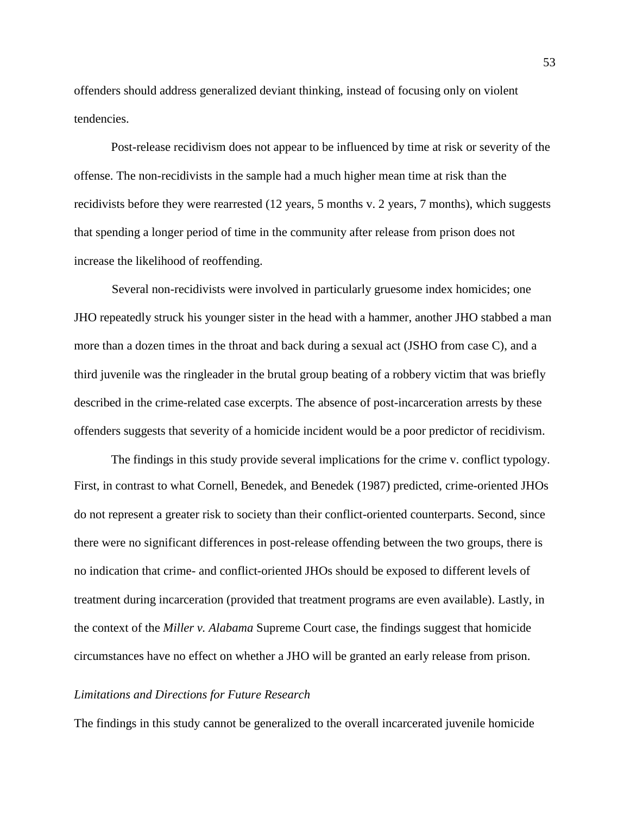offenders should address generalized deviant thinking, instead of focusing only on violent tendencies.

Post-release recidivism does not appear to be influenced by time at risk or severity of the offense. The non-recidivists in the sample had a much higher mean time at risk than the recidivists before they were rearrested (12 years, 5 months v. 2 years, 7 months), which suggests that spending a longer period of time in the community after release from prison does not increase the likelihood of reoffending.

Several non-recidivists were involved in particularly gruesome index homicides; one JHO repeatedly struck his younger sister in the head with a hammer, another JHO stabbed a man more than a dozen times in the throat and back during a sexual act (JSHO from case C), and a third juvenile was the ringleader in the brutal group beating of a robbery victim that was briefly described in the crime-related case excerpts. The absence of post-incarceration arrests by these offenders suggests that severity of a homicide incident would be a poor predictor of recidivism.

The findings in this study provide several implications for the crime v. conflict typology. First, in contrast to what Cornell, Benedek, and Benedek (1987) predicted, crime-oriented JHOs do not represent a greater risk to society than their conflict-oriented counterparts. Second, since there were no significant differences in post-release offending between the two groups, there is no indication that crime- and conflict-oriented JHOs should be exposed to different levels of treatment during incarceration (provided that treatment programs are even available). Lastly, in the context of the *Miller v. Alabama* Supreme Court case, the findings suggest that homicide circumstances have no effect on whether a JHO will be granted an early release from prison.

## *Limitations and Directions for Future Research*

The findings in this study cannot be generalized to the overall incarcerated juvenile homicide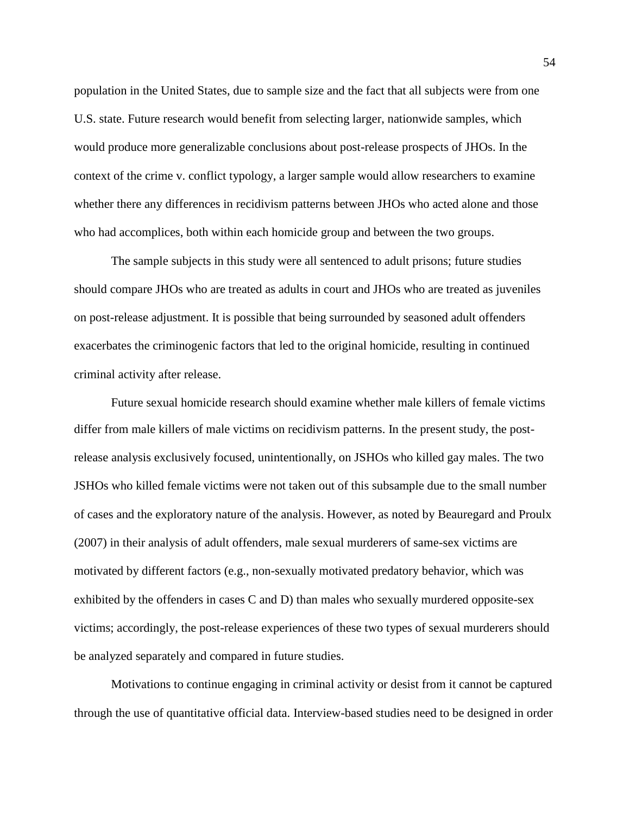population in the United States, due to sample size and the fact that all subjects were from one U.S. state. Future research would benefit from selecting larger, nationwide samples, which would produce more generalizable conclusions about post-release prospects of JHOs. In the context of the crime v. conflict typology, a larger sample would allow researchers to examine whether there any differences in recidivism patterns between JHOs who acted alone and those who had accomplices, both within each homicide group and between the two groups.

The sample subjects in this study were all sentenced to adult prisons; future studies should compare JHOs who are treated as adults in court and JHOs who are treated as juveniles on post-release adjustment. It is possible that being surrounded by seasoned adult offenders exacerbates the criminogenic factors that led to the original homicide, resulting in continued criminal activity after release.

Future sexual homicide research should examine whether male killers of female victims differ from male killers of male victims on recidivism patterns. In the present study, the postrelease analysis exclusively focused, unintentionally, on JSHOs who killed gay males. The two JSHOs who killed female victims were not taken out of this subsample due to the small number of cases and the exploratory nature of the analysis. However, as noted by Beauregard and Proulx (2007) in their analysis of adult offenders, male sexual murderers of same-sex victims are motivated by different factors (e.g., non-sexually motivated predatory behavior, which was exhibited by the offenders in cases C and D) than males who sexually murdered opposite-sex victims; accordingly, the post-release experiences of these two types of sexual murderers should be analyzed separately and compared in future studies.

Motivations to continue engaging in criminal activity or desist from it cannot be captured through the use of quantitative official data. Interview-based studies need to be designed in order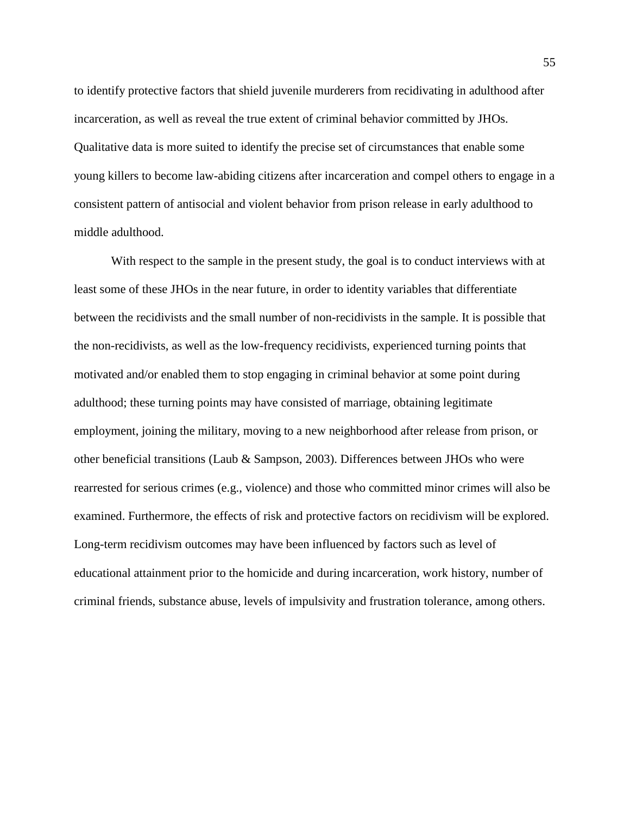to identify protective factors that shield juvenile murderers from recidivating in adulthood after incarceration, as well as reveal the true extent of criminal behavior committed by JHOs. Qualitative data is more suited to identify the precise set of circumstances that enable some young killers to become law-abiding citizens after incarceration and compel others to engage in a consistent pattern of antisocial and violent behavior from prison release in early adulthood to middle adulthood.

With respect to the sample in the present study, the goal is to conduct interviews with at least some of these JHOs in the near future, in order to identity variables that differentiate between the recidivists and the small number of non-recidivists in the sample. It is possible that the non-recidivists, as well as the low-frequency recidivists, experienced turning points that motivated and/or enabled them to stop engaging in criminal behavior at some point during adulthood; these turning points may have consisted of marriage, obtaining legitimate employment, joining the military, moving to a new neighborhood after release from prison, or other beneficial transitions (Laub & Sampson, 2003). Differences between JHOs who were rearrested for serious crimes (e.g., violence) and those who committed minor crimes will also be examined. Furthermore, the effects of risk and protective factors on recidivism will be explored. Long-term recidivism outcomes may have been influenced by factors such as level of educational attainment prior to the homicide and during incarceration, work history, number of criminal friends, substance abuse, levels of impulsivity and frustration tolerance, among others.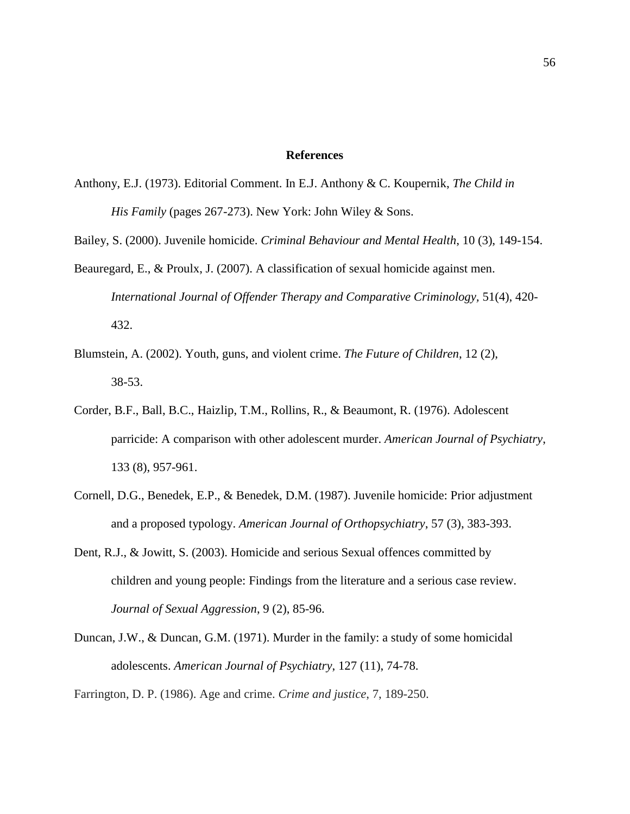## **References**

- Anthony, E.J. (1973). Editorial Comment. In E.J. Anthony & C. Koupernik, *The Child in His Family* (pages 267-273). New York: John Wiley & Sons.
- Bailey, S. (2000). Juvenile homicide. *Criminal Behaviour and Mental Health*, 10 (3), 149-154.
- Beauregard, E., & Proulx, J. (2007). A classification of sexual homicide against men. *International Journal of Offender Therapy and Comparative Criminology,* 51(4), 420- 432.
- Blumstein, A. (2002). Youth, guns, and violent crime. *The Future of Children*, 12 (2), 38-53.
- Corder, B.F., Ball, B.C., Haizlip, T.M., Rollins, R., & Beaumont, R. (1976). Adolescent parricide: A comparison with other adolescent murder. *American Journal of Psychiatry*, 133 (8), 957-961.
- Cornell, D.G., Benedek, E.P., & Benedek, D.M. (1987). Juvenile homicide: Prior adjustment and a proposed typology. *American Journal of Orthopsychiatry*, 57 (3), 383-393.
- Dent, R.J., & Jowitt, S. (2003). Homicide and serious Sexual offences committed by children and young people: Findings from the literature and a serious case review. *Journal of Sexual Aggression*, 9 (2), 85-96.
- Duncan, J.W., & Duncan, G.M. (1971). Murder in the family: a study of some homicidal adolescents. *American Journal of Psychiatry*, 127 (11), 74-78.

Farrington, D. P. (1986). Age and crime. *Crime and justice*, 7, 189-250.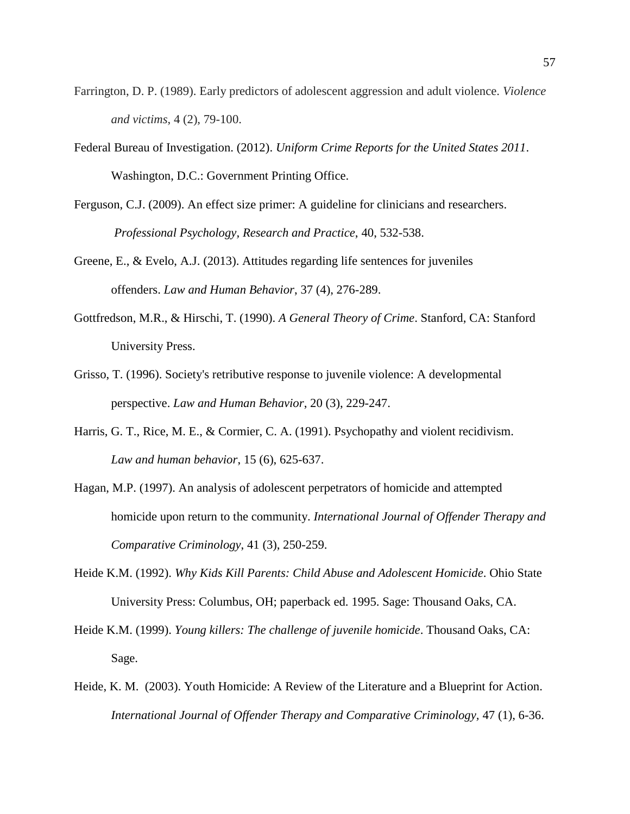- Farrington, D. P. (1989). Early predictors of adolescent aggression and adult violence. *Violence and victims*, 4 (2), 79-100.
- Federal Bureau of Investigation. (2012). *Uniform Crime Reports for the United States 2011*. Washington, D.C.: Government Printing Office.
- Ferguson, C.J. (2009). An effect size primer: A guideline for clinicians and researchers.  *Professional Psychology, Research and Practice*, 40, 532-538.
- Greene, E., & Evelo, A.J. (2013). Attitudes regarding life sentences for juveniles offenders. *Law and Human Behavior*, 37 (4), 276-289.
- Gottfredson, M.R., & Hirschi, T. (1990). *A General Theory of Crime*. Stanford, CA: Stanford University Press.
- Grisso, T. (1996). Society's retributive response to juvenile violence: A developmental perspective. *Law and Human Behavior*, 20 (3), 229-247.
- Harris, G. T., Rice, M. E., & Cormier, C. A. (1991). Psychopathy and violent recidivism. *Law and human behavior*, 15 (6), 625-637.
- Hagan, M.P. (1997). An analysis of adolescent perpetrators of homicide and attempted homicide upon return to the community. *International Journal of Offender Therapy and Comparative Criminology*, 41 (3), 250-259.
- Heide K.M. (1992). *Why Kids Kill Parents: Child Abuse and Adolescent Homicide*. Ohio State University Press: Columbus, OH; paperback ed. 1995. Sage: Thousand Oaks, CA.
- Heide K.M. (1999). *Young killers: The challenge of juvenile homicide*. Thousand Oaks, CA: Sage.
- Heide, K. M. (2003). Youth Homicide: A Review of the Literature and a Blueprint for Action. *International Journal of Offender Therapy and Comparative Criminology,* 47 (1), 6-36.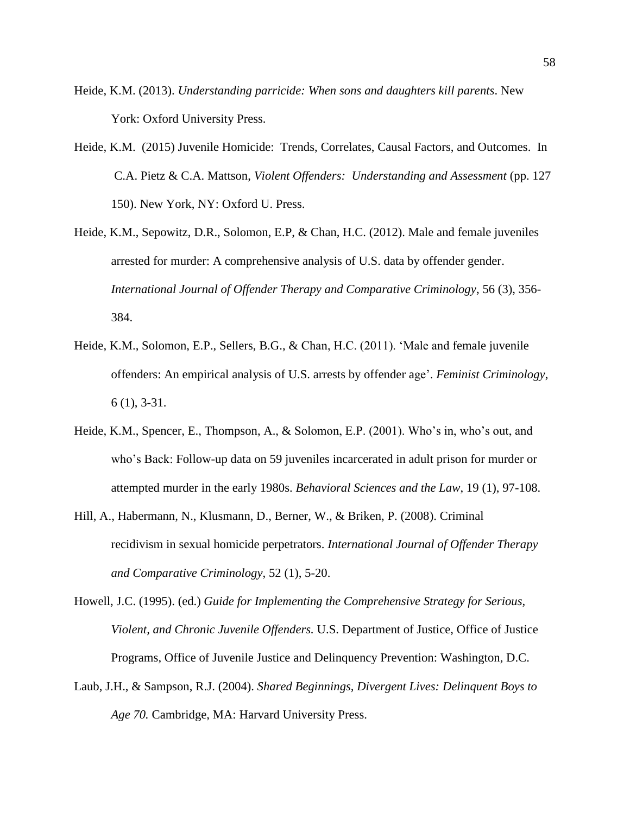- Heide, K.M. (2013). *Understanding parricide: When sons and daughters kill parents*. New York: Oxford University Press.
- Heide, K.M. (2015) Juvenile Homicide: Trends, Correlates, Causal Factors, and Outcomes. In C.A. Pietz & C.A. Mattson, *Violent Offenders: Understanding and Assessment* (pp. 127 150). New York, NY: Oxford U. Press.
- Heide, K.M., Sepowitz, D.R., Solomon, E.P, & Chan, H.C. (2012). Male and female juveniles arrested for murder: A comprehensive analysis of U.S. data by offender gender. *International Journal of Offender Therapy and Comparative Criminology*, 56 (3), 356- 384.
- Heide, K.M., Solomon, E.P., Sellers, B.G., & Chan, H.C. (2011). 'Male and female juvenile offenders: An empirical analysis of U.S. arrests by offender age'. *Feminist Criminology*, 6 (1), 3-31.
- Heide, K.M., Spencer, E., Thompson, A., & Solomon, E.P. (2001). Who's in, who's out, and who's Back: Follow-up data on 59 juveniles incarcerated in adult prison for murder or attempted murder in the early 1980s. *Behavioral Sciences and the Law*, 19 (1), 97-108.
- Hill, A., Habermann, N., Klusmann, D., Berner, W., & Briken, P. (2008). Criminal recidivism in sexual homicide perpetrators. *International Journal of Offender Therapy and Comparative Criminology*, 52 (1), 5-20.
- Howell, J.C. (1995). (ed.) *Guide for Implementing the Comprehensive Strategy for Serious, Violent, and Chronic Juvenile Offenders.* U.S. Department of Justice, Office of Justice Programs, Office of Juvenile Justice and Delinquency Prevention: Washington, D.C.
- Laub, J.H., & Sampson, R.J. (2004). *Shared Beginnings, Divergent Lives: Delinquent Boys to Age 70.* Cambridge, MA: Harvard University Press.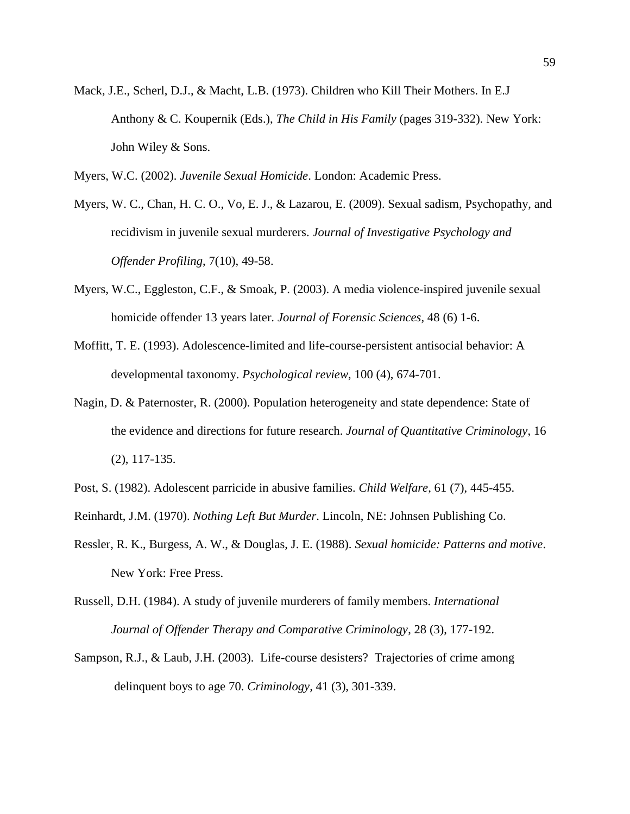- Mack, J.E., Scherl, D.J., & Macht, L.B. (1973). Children who Kill Their Mothers. In E.J Anthony & C. Koupernik (Eds.), *The Child in His Family* (pages 319-332). New York: John Wiley & Sons.
- Myers, W.C. (2002). *Juvenile Sexual Homicide*. London: Academic Press.
- Myers, W. C., Chan, H. C. O., Vo, E. J., & Lazarou, E. (2009). Sexual sadism, Psychopathy, and recidivism in juvenile sexual murderers. *Journal of Investigative Psychology and Offender Profiling*, 7(10), 49-58.
- Myers, W.C., Eggleston, C.F., & Smoak, P. (2003). A media violence-inspired juvenile sexual homicide offender 13 years later. *Journal of Forensic Sciences*, 48 (6) 1-6.
- Moffitt, T. E. (1993). Adolescence-limited and life-course-persistent antisocial behavior: A developmental taxonomy. *Psychological review*, 100 (4), 674-701.
- Nagin, D. & Paternoster, R. (2000). Population heterogeneity and state dependence: State of the evidence and directions for future research. *Journal of Quantitative Criminology*, 16 (2), 117-135.
- Post, S. (1982). Adolescent parricide in abusive families. *Child Welfare*, 61 (7), 445-455.
- Reinhardt, J.M. (1970). *Nothing Left But Murder*. Lincoln, NE: Johnsen Publishing Co.
- Ressler, R. K., Burgess, A. W., & Douglas, J. E. (1988). *Sexual homicide: Patterns and motive*. New York: Free Press.
- Russell, D.H. (1984). A study of juvenile murderers of family members. *International Journal of Offender Therapy and Comparative Criminology*, 28 (3), 177-192.
- Sampson, R.J., & Laub, J.H. (2003). Life-course desisters? Trajectories of crime among delinquent boys to age 70. *Criminology,* 41 (3), 301-339.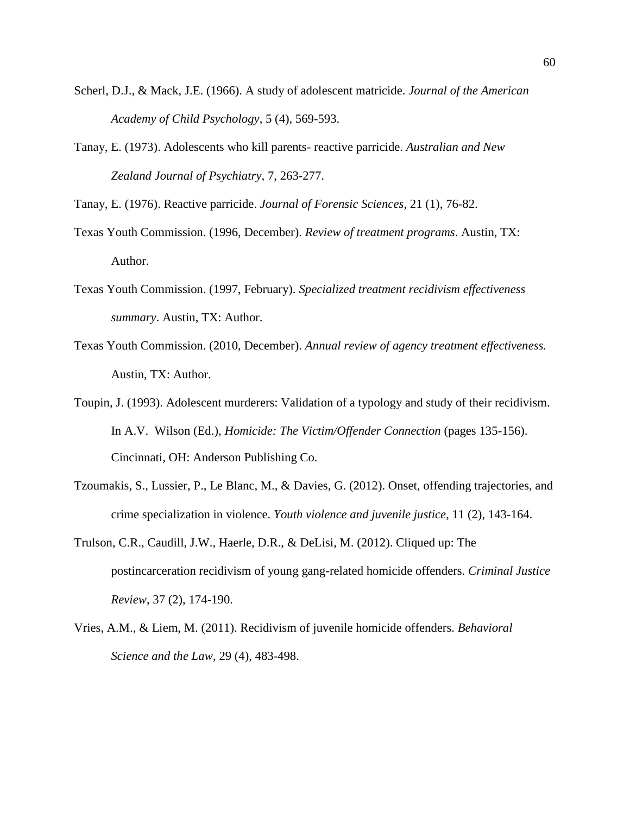- Scherl, D.J., & Mack, J.E. (1966). A study of adolescent matricide. *Journal of the American Academy of Child Psychology*, 5 (4), 569-593.
- Tanay, E. (1973). Adolescents who kill parents- reactive parricide. *Australian and New Zealand Journal of Psychiatry*, 7, 263-277.
- Tanay, E. (1976). Reactive parricide. *Journal of Forensic Sciences*, 21 (1), 76-82.
- Texas Youth Commission. (1996, December). *Review of treatment programs*. Austin, TX: Author.
- Texas Youth Commission. (1997, February). *Specialized treatment recidivism effectiveness summary*. Austin, TX: Author.
- Texas Youth Commission. (2010, December). *Annual review of agency treatment effectiveness.* Austin, TX: Author.
- Toupin, J. (1993). Adolescent murderers: Validation of a typology and study of their recidivism. In A.V. Wilson (Ed.), *Homicide: The Victim/Offender Connection* (pages 135-156). Cincinnati, OH: Anderson Publishing Co.
- Tzoumakis, S., Lussier, P., Le Blanc, M., & Davies, G. (2012). Onset, offending trajectories, and crime specialization in violence. *Youth violence and juvenile justice*, 11 (2), 143-164.
- Trulson, C.R., Caudill, J.W., Haerle, D.R., & DeLisi, M. (2012). Cliqued up: The postincarceration recidivism of young gang-related homicide offenders. *Criminal Justice Review*, 37 (2), 174-190.
- Vries, A.M., & Liem, M. (2011). Recidivism of juvenile homicide offenders. *Behavioral Science and the Law*, 29 (4), 483-498.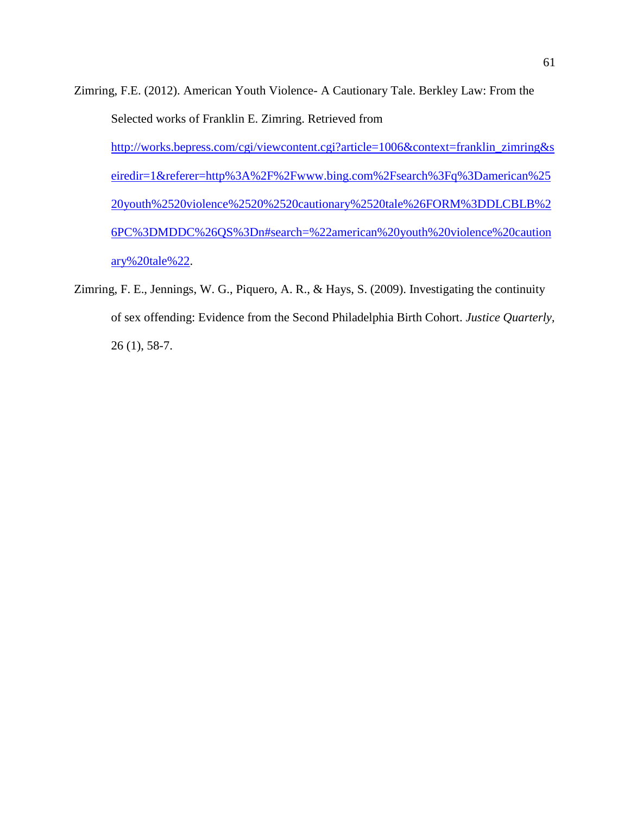- Zimring, F.E. (2012). American Youth Violence- A Cautionary Tale. Berkley Law: From the Selected works of Franklin E. Zimring. Retrieved from [http://works.bepress.com/cgi/viewcontent.cgi?article=1006&context=franklin\\_zimring&s](http://works.bepress.com/cgi/viewcontent.cgi?article=1006&context=franklin_zimring&seiredir=1&referer=http%3A%2F%2Fwww.bing.com%2Fsearch%3Fq%3Damerican%2520youth%2520violence%2520%2520cautionary%2520tale%26FORM%3DDLCBLB%26PC%3DMDDC%26QS%3Dn#search=%22american%20youth%20violence%20cautionary%20tale%22) [eiredir=1&referer=http%3A%2F%2Fwww.bing.com%2Fsearch%3Fq%3Damerican%25](http://works.bepress.com/cgi/viewcontent.cgi?article=1006&context=franklin_zimring&seiredir=1&referer=http%3A%2F%2Fwww.bing.com%2Fsearch%3Fq%3Damerican%2520youth%2520violence%2520%2520cautionary%2520tale%26FORM%3DDLCBLB%26PC%3DMDDC%26QS%3Dn#search=%22american%20youth%20violence%20cautionary%20tale%22) [20youth%2520violence%2520%2520cautionary%2520tale%26FORM%3DDLCBLB%2](http://works.bepress.com/cgi/viewcontent.cgi?article=1006&context=franklin_zimring&seiredir=1&referer=http%3A%2F%2Fwww.bing.com%2Fsearch%3Fq%3Damerican%2520youth%2520violence%2520%2520cautionary%2520tale%26FORM%3DDLCBLB%26PC%3DMDDC%26QS%3Dn#search=%22american%20youth%20violence%20cautionary%20tale%22) [6PC%3DMDDC%26QS%3Dn#search=%22american%20youth%20violence%20caution](http://works.bepress.com/cgi/viewcontent.cgi?article=1006&context=franklin_zimring&seiredir=1&referer=http%3A%2F%2Fwww.bing.com%2Fsearch%3Fq%3Damerican%2520youth%2520violence%2520%2520cautionary%2520tale%26FORM%3DDLCBLB%26PC%3DMDDC%26QS%3Dn#search=%22american%20youth%20violence%20cautionary%20tale%22) [ary%20tale%22.](http://works.bepress.com/cgi/viewcontent.cgi?article=1006&context=franklin_zimring&seiredir=1&referer=http%3A%2F%2Fwww.bing.com%2Fsearch%3Fq%3Damerican%2520youth%2520violence%2520%2520cautionary%2520tale%26FORM%3DDLCBLB%26PC%3DMDDC%26QS%3Dn#search=%22american%20youth%20violence%20cautionary%20tale%22)
- Zimring, F. E., Jennings, W. G., Piquero, A. R., & Hays, S. (2009). Investigating the continuity of sex offending: Evidence from the Second Philadelphia Birth Cohort. *Justice Quarterly,*  26 (1), 58-7.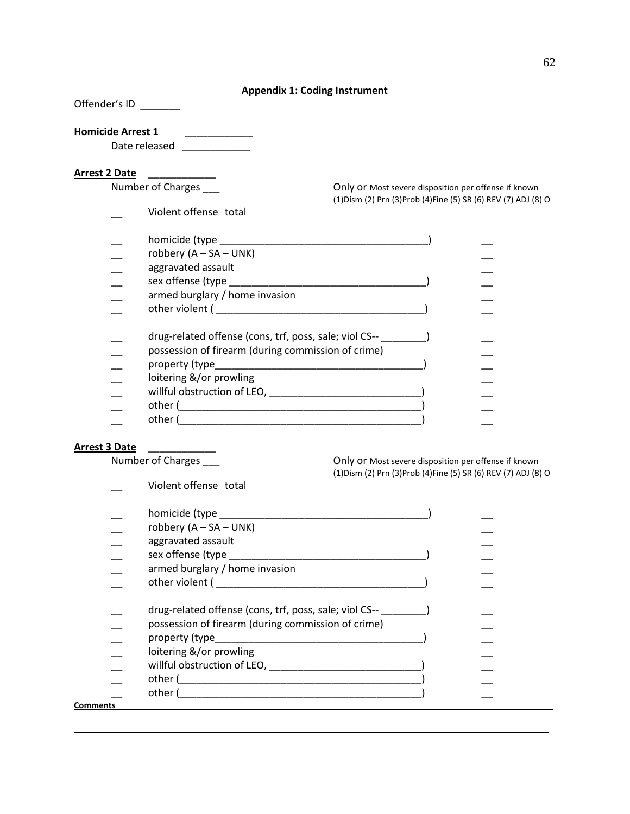## **Appendix 1: Coding Instrument**

Offender's ID

# **Homicide Arrest 1** \_\_\_\_\_\_\_\_\_\_\_\_

Date released \_\_\_\_\_\_\_\_\_\_\_\_\_\_

Arrest 2 Date<br>
Number of Charges

\_\_ Violent offense total

Only or Most severe disposition per offense if known (1)Dism (2) Prn (3)Prob (4)Fine (5) SR (6) REV (7) ADJ (8) O

| homicide (type _______                                                                                       |  |
|--------------------------------------------------------------------------------------------------------------|--|
| robbery $(A - SA - UNK)$                                                                                     |  |
| aggravated assault                                                                                           |  |
| sex offense (type                                                                                            |  |
| armed burglary / home invasion                                                                               |  |
| other violent (                                                                                              |  |
| drug-related offense (cons, trf, poss, sale; viol CS--<br>possession of firearm (during commission of crime) |  |
| property (type                                                                                               |  |
| loitering &/or prowling<br>willful obstruction of LEO,                                                       |  |
| other (                                                                                                      |  |
| other (                                                                                                      |  |

Arrest 3 Date<br>
Number of Charges

Only or Most severe disposition per offense if known (1)Dism (2) Prn (3)Prob (4)Fine (5) SR (6) REV (7) ADJ (8) O

\_\_ Violent offense total

|          | robbery $(A - SA - UNK)$                                                                                        |  |
|----------|-----------------------------------------------------------------------------------------------------------------|--|
|          | aggravated assault                                                                                              |  |
|          | sex offense (type                                                                                               |  |
|          | armed burglary / home invasion                                                                                  |  |
|          | other violent (and a state of the state of the state of the state of the state of the state of the state of the |  |
|          | drug-related offense (cons, trf, poss, sale; viol CS--                                                          |  |
|          | possession of firearm (during commission of crime)                                                              |  |
|          | property (type__________                                                                                        |  |
|          | loitering &/or prowling                                                                                         |  |
|          | willful obstruction of LEO,                                                                                     |  |
|          | other (                                                                                                         |  |
|          | other (                                                                                                         |  |
| Comments |                                                                                                                 |  |
|          |                                                                                                                 |  |

**\_\_\_\_\_\_\_\_\_\_\_\_\_\_\_\_\_\_\_\_\_\_\_\_\_\_\_\_\_\_\_\_\_\_\_\_\_\_\_\_\_\_\_\_\_\_\_\_\_\_\_\_\_\_\_\_\_\_\_\_\_\_\_\_\_\_\_\_\_\_\_\_\_\_\_\_\_\_\_\_\_\_\_\_\_\_\_\_\_\_\_\_\_\_\_\_\_\_\_\_\_\_\_**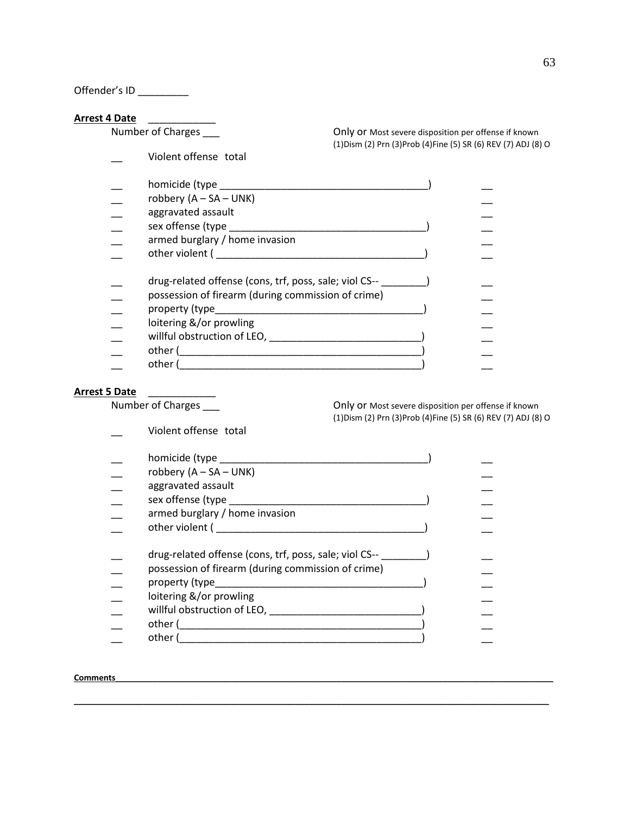Offender's ID \_\_\_\_\_\_\_\_\_

**Arrest 4 Date**<br>Number of Charges

Violent offense total

Only or Most severe disposition per offense if known (1)Dism (2) Prn (3)Prob (4)Fine (5) SR (6) REV (7) ADJ (8) O

| homicide (type ______                                  |  |
|--------------------------------------------------------|--|
| robbery $(A - SA - UNK)$                               |  |
| aggravated assault                                     |  |
|                                                        |  |
| sex offense (type                                      |  |
| armed burglary / home invasion                         |  |
| other violent (                                        |  |
|                                                        |  |
| drug-related offense (cons, trf, poss, sale; viol CS-- |  |
| possession of firearm (during commission of crime)     |  |
| property (type____                                     |  |
|                                                        |  |
| loitering &/or prowling                                |  |
| willful obstruction of LEO,                            |  |
| other (                                                |  |
| other (                                                |  |
|                                                        |  |

# **Arrest 5 Date** \_\_\_\_\_\_\_\_\_\_\_\_

Violent offense total

Number of Charges \_\_\_\_ contact the Charges of Charges and Chily or Most severe disposition per offense if known (1)Dism (2) Prn (3)Prob (4)Fine (5) SR (6) REV (7) ADJ (8) O

| robbery $(A - SA - UNK)$                                                                                        |  |
|-----------------------------------------------------------------------------------------------------------------|--|
| aggravated assault                                                                                              |  |
| sex offense (type                                                                                               |  |
| armed burglary / home invasion                                                                                  |  |
| other violent (and a state of the state of the state of the state of the state of the state of the state of the |  |
|                                                                                                                 |  |
| drug-related offense (cons, trf, poss, sale; viol CS--                                                          |  |
| possession of firearm (during commission of crime)                                                              |  |
| property (type____                                                                                              |  |
| loitering &/or prowling                                                                                         |  |
| willful obstruction of LEO,                                                                                     |  |
| other (                                                                                                         |  |
| other i                                                                                                         |  |
|                                                                                                                 |  |

**\_\_\_\_\_\_\_\_\_\_\_\_\_\_\_\_\_\_\_\_\_\_\_\_\_\_\_\_\_\_\_\_\_\_\_\_\_\_\_\_\_\_\_\_\_\_\_\_\_\_\_\_\_\_\_\_\_\_\_\_\_\_\_\_\_\_\_\_\_\_\_\_\_\_\_\_\_\_\_\_\_\_\_\_\_\_\_\_\_\_\_\_\_\_\_\_\_\_\_\_\_\_\_**

## **Comments\_\_\_\_\_\_\_\_\_\_\_\_\_\_\_\_\_\_\_\_\_\_\_\_\_\_\_\_\_\_\_\_\_\_\_\_\_\_\_\_\_\_\_\_\_\_\_\_\_\_\_\_\_\_\_\_\_\_\_\_\_\_\_\_\_\_\_\_\_\_\_\_\_\_\_\_\_\_\_\_\_\_\_\_\_\_\_\_\_\_\_\_\_\_\_**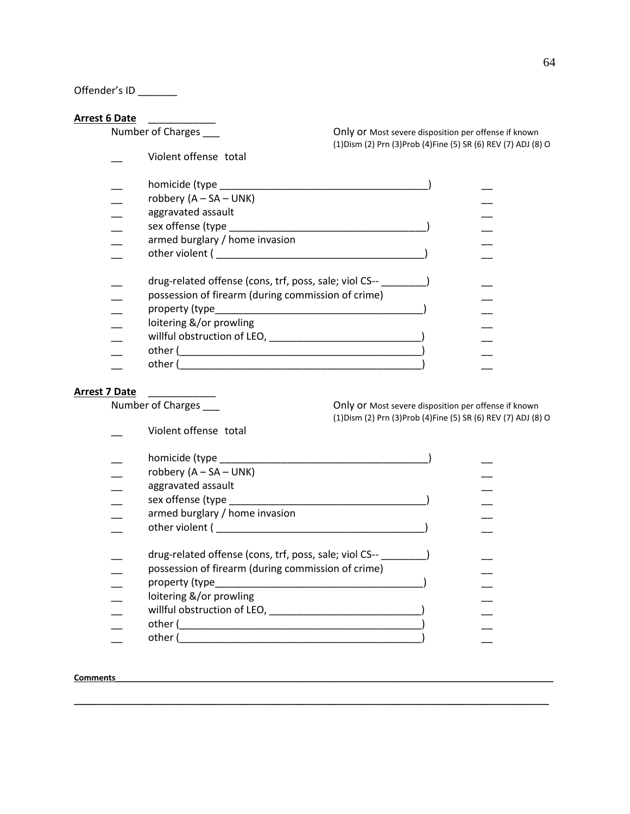Offender's ID \_\_\_\_\_\_

**Arrest 6 Date**<br>Number of Charges

Violent offense total

Only or Most severe disposition per offense if known (1)Dism (2) Prn (3)Prob (4)Fine (5) SR (6) REV (7) ADJ (8) O

| homicide (type                                                                                                  |  |
|-----------------------------------------------------------------------------------------------------------------|--|
| robbery $(A - SA - UNK)$                                                                                        |  |
| aggravated assault                                                                                              |  |
| sex offense (type                                                                                               |  |
| armed burglary / home invasion                                                                                  |  |
| other violent (and a state of the state of the state of the state of the state of the state of the state of the |  |
|                                                                                                                 |  |
| drug-related offense (cons, trf, poss, sale; viol CS--                                                          |  |
| possession of firearm (during commission of crime)                                                              |  |
| property (type                                                                                                  |  |
| loitering &/or prowling                                                                                         |  |
| willful obstruction of LEO,                                                                                     |  |
| other (                                                                                                         |  |
| other                                                                                                           |  |

# **Arrest 7 Date** \_\_\_\_\_\_\_\_\_\_\_\_

Violent offense total

Number of Charges \_\_\_\_ contact the Charges of Charges and Chily or Most severe disposition per offense if known (1)Dism (2) Prn (3)Prob (4)Fine (5) SR (6) REV (7) ADJ (8) O

| homicide (type ______                                  |  |
|--------------------------------------------------------|--|
| robbery $(A - SA - UNK)$                               |  |
| aggravated assault                                     |  |
| sex offense (type                                      |  |
| armed burglary / home invasion                         |  |
| other violent (                                        |  |
|                                                        |  |
| drug-related offense (cons, trf, poss, sale; viol CS-- |  |
| possession of firearm (during commission of crime)     |  |
| property (type_______                                  |  |
| loitering &/or prowling                                |  |
| willful obstruction of LEO,                            |  |
| other (                                                |  |
| other                                                  |  |
|                                                        |  |

**\_\_\_\_\_\_\_\_\_\_\_\_\_\_\_\_\_\_\_\_\_\_\_\_\_\_\_\_\_\_\_\_\_\_\_\_\_\_\_\_\_\_\_\_\_\_\_\_\_\_\_\_\_\_\_\_\_\_\_\_\_\_\_\_\_\_\_\_\_\_\_\_\_\_\_\_\_\_\_\_\_\_\_\_\_\_\_\_\_\_\_\_\_\_\_\_\_\_\_\_\_\_\_**

## **Comments**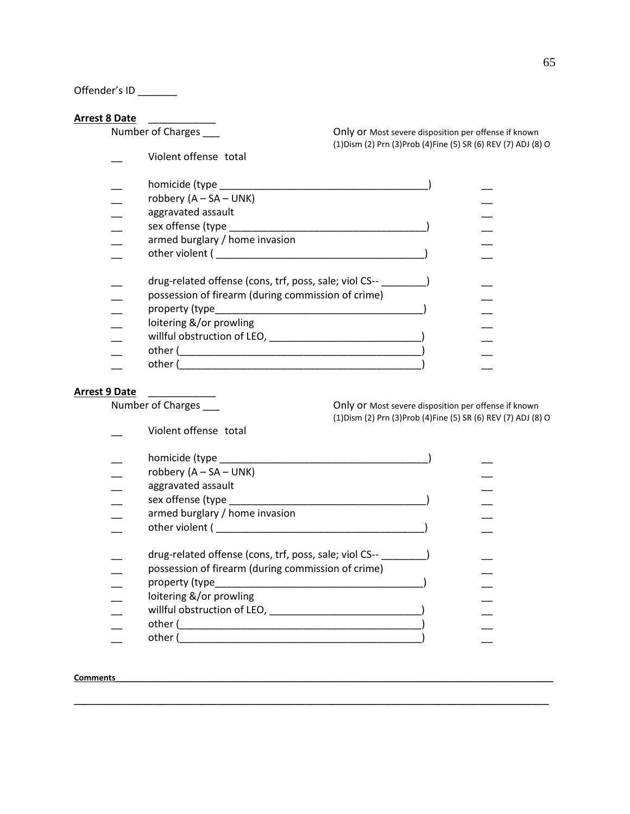Offender's ID \_\_\_\_\_\_

**Arrest 8 Date**<br>Number of Charges

Violent offense total

Only or Most severe disposition per offense if known (1)Dism (2) Prn (3)Prob (4)Fine (5) SR (6) REV (7) ADJ (8) O

| homicide (type ______                                                                                           |  |
|-----------------------------------------------------------------------------------------------------------------|--|
| robbery $(A - SA - UNK)$                                                                                        |  |
| aggravated assault                                                                                              |  |
| sex offense (type                                                                                               |  |
| armed burglary / home invasion                                                                                  |  |
| other violent (and a state of the state of the state of the state of the state of the state of the state of the |  |
| drug-related offense (cons, trf, poss, sale; viol CS--                                                          |  |
| possession of firearm (during commission of crime)                                                              |  |
| property (type                                                                                                  |  |
| loitering &/or prowling                                                                                         |  |
| willful obstruction of LEO,                                                                                     |  |
| other (                                                                                                         |  |
| other (                                                                                                         |  |

# **Arrest 9 Date** \_\_\_\_\_\_\_\_\_\_\_\_

Violent offense total

Number of Charges \_\_\_\_ contact the Charges of Charges and Chily or Most severe disposition per offense if known (1)Dism (2) Prn (3)Prob (4)Fine (5) SR (6) REV (7) ADJ (8) O

| robbery $(A - SA - UNK)$                                                                                        |  |
|-----------------------------------------------------------------------------------------------------------------|--|
| aggravated assault                                                                                              |  |
| sex offense (type                                                                                               |  |
| armed burglary / home invasion                                                                                  |  |
| other violent (and a state of the state of the state of the state of the state of the state of the state of the |  |
|                                                                                                                 |  |
| drug-related offense (cons, trf, poss, sale; viol CS--                                                          |  |
| possession of firearm (during commission of crime)                                                              |  |
| property (type____                                                                                              |  |
| loitering &/or prowling                                                                                         |  |
| willful obstruction of LEO,                                                                                     |  |
| other (                                                                                                         |  |
| other (                                                                                                         |  |

**\_\_\_\_\_\_\_\_\_\_\_\_\_\_\_\_\_\_\_\_\_\_\_\_\_\_\_\_\_\_\_\_\_\_\_\_\_\_\_\_\_\_\_\_\_\_\_\_\_\_\_\_\_\_\_\_\_\_\_\_\_\_\_\_\_\_\_\_\_\_\_\_\_\_\_\_\_\_\_\_\_\_\_\_\_\_\_\_\_\_\_\_\_\_\_\_\_\_\_\_\_\_\_**

## **Comments\_\_\_\_\_\_\_\_\_\_\_\_\_\_\_\_\_\_\_\_\_\_\_\_\_\_\_\_\_\_\_\_\_\_\_\_\_\_\_\_\_\_\_\_\_\_\_\_\_\_\_\_\_\_\_\_\_\_\_\_\_\_\_\_\_\_\_\_\_\_\_\_\_\_\_\_\_\_\_\_\_\_\_\_\_\_\_\_\_\_\_\_\_\_\_**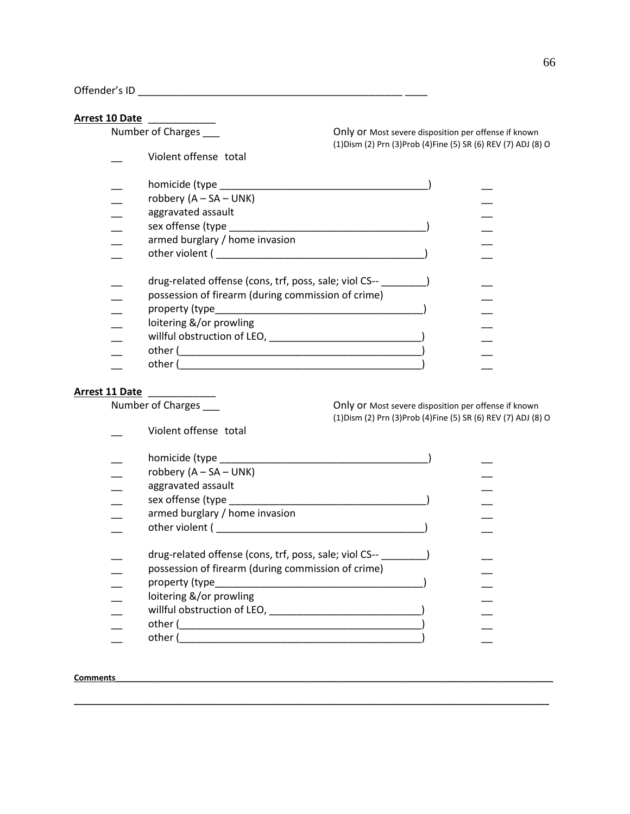Offender's ID \_\_\_\_\_\_\_\_\_\_\_\_\_\_\_\_\_\_\_\_\_\_\_\_\_\_\_\_\_\_\_\_\_\_\_\_\_\_\_\_\_\_\_\_\_\_\_ \_\_\_\_

# **Arrest 10 Date** \_\_\_\_\_\_\_\_\_\_\_\_

| TA Darc |                                                                                                                 |                                                                                                                         |  |
|---------|-----------------------------------------------------------------------------------------------------------------|-------------------------------------------------------------------------------------------------------------------------|--|
|         | Number of Charges                                                                                               | Only or Most severe disposition per offense if known<br>(1) Dism (2) Prn (3) Prob (4) Fine (5) SR (6) REV (7) ADJ (8) O |  |
|         | Violent offense total                                                                                           |                                                                                                                         |  |
|         | homicide (type experience and the set of the set of the set of the set of the set of the set of the set of the  |                                                                                                                         |  |
|         | robbery $(A - SA - UNK)$                                                                                        |                                                                                                                         |  |
|         | aggravated assault                                                                                              |                                                                                                                         |  |
|         |                                                                                                                 |                                                                                                                         |  |
|         | armed burglary / home invasion                                                                                  |                                                                                                                         |  |
|         | other violent (and a state of the state of the state of the state of the state of the state of the state of the |                                                                                                                         |  |
|         | drug-related offense (cons, trf, poss, sale; viol CS--                                                          |                                                                                                                         |  |
|         | possession of firearm (during commission of crime)                                                              |                                                                                                                         |  |
|         |                                                                                                                 |                                                                                                                         |  |
|         | loitering &/or prowling                                                                                         |                                                                                                                         |  |
|         | willful obstruction of LEO, willful obstruction of LEO,                                                         |                                                                                                                         |  |
|         | other (                                                                                                         |                                                                                                                         |  |
|         | other (                                                                                                         |                                                                                                                         |  |
|         |                                                                                                                 |                                                                                                                         |  |

**Arrest 11 Date**<br>Number of Charges

Violent offense total

Only or Most severe disposition per offense if known (1)Dism (2) Prn (3)Prob (4)Fine (5) SR (6) REV (7) ADJ (8) O

| homicide (type _______                                 |  |
|--------------------------------------------------------|--|
| robbery $(A - SA - UNK)$                               |  |
| aggravated assault                                     |  |
| sex offense (type                                      |  |
| armed burglary / home invasion                         |  |
| other violent (                                        |  |
| drug-related offense (cons, trf, poss, sale; viol CS-- |  |
| possession of firearm (during commission of crime)     |  |
| property (type___                                      |  |
| loitering &/or prowling                                |  |
| willful obstruction of LEO,                            |  |
| other (                                                |  |
| other (                                                |  |
|                                                        |  |

**\_\_\_\_\_\_\_\_\_\_\_\_\_\_\_\_\_\_\_\_\_\_\_\_\_\_\_\_\_\_\_\_\_\_\_\_\_\_\_\_\_\_\_\_\_\_\_\_\_\_\_\_\_\_\_\_\_\_\_\_\_\_\_\_\_\_\_\_\_\_\_\_\_\_\_\_\_\_\_\_\_\_\_\_\_\_\_\_\_\_\_\_\_\_\_\_\_\_\_\_\_\_\_**

# **Comments\_\_\_\_\_\_\_\_\_\_\_\_\_\_\_\_\_\_\_\_\_\_\_\_\_\_\_\_\_\_\_\_\_\_\_\_\_\_\_\_\_\_\_\_\_\_\_\_\_\_\_\_\_\_\_\_\_\_\_\_\_\_\_\_\_\_\_\_\_\_\_\_\_\_\_\_\_\_\_\_\_\_\_\_\_\_\_\_\_\_\_\_\_\_\_**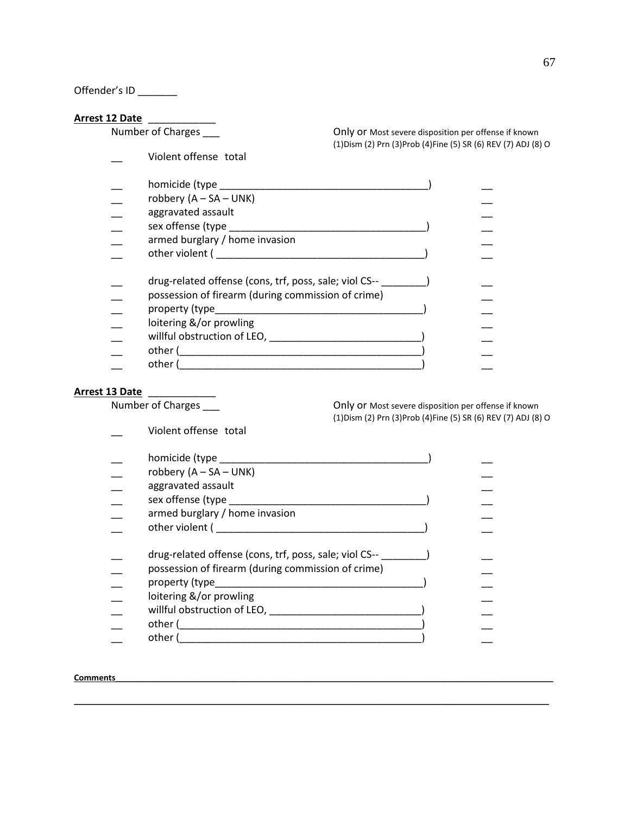Offender's ID \_\_\_\_\_\_

**Arrest 12 Date \_\_\_\_\_\_\_\_\_\_\_\_\_\_\_\_**<br>Number of Charges \_\_\_\_

\_\_ Violent offense total

Only or Most severe disposition per offense if known (1)Dism (2) Prn (3)Prob (4)Fine (5) SR (6) REV (7) ADJ (8) O

| homicide (type ______                                  |  |
|--------------------------------------------------------|--|
| robbery $(A - SA - UNK)$                               |  |
| aggravated assault                                     |  |
| sex offense (type                                      |  |
| armed burglary / home invasion                         |  |
| other violent (                                        |  |
| drug-related offense (cons, trf, poss, sale; viol CS-- |  |
| possession of firearm (during commission of crime)     |  |
| property (type____                                     |  |
| loitering &/or prowling                                |  |
| willful obstruction of LEO,                            |  |
| other (                                                |  |
| other (                                                |  |

# **Arrest 13 Date** \_\_\_\_\_\_\_\_\_\_\_\_

Violent offense total

Number of Charges \_\_\_\_ contact the Charges of Charges and Chily or Most severe disposition per offense if known (1)Dism (2) Prn (3)Prob (4)Fine (5) SR (6) REV (7) ADJ (8) O

| homicide (type ______                                  |  |
|--------------------------------------------------------|--|
| robbery $(A - SA - UNK)$                               |  |
| aggravated assault                                     |  |
| sex offense (type                                      |  |
| armed burglary / home invasion                         |  |
| other violent (                                        |  |
| drug-related offense (cons, trf, poss, sale; viol CS-- |  |
| possession of firearm (during commission of crime)     |  |
| property (type______                                   |  |
| loitering &/or prowling                                |  |
| willful obstruction of LEO,                            |  |
| other (                                                |  |
| other                                                  |  |

**\_\_\_\_\_\_\_\_\_\_\_\_\_\_\_\_\_\_\_\_\_\_\_\_\_\_\_\_\_\_\_\_\_\_\_\_\_\_\_\_\_\_\_\_\_\_\_\_\_\_\_\_\_\_\_\_\_\_\_\_\_\_\_\_\_\_\_\_\_\_\_\_\_\_\_\_\_\_\_\_\_\_\_\_\_\_\_\_\_\_\_\_\_\_\_\_\_\_\_\_\_\_\_**

### **Comments**